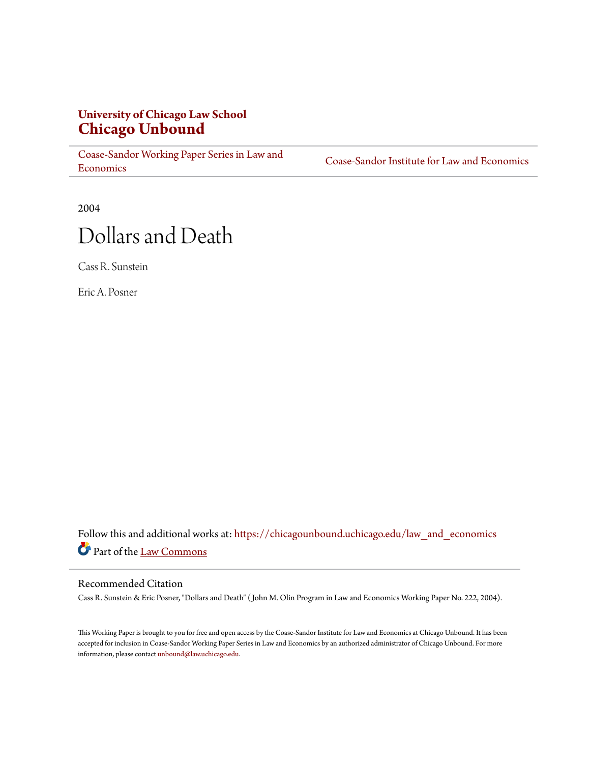## **University of Chicago Law School [Chicago Unbound](https://chicagounbound.uchicago.edu?utm_source=chicagounbound.uchicago.edu%2Flaw_and_economics%2F182&utm_medium=PDF&utm_campaign=PDFCoverPages)**

[Coase-Sandor Working Paper Series in Law and](https://chicagounbound.uchicago.edu/law_and_economics?utm_source=chicagounbound.uchicago.edu%2Flaw_and_economics%2F182&utm_medium=PDF&utm_campaign=PDFCoverPages) [Economics](https://chicagounbound.uchicago.edu/law_and_economics?utm_source=chicagounbound.uchicago.edu%2Flaw_and_economics%2F182&utm_medium=PDF&utm_campaign=PDFCoverPages)

[Coase-Sandor Institute for Law and Economics](https://chicagounbound.uchicago.edu/coase_sandor_institute?utm_source=chicagounbound.uchicago.edu%2Flaw_and_economics%2F182&utm_medium=PDF&utm_campaign=PDFCoverPages)

2004

# Dollars and Death

Cass R. Sunstein

Eric A. Posner

Follow this and additional works at: [https://chicagounbound.uchicago.edu/law\\_and\\_economics](https://chicagounbound.uchicago.edu/law_and_economics?utm_source=chicagounbound.uchicago.edu%2Flaw_and_economics%2F182&utm_medium=PDF&utm_campaign=PDFCoverPages) Part of the [Law Commons](http://network.bepress.com/hgg/discipline/578?utm_source=chicagounbound.uchicago.edu%2Flaw_and_economics%2F182&utm_medium=PDF&utm_campaign=PDFCoverPages)

#### Recommended Citation

Cass R. Sunstein & Eric Posner, "Dollars and Death" ( John M. Olin Program in Law and Economics Working Paper No. 222, 2004).

This Working Paper is brought to you for free and open access by the Coase-Sandor Institute for Law and Economics at Chicago Unbound. It has been accepted for inclusion in Coase-Sandor Working Paper Series in Law and Economics by an authorized administrator of Chicago Unbound. For more information, please contact [unbound@law.uchicago.edu.](mailto:unbound@law.uchicago.edu)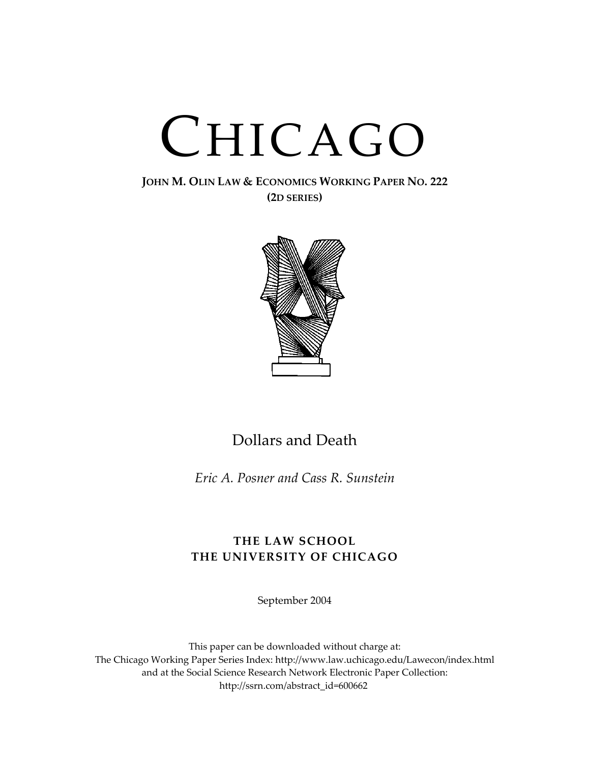# CHICAGO

#### **JOHN M. OLIN LAW & ECONOMICS WORKING PAPER NO. 222 (2D SERIES)**



# Dollars and Death

*Eric A. Posner and Cass R. Sunstein*

### **THE LAW SCHOOL THE UNIVERSITY OF CHICAGO**

September 2004

This paper can be downloaded without charge at: The Chicago Working Paper Series Index: http://www.law.uchicago.edu/Lawecon/index.html and at the Social Science Research Network Electronic Paper Collection: http://ssrn.com/abstract\_id=600662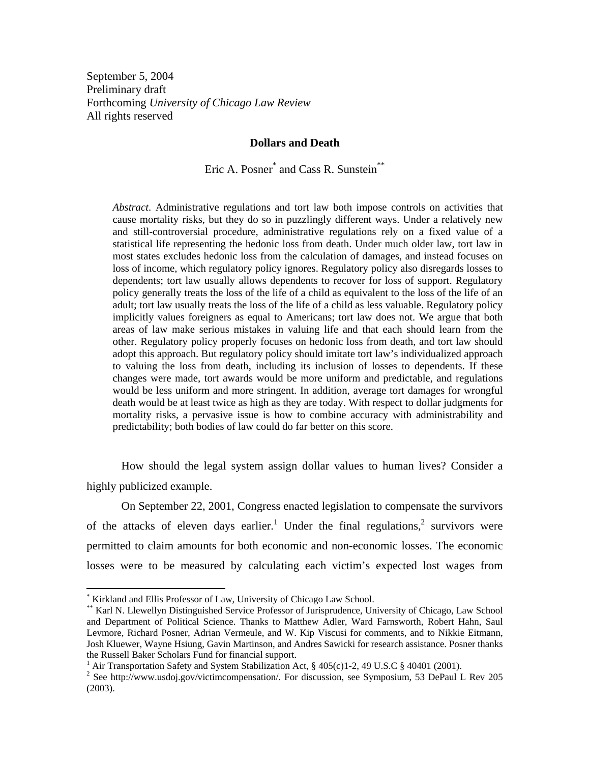September 5, 2004 Preliminary draft Forthcoming *University of Chicago Law Review* All rights reserved

#### **Dollars and Death**

Eric A. Posner<sup>[\\*](#page-2-0)</sup> and Cass R. Sunstein<sup>\*\*</sup>

*Abstract*. Administrative regulations and tort law both impose controls on activities that cause mortality risks, but they do so in puzzlingly different ways. Under a relatively new and still-controversial procedure, administrative regulations rely on a fixed value of a statistical life representing the hedonic loss from death. Under much older law, tort law in most states excludes hedonic loss from the calculation of damages, and instead focuses on loss of income, which regulatory policy ignores. Regulatory policy also disregards losses to dependents; tort law usually allows dependents to recover for loss of support. Regulatory policy generally treats the loss of the life of a child as equivalent to the loss of the life of an adult; tort law usually treats the loss of the life of a child as less valuable. Regulatory policy implicitly values foreigners as equal to Americans; tort law does not. We argue that both areas of law make serious mistakes in valuing life and that each should learn from the other. Regulatory policy properly focuses on hedonic loss from death, and tort law should adopt this approach. But regulatory policy should imitate tort law's individualized approach to valuing the loss from death, including its inclusion of losses to dependents. If these changes were made, tort awards would be more uniform and predictable, and regulations would be less uniform and more stringent. In addition, average tort damages for wrongful death would be at least twice as high as they are today. With respect to dollar judgments for mortality risks, a pervasive issue is how to combine accuracy with administrability and predictability; both bodies of law could do far better on this score.

 How should the legal system assign dollar values to human lives? Consider a highly publicized example.

On September 22, 2001, Congress enacted legislation to compensate the survivors ofthe attacks of eleven days earlier.<sup>1</sup> Under the final regulations,<sup>2</sup> survivors were permitted to claim amounts for both economic and non-economic losses. The economic losses were to be measured by calculating each victim's expected lost wages from

<span id="page-2-0"></span><sup>\*</sup> Kirkland and Ellis Professor of Law, University of Chicago Law School.

<span id="page-2-1"></span><sup>\*\*</sup> Karl N. Llewellyn Distinguished Service Professor of Jurisprudence, University of Chicago, Law School. and Department of Political Science. Thanks to Matthew Adler, Ward Farnsworth, Robert Hahn, Saul Levmore, Richard Posner, Adrian Vermeule, and W. Kip Viscusi for comments, and to Nikkie Eitmann, Josh Kluewer, Wayne Hsiung, Gavin Martinson, and Andres Sawicki for research assistance. Posner thanks the Russell Baker Scholars Fund for financial support.

<span id="page-2-2"></span><sup>&</sup>lt;sup>1</sup> Air Transportation Safety and System Stabilization Act, § 405(c)1-2, 49 U.S.C § 40401 (2001).

<span id="page-2-3"></span><sup>&</sup>lt;sup>2</sup> See http://www.usdoj.gov/victimcompensation/. For discussion, see Symposium, 53 DePaul L Rev 205 (2003).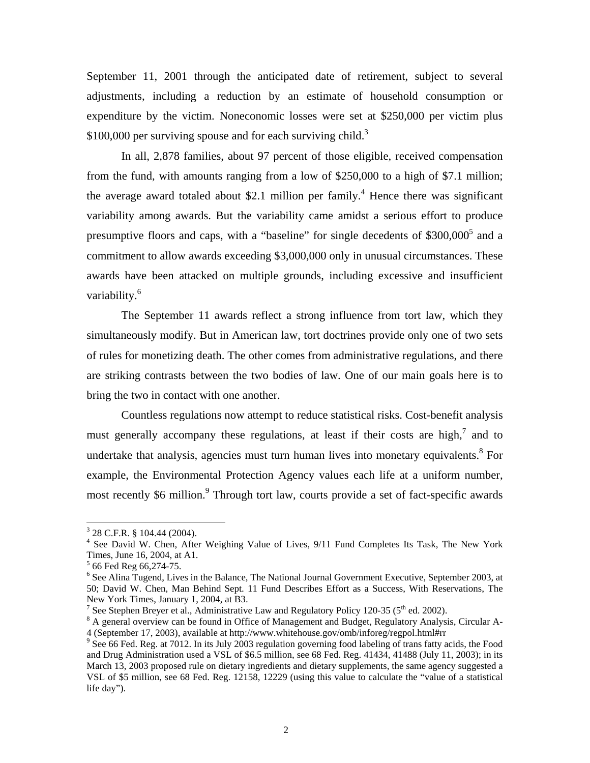<span id="page-3-6"></span>September 11, 2001 through the anticipated date of retirement, subject to several adjustments, including a reduction by an estimate of household consumption or expenditure by the victim. Noneconomic losses were set at \$250,000 per victim plus  $$100,000$  per surviving spouse and for each surviving child.<sup>[3](#page-3-0)</sup>

In all, 2,878 families, about 97 percent of those eligible, received compensation from the fund, with amounts ranging from a low of  $$250,000$  to a high of  $$7.1$  million; the average award totaled about \$2.1 million per family.<sup>[4](#page-3-1)</sup> Hence there was significant varia bility among awards. But the variability came amidst a serious effort to produce presumptive floors and caps, with a "baseline" for single decedents of \$300,000<sup>5</sup> and a comm itment to allow awards exceeding \$3,000,000 only in unusual circumstances. These awar ds have been attacked on multiple grounds, including excessive and insufficient variability.<sup>[6](#page-3-3)</sup>

simu ltaneously modify. But in American law, tort doctrines provide only one of two sets of ru les for monetizing death. The other comes from administrative regulations, and there are s triking contrasts between the two bodies of law. One of our main goals here is to bring the two in contact with one another. The September 11 awards reflect a strong influence from tort law, which they

mustgenerally accompany these regulations, at least if their costs are high,<sup>7</sup> and to undertake that analysis, agencies must turn human lives into monetary equivalents. $8$  For example, the Environmental Protection Agency values each life at a uniform number, most recently \$6 million.<sup>9</sup> Through tort law, courts provide a set of fact-specific awards Countless regulations now attempt to reduce statistical risks. Cost-benefit analysis

<span id="page-3-0"></span> $3$  28 C.F.R. § 104.44 (2004).

<span id="page-3-1"></span> $4$  See David W. Chen, After Weighing Value of Lives, 9/11 Fund Completes Its Task, The New York Times, June 16, 2004, at A1. 5

<span id="page-3-2"></span> $5$  66 Fed Reg 66,274-75.

<span id="page-3-3"></span><sup>&</sup>lt;sup>6</sup> See Alina Tugend, Lives in the Balance, The National Journal Government Executive, September 2003, at 50; David W. Chen, Man Behind Sept. 11 Fund Describes Effort as a Success, With Reservations, The New York Times, January 1, 2004, at B3. 7

<span id="page-3-4"></span><sup>&</sup>lt;sup>7</sup> See Stephen Breyer et al., Administrative Law and Regulatory Policy 120-35 ( $5<sup>th</sup>$  ed. 2002).

<span id="page-3-5"></span><sup>&</sup>lt;sup>8</sup> A general overview can be found in Office of Management and Budget, Regulatory Analysis, Circular A-4 (September 17, 2003), available at http://www.whitehouse.gov/omb/inforeg/regpol.html#rr 9

and Drug Administration used a VSL of \$6.5 million, see 68 Fed. Reg. 41434, 41488 (July 11, 2003); in its March 13, 2003 proposed rule on dietary ingredients and dietary supplements, the same agency suggested a life day"). <sup>9</sup> See 66 Fed. Reg. at 7012. In its July 2003 regulation governing food labeling of trans fatty acids, the Food VSL of \$5 million, see 68 Fed. Reg. 12158, 12229 (using this value to calculate the "value of a statistical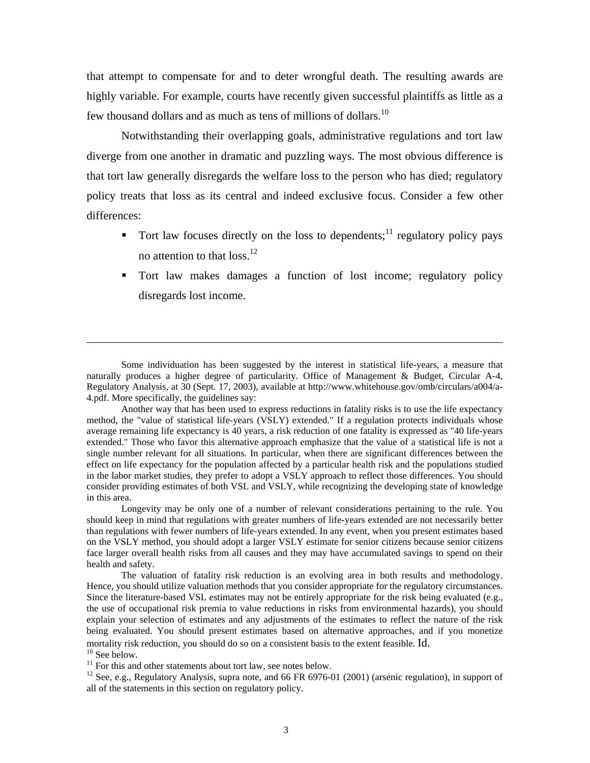that attempt to compensate for and to deter wrongful death. The resulting awards are highly variable. For example, courts have recently given successful plaintiffs as little as a few thousand dollars and as much as tens of millions of dollars.<sup>[10](#page-4-0)</sup>

Notwithstanding their overlapping goals, administrative regulations and tort law diverge from one another in dramatic and puzzling ways. The most obvious difference is that tort law generally disregards the welfare loss to the person who has died; regulatory policy treats that loss as its central and indeed exclusive focus. Consider a few other differences:

- Tort law focuses directly on the loss to dependents;<sup>11</sup> regulatory policy pays no attention to that  $loss.<sup>12</sup>$
- disregards lost income. Tort law makes damages a function of lost income; regulatory policy

Some individuation has been suggested by the interest in statistical life-years, a measure that naturally produces a higher degree of particularity. Office of Management & Budget, Circular A-4, Regulatory Analysis, at 30 (Sept. 17, 2003), availa ble at http://www.whitehouse.gov/omb/circulars/a004/a-4.pdf. More specifically, the guidelines say:

Longevity may be only one of a number of relevant considerations pertaining to the rule. You should keep in mind that regulations with greater numbers of life-years extended are not necessarily better than regulations with fewer numbers of life-years extended. In any event, when you present estimates based on the VSLY method, you should adopt a larger VSLY estimate for senior citizens because senior citizens face larger overall health risks from all causes and they may have accumulated savings to spend on their health and safety.

the use of occupational risk premia to value reductions in risks from environmental hazards), you should being evaluated. You should present estimates based on alternative approaches, and if you monetize The valuation of fatality risk reduction is an evolving area in both results and methodology. Hence, you should utilize valuation methods that you consider appropriate for the regulatory circumstances. Since the literature-based VSL estimates may not be entirely appropriate for the risk being evaluated (e.g., explain your selection of estimates and any adjustments of the estimates to reflect the nature of the risk mortality risk reduction, you should do so on a consistent basis to the extent feasible. Id.  $^{10}$  See below.<br><sup>11</sup> For this and other statements about tort law, see notes below.

method, the "value of statistical life-years (VSLY) extended." If a regulation protects individuals whose effect on life expectancy for the population affected by a particular health risk and the populations studied Another way that has been used to express reductions in fatality risks is to use the life expectancy average remaining life expectancy is 40 years, a risk reduction of one fatality is expressed as "40 life-years extended." Those who favor this alternative approach emphasize that the value of a statistical life is not a single number relevant for all situations. In particular, when there are significant differences between the in the labor market studies, they prefer to adopt a VSLY approach to reflect those differences. You should consider providing estimates of both VSL and VSLY, while recognizing the developing state of knowledge in this area.

<span id="page-4-0"></span>

<span id="page-4-1"></span>

<span id="page-4-2"></span>all of the statements in this section on regulatory policy. <sup>12</sup> See, e.g., Regulatory Analysis, supra note, and 66 FR 6976-01 (2001) (arsenic regulation), in support of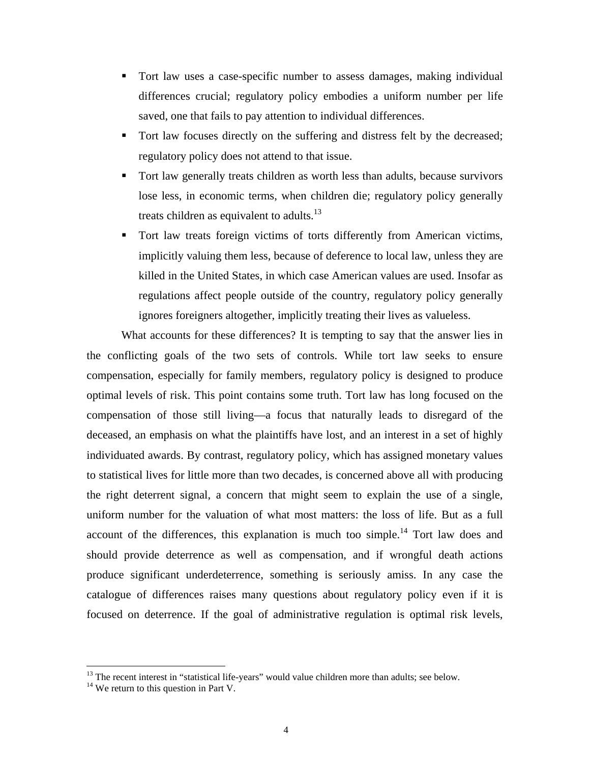- Tort law uses a case-specific number to assess damages, making individual differences crucial; regulatory policy embodies a uniform number per life saved, one that fails to pay attention to individual differences.
- Tort law focuses directly on the suffering and distress felt by the decreased; regulatory policy does not attend to that issue.
- treats children as equivalent to adults.<sup>[13](#page-5-0)</sup> Tort law generally treats children as worth less than adults, because survivors lose less, in economic terms, when children die; regulatory policy generally
- implicitly valuing them less, because of deference to local law, unless they are regulations affect people outside of the country, regulatory policy generally ignores foreigners altogether, implicitly treating their lives as valueless. Tort law treats foreign victims of torts differently from American victims, killed in the United States, in which case American values are used. Insofar as

What accounts for these differences? It is tempting to say that the answer lies in the conflicting goals of the two sets of controls. While tort law seeks to ensure optimal levels of risk. This point contains some truth. Tort law has long focused on the produc e significant underdeterrence, something is seriously amiss. In any case the compensation, especially for family members, regulatory policy is designed to produce compensation of those still living—a focus that naturally leads to disregard of the deceased, an emphasis on what the plaintiffs have lost, and an interest in a set of highly individuated awards. By contrast, regulatory policy, which has assigned monetary values to statistical lives for little more than two decades, is concerned above all with producing the right deterrent signal, a concern that might seem to explain the use of a single, uniform number for the valuation of what most matters: the loss of life. But as a full account of the differences, this explanation is much too simple.<sup>[14](#page-5-1)</sup> Tort law does and should provide deterrence as well as compensation, and if wrongful death actions catalogue of differences raises many questions about regulatory policy even if it is focused on deterrence. If the goal of administrative regulation is optimal risk levels,

<span id="page-5-0"></span><sup>&</sup>lt;sup>13</sup> The recent interest in "statistical life-years" would value children more than adults; see below. <sup>14</sup> We return to this question in Part V.

<span id="page-5-1"></span>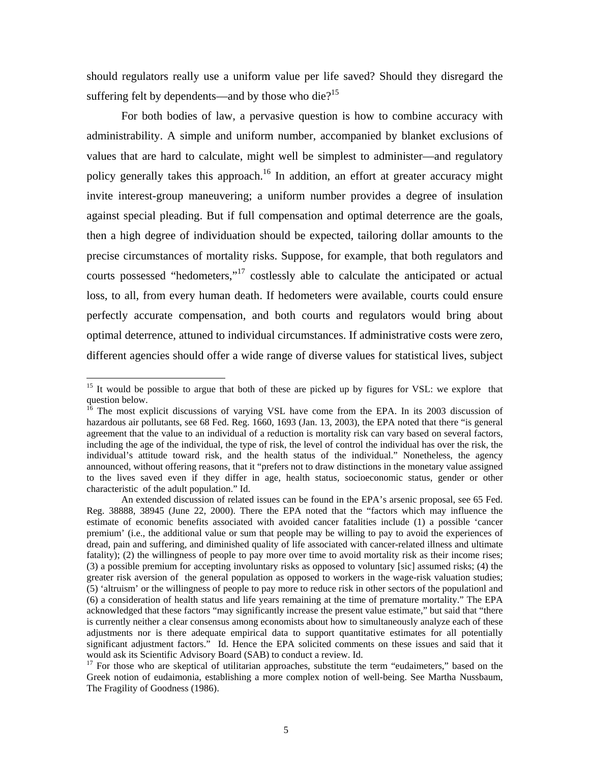should regulators really use a uniform value per life saved? Should they disregard the suffering felt by dependents—and by those who die?<sup>15</sup>

For both bodies of law, a pervasive question is how to combine accuracy with admini strability. A simple and uniform number, accompanied by blanket exclusions of values that are hard to calculate, might well be simplest to administer—and regulatory policy generally takes this approach.<sup>16</sup> In addition, an effort at greater accuracy might invite inter est-group maneuvering; a uniform number provides a degree of insulation against special pleading. But if full compensation and optimal deterrence are the goals, then a high degree of individuation should be expected, tailoring dollar amounts to the precise cir cumstances of mortality risks. Suppose, for example, that both regulators and courts possessed "hedometers,"<sup>17</sup> costlessly able to calculate the anticipated or actual loss, to all , from every human death. If hedometers were available, courts could ensure perfectly accurate compensation, and both courts and regulators would bring about optima l deterrence, attuned to individual circumstances. If administrative costs were zero, different agencies should offer a wide range of diverse values for statistical lives, subject

<span id="page-6-0"></span><sup>&</sup>lt;sup>15</sup> It would be possible to argue that both of these are picked up by figures for VSL: we explore that question below.<br><sup>16</sup> The most explicit discussions of varying VSL have come from the EPA. In its 2003 discussion of

<span id="page-6-1"></span>hazardous air pollutants, see 68 Fed. Reg. 1660, 1693 (Jan. 13, 2003), the EPA noted that there "is general agreement that the value to an individual of a reduction is mortality risk can vary based on several factors, including the age of the individual, the type of risk, the level of control the individual has over the risk, the individual's attitude toward risk, and the health status of the individual." Nonetheless, the agency announced, without offering reasons, that it "prefers not to draw distinctions in the monetary value assigned to the lives saved even if they differ in age, health status, socioeconomic status, gender or other characteristic of the adult population." Id.

An extended discussion of related issues can be found in the EPA's arsenic proposal, see 65 Fed. Reg. 38888, 38945 (June 22, 2000). There the EPA noted that the "factors which may influence the estimate of economic benefits associated with avoided cancer fatalities include (1) a possible 'cancer premium' (i.e., the additional value or sum that people may be willing to pay to avoid the experiences of dread, pain and suffering, and diminished quality of life associated with cancer-related illness and ultimate fatality); (2) the willingness of people to pay more over time to avoid mortality risk as their income rises; (3) a possible premium for accepting involuntary risks as opposed to voluntary [sic] assumed risks; (4) the greater risk aversion of the general population as opposed to workers in the wage-risk valuation studies; (5) 'altruism' or the willingness of people to pay more to reduce risk in other sectors of the populationl and (6) a consideration of health status and life years remaining at the time of premature mortality." The EPA acknowledged that these factors "may significantly increase the present value estimate," but said that "there is currently neither a clear consensus among economists about how to simultaneously analyze each of these adjustments nor is there adequate empirical data to support quantitative estimates for all potentially significant adjustment factors." Id. Hence the EPA solicited comments on these issues and said that it would ask its Scientific Advisory Board (SAB) to conduct a review. Id. <sup>17</sup> For those who are skeptical of utilitarian approaches, substitute the term "eudaimeters," based on the

<span id="page-6-2"></span>Greek notion of eudaimonia, establishing a more complex notion of well-being. See Martha Nussbaum, The Fragility of Goodness (1986).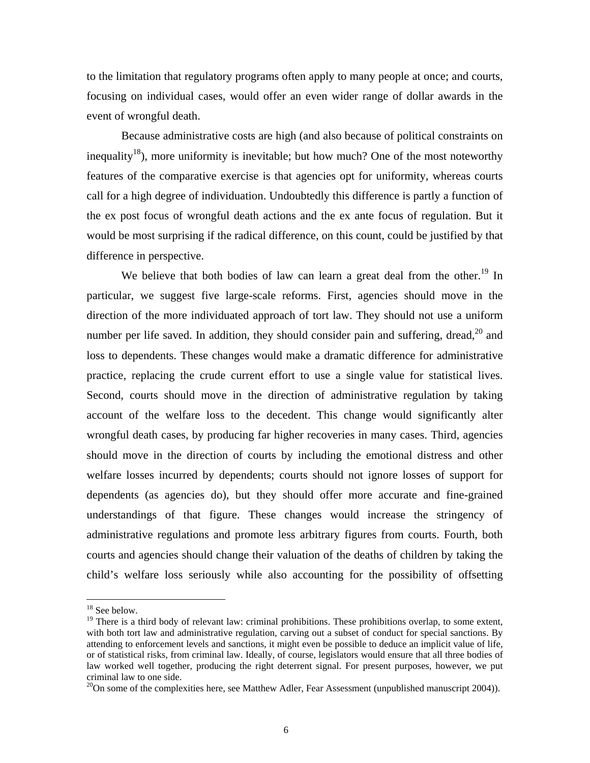to the limitation that regulatory programs often apply to many people at once; and courts, focusing on individual cases, would offer an even wider range of dollar awards in the event o f wrongful death.

Because administrative costs are high (and also because of political constraints on inequality<sup>18</sup>), more uniformity is inevitable; but how much? One of the most noteworthy features of the comparative exercise is that agencies opt for uniformity, whereas courts call for a high degree of individuation. Undoubtedly this difference is partly a function of the ex post focus of wrongful death actions and the ex ante focus of regulation. But it would be most surprising if the radical difference, on this count, could be justified by that difference in perspective.

practice, replacing the crude current effort to use a single value for statistical lives. We believe that both bodies of law can learn a great deal from the other.<sup>19</sup> In particular, we suggest five large-scale reforms. First, agencies should move in the direction of the more individuated approach of tort law. They should not use a uniform number per life saved. In addition, they should consider pain and suffering, dread,<sup>20</sup> and loss to dependents. These changes would make a dramatic difference for administrative Second, courts should move in the direction of administrative regulation by taking account of the welfare loss to the decedent. This change would significantly alter wrongful death cases, by producing far higher recoveries in many cases. Third, agencies should move in the direction of courts by including the emotional distress and other welfare losses incurred by dependents; courts should not ignore losses of support for dependents (as agencies do), but they should offer more accurate and fine-grained understandings of that figure. These changes would increase the stringency of administrative regulations and promote less arbitrary figures from courts. Fourth, both courts and agencies should change their valuation of the deaths of children by taking the child's welfare loss seriously while also accounting for the possibility of offsetting

<span id="page-7-0"></span><sup>&</sup>lt;sup>18</sup> See below.

<span id="page-7-1"></span><sup>&</sup>lt;sup>19</sup> There is a third body of relevant law: criminal prohibitions. These prohibitions overlap, to some extent, with both tort law and administrative regulation, carving out a subset of conduct for special sanctions. By attending to enforcement levels and sanctions, it might even be possible to deduce an implicit value of life, or of statistical risks, from criminal law. Ideally, of course, legislators would ensure that all three bodies of criminal law to one side.<br><sup>20</sup>On some of the complexities here, see Matthew Adler, Fear Assessment (unpublished manuscript 2004)). law worked well together, producing the right deterrent signal. For present purposes, however, we put

<span id="page-7-2"></span>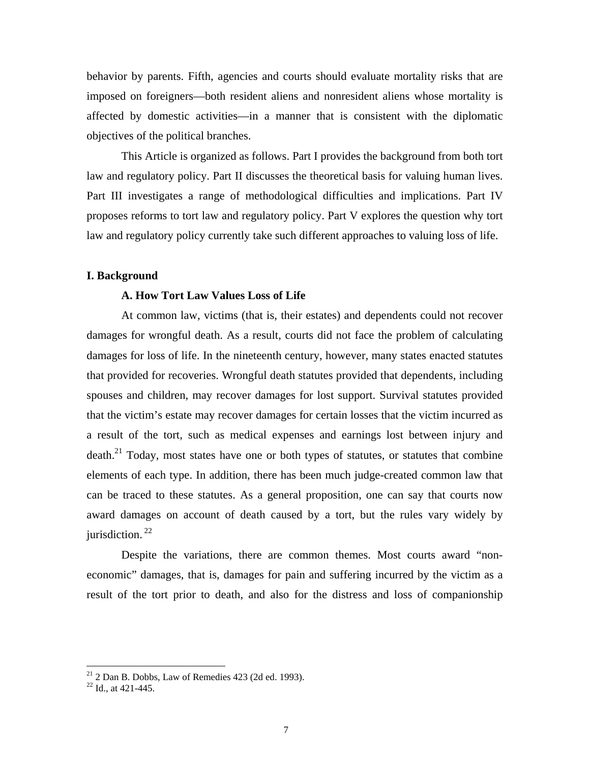behavior by parents. Fifth, agencies and courts should evaluate mortality risks that are imposed on foreigners—both resident aliens and nonresident aliens whose mortality is affected by domestic activities—in a manner that is consistent with the diplomatic objectiv es of the political branches.

This Article is organized as follows. Part I provides the background from both tort law and regulatory policy. Part II discusses the theoretical basis for valuing human lives. Part III investigates a range of methodological difficulties and implications. Part IV proposes reforms to tort law and regulatory policy. Part V explores the question why tort law and regulatory policy currently take such different approaches to valuing loss of life.

#### **I. Back ground**

#### **A. How Tort Law Values Loss of Life**

At common law, victims (that is, their estates) and dependents could not recover damages for wrongful death. As a result, courts did not face the problem of calculating damages for loss of life. In the nineteenth century, however, many states enacted statutes that provided for recoveries. Wrongful death statutes provided that dependents, including spouses and children, may recover damages for lost support. Survival statutes provided that the victim's estate may recover damages for certain losses that the victim incurred as a result of the tort, such as medical expenses and earnings lost between injury and death.<sup>21</sup> Today, most states have one or both types of statutes, or statutes that combine elements of each type. In addition, there has been much judge-created common law that can be traced to these statutes. As a general proposition, one can say that courts now award damages on account of death caused by a tort, but the rules vary widely by jurisdiction.<sup>[22](#page-8-1)</sup>

result of the tort prior to death, and also for the distress and loss of companionship Despite the variations, there are common themes. Most courts award "noneconomic" damages, that is, damages for pain and suffering incurred by the victim as a

<span id="page-8-0"></span><sup>&</sup>lt;sup>21</sup> 2 Dan B. Dobbs, Law of Remedies 423 (2d ed. 1993).<br><sup>22</sup> Id., at 421-445.

<span id="page-8-1"></span>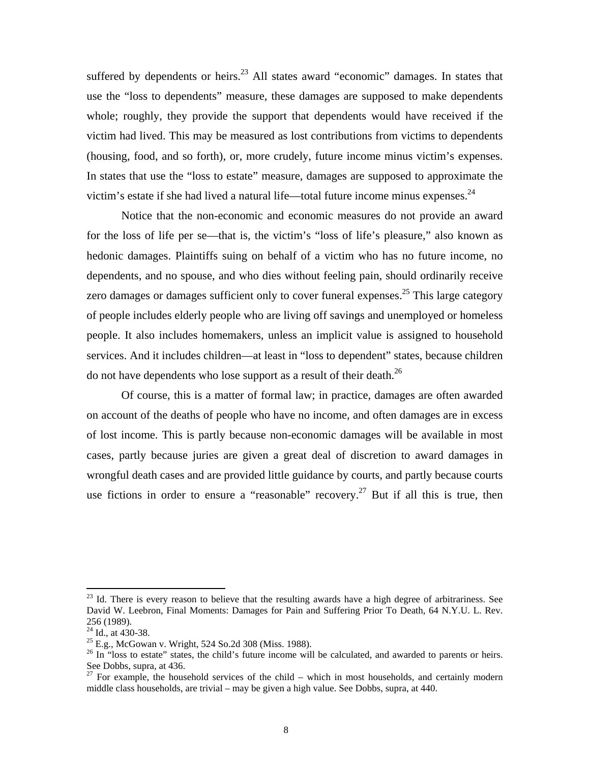suffered by dependents or heirs.<sup>23</sup> All states award "economic" damages. In states that use the "loss to dependents" measure, these damages are supposed to make dependents whole; roughly, they provide the support that dependents would have received if the victim had lived. This may be measured as lost contributions from victims to dependents (housin g, food, and so forth), or, more crudely, future income minus victim's expenses. In states that use the "loss to estate" measure, damages are supposed to approximate the victim's estate if she had lived a natural life—total future income minus expenses. $^{24}$  $^{24}$  $^{24}$ 

hedonic damages. Plaintiffs suing on behalf of a victim who has no future income, no dependents, and no spouse, and who dies without feeling pain, should ordinarily receive zero damages or damages sufficient only to cover funeral expenses.<sup>25</sup> This large category Notice that the non-economic and economic measures do not provide an award for the loss of life per se—that is, the victim's "loss of life's pleasure," also known as of people includes elderly people who are living off savings and unemployed or homeless people. It also includes homemakers, unless an implicit value is assigned to household services. And it includes children—at least in "loss to dependent" states, because children do not have dependents who lose support as a result of their death.<sup>26</sup>

Of course, this is a matter of formal law; in practice, damages are often awarded on account of the deaths of people who have no income, and often damages are in excess of lost income. This is partly because non-economic damages will be available in most cases, partly because juries are given a great deal of discretion to award damages in wrongful death cases and are provided little guidance by courts, and partly because courts use fictions in order to ensure a "reasonable" recovery.<sup>27</sup> But if all this is true, then

<span id="page-9-0"></span> $2<sup>23</sup>$  Id. There is every reason to believe that the resulting awards have a high degree of arbitrariness. See David W. Leebron, Final Moments: Damages for Pain and Suffering Prior To Death, 64 N.Y.U. L. Rev. 256 (1989).<br><sup>24</sup> Id., at 430-38.

<span id="page-9-1"></span>

<span id="page-9-3"></span><span id="page-9-2"></span>

<sup>&</sup>lt;sup>25</sup> E.g., McGowan v. Wright, 524 So.2d 308 (Miss. 1988). <sup>26</sup> In "loss to estate" states, the child's future income will be calculated, and awarded to parents or heirs. See Dobbs, supra, at 436.

<span id="page-9-4"></span><sup>&</sup>lt;sup>27</sup> For example, the household services of the child – which in most households, and certainly modern middle class households, are trivial – may be given a high value. See Dobbs, supra, at 440.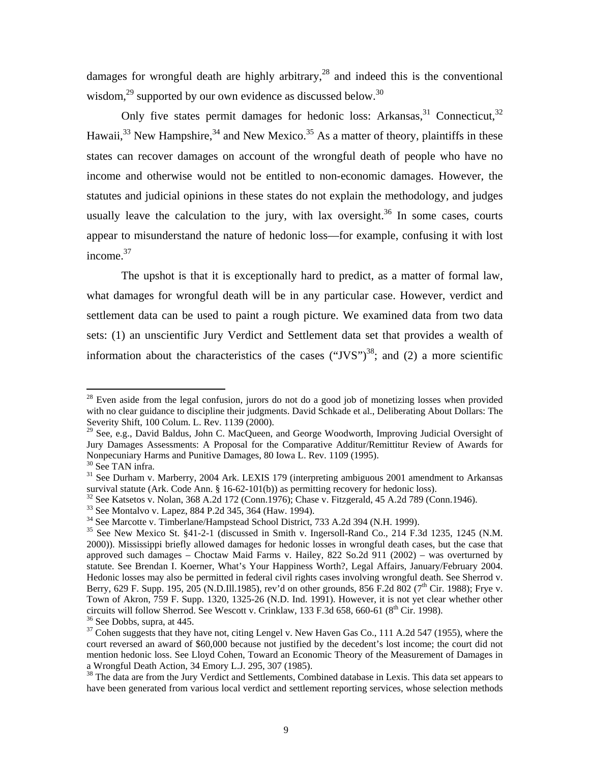<span id="page-10-10"></span>damages for wrongful death are highly arbitrary, $28$  and indeed this is the conventional wisdom, $^{29}$  supported by our own evidence as discussed below.<sup>[30](#page-10-2)</sup>

Only five states permit damages for hedonic loss: Arkansas,  $31$  Connecticut,  $32$ Hawaii,<sup>33</sup> New Hampshire,<sup>34</sup> and New Mexico.<sup>35</sup> As a matter of theory, plaintiffs in these states can recover damages on account of the wrongful death of people who have no income and otherwise would not be entitled to non-economic damages. However, the statutes and judicial opinions in these states do not explain the methodology, and judges usually leave the calculation to the jury, with lax oversight.<sup>36</sup> In some cases, courts appear to misunderstand the nature of hedonic loss—for example, confusing it with lost income. [37](#page-10-9)

The upshot is that it is exceptionally hard to predict, as a matter of formal law, what damages for wrongful death will be in any particular case. However, verdict and settlement data can be used to paint a rough picture. We examined data from two data sets: (1) an unscientific Jury Verdict and Settlement data set that provides a wealth of information about the characteristics of the cases ("JVS")<sup>38</sup>; and (2) a more scientific

<span id="page-10-0"></span> $28$  Even aside from the legal confusion, jurors do not do a good job of monetizing losses when provided with no clear guidance to discipline their judgments. David Schkade et al., Deliberating About Dollars: The Severity Shift, 100 Colum. L. Rev. 1139 (2000).

<span id="page-10-1"></span> $29$  See, e.g., David Baldus, John C. MacQueen, and George Woodworth, Improving Judicial Oversight of Jury Damages Assessments: A Proposal for the Comparative Additur/Remittitur Review of Awards for Nonpecuniary Harms and Punitive Damages, 80 Iowa L. Rev. 1109 (1995).<br><sup>30</sup> See TAN infra.

<span id="page-10-2"></span>

<span id="page-10-3"></span><sup>&</sup>lt;sup>31</sup> See Durham v. Marberry, 2004 Ark. LEXIS 179 (interpreting ambiguous 2001 amendment to Arkansas survival statute (Ark. Code Ann. § 16-62-101(b)) as permitting recovery for hedonic loss).

<span id="page-10-4"></span><sup>&</sup>lt;sup>32</sup> See Katsetos v. Nolan, 368 A.2d 172 (Conn. 1976); Chase v. Fitzgerald, 45 A.2d 789 (Conn. 1946). <sup>33</sup> See Montalvo v. Lapez, 884 P.2d 345, 364 (Haw. 1994).

<span id="page-10-5"></span>

<span id="page-10-7"></span><span id="page-10-6"></span>

 $34$  See Marcotte v. Timberlane/Hampstead School District, 733 A.2d 394 (N.H. 1999).<br> $35$  See New Mexico St. §41-2-1 (discussed in Smith v. Ingersoll-Rand Co., 214 F.3d 1235, 1245 (N.M. 2000)). Mississippi briefly allowed damages for hedonic losses in wrongful death cases, but the case that approved such damages – Choctaw Maid Farms v. Hailey, 822 So.2d 911 (2002) – was overturned by statute. See Brendan I. Koerner, What's Your Happiness Worth?, Legal Affairs, January/February 2004. Hedonic losses may also be permitted in federal civil rights cases involving wrongful death. See Sherrod v. Berry, 629 F. Supp. 195, 205 (N.D.Ill.1985), rev'd on other grounds, 856 F.2d 802 (7<sup>th</sup> Cir. 1988); Frye v.  $36$  See Dobbs, supra, at 445. circuits will follow Sherrod. See Wescott v. Crinklaw, 133 F.3d 658, 660-61 (8<sup>th</sup> Cir. 1998).<br><sup>36</sup> See Dobbs, supra, at 445.<br><sup>37</sup> Cohen suggests that they have not, citing Lengel v. New Haven Gas Co., 111 A.2d 547 (1955) Town of Akron, 759 F. Supp. 1320, 1325-26 (N.D. Ind. 1991). However, it is not yet clear whether other

<span id="page-10-9"></span><span id="page-10-8"></span>court reversed an award of \$60,000 because not justified by the decedent's lost income; the court did not a Wrongful Death Action, 34 Emory L.J. 295, 307 (1985). mention hedonic loss. See Lloyd Cohen, Toward an Economic Theory of the Measurement of Damages in

have been generated from various local verdict and settlement reporting services, whose selection methods  $38$  The data are from the Jury Verdict and Settlements, Combined database in Lexis. This data set appears to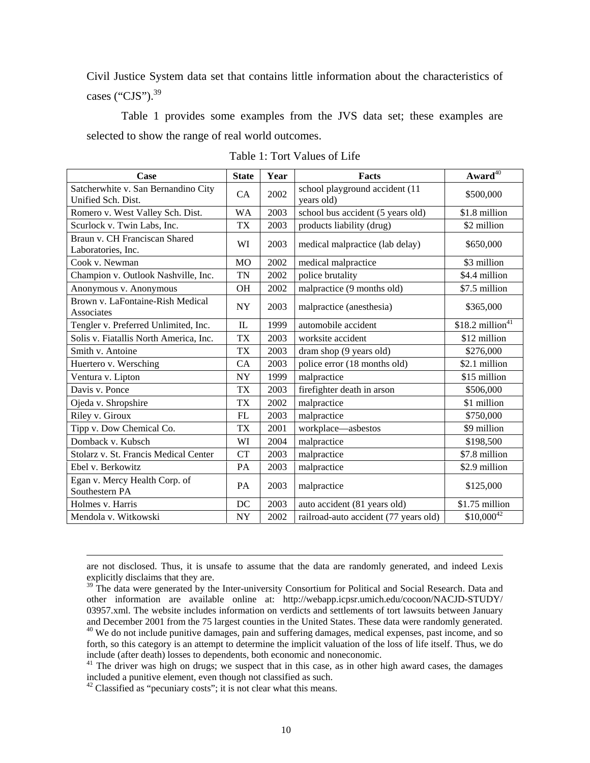Civil Justice System data set that contains little information about the characteristics of cases ("CJS").<sup>39</sup>

Table 1 provides some examples from the JVS data set; these examples are selected to show the range of real world outcomes.

| <b>Case</b>                                               | <b>State</b>   | Year | Facts                                                | $Award^{40}$   |
|-----------------------------------------------------------|----------------|------|------------------------------------------------------|----------------|
| Satcherwhite v. San Bernandino City<br>Unified Sch. Dist. | CA             | 2002 | school playground accident (11<br>years old)         | \$500,000      |
| Romero v. West Valley Sch. Dist.                          | WA             | 2003 | \$1.8 million<br>school bus accident (5 years old)   |                |
| Scurlock v. Twin Labs, Inc.                               | <b>TX</b>      | 2003 | products liability (drug)                            | \$2 million    |
| Braun v. CH Franciscan Shared<br>Laboratories, Inc.       | WI             | 2003 | medical malpractice (lab delay)                      | \$650,000      |
| Cook v. Newman                                            | M <sub>O</sub> | 2002 | medical malpractice                                  | \$3 million    |
| Champion v. Outlook Nashville, Inc.                       | TN             | 2002 | police brutality                                     | \$4.4 million  |
| Anonymous v. Anonymous                                    | <b>OH</b>      | 2002 | malpractice (9 months old)                           | \$7.5 million  |
| Brown v. LaFontaine-Rish Medical<br>Associates            | NY.            | 2003 | malpractice (anesthesia)                             | \$365,000      |
| Tengler v. Preferred Unlimited, Inc.                      | IL             | 1999 | $$18.2$ million <sup>41</sup><br>automobile accident |                |
| Solis v. Fiatallis North America, Inc.                    | <b>TX</b>      | 2003 | worksite accident                                    | \$12 million   |
| Smith v. Antoine                                          | TX             | 2003 | dram shop (9 years old)                              | \$276,000      |
| Huertero v. Wersching                                     | CA             | 2003 | police error (18 months old)                         | \$2.1 million  |
| Ventura v. Lipton                                         | ${\rm NY}$     | 1999 | malpractice                                          | \$15 million   |
| Davis v. Ponce                                            | <b>TX</b>      | 2003 | firefighter death in arson                           | \$506,000      |
| Ojeda v. Shropshire                                       | <b>TX</b>      | 2002 | malpractice                                          | \$1 million    |
| Riley v. Giroux                                           | FL             | 2003 | malpractice                                          | \$750,000      |
| Tipp v. Dow Chemical Co.                                  | <b>TX</b>      | 2001 | workplace-asbestos                                   | \$9 million    |
| Domback v. Kubsch                                         | WI             | 2004 | malpractice                                          | \$198,500      |
| Stolarz v. St. Francis Medical Center                     | <b>CT</b>      | 2003 | malpractice                                          | \$7.8 million  |
| Ebel v. Berkowitz                                         | PA             | 2003 | malpractice                                          | \$2.9 million  |
| Egan v. Mercy Health Corp. of<br>Southestern PA           | PA             | 2003 | malpractice                                          | \$125,000      |
| Holmes v. Harris                                          | DC             | 2003 | auto accident (81 years old)                         | \$1.75 million |
| Mendola v. Witkowski                                      | <b>NY</b>      | 2002 | railroad-auto accident (77 years old)                | $$10,000^{42}$ |

Table 1: Tort Values of Life

 are not disclosed. Thus, it is unsafe to assume that the data are randomly generated, and indeed Lexis explicitly disclaims that they are.

<span id="page-11-2"></span><span id="page-11-1"></span>included a punitive element, even though not classified as such. 42 Classified as "pecuniary costs"; it is not clear what this means.

<span id="page-11-3"></span>

<span id="page-11-0"></span> $39$  The data were generated by the Inter-university Consortium for Political and Social Research. Data and other information are available online at: http://webapp.icpsr.umich.edu/cocoon/NACJD-STUDY/ 03957.xml. The website includes information on verdicts and settlements of tort lawsuits between January and December 2001 from the 75 largest counties in the United States. These data were randomly generated. include (after death) losses to dependents, both economic and noneconomic.<br><sup>41</sup> The driver was high on drugs; we suspect that in this case, as in other high award cases, the damages <sup>40</sup> We do not include punitive damages, pain and suffering damages, medical expenses, past income, and so forth, so this category is an attempt to determine the implicit valuation of the loss of life itself. Thus, we do include (after death) losses to dependents, both economic and noneconomic.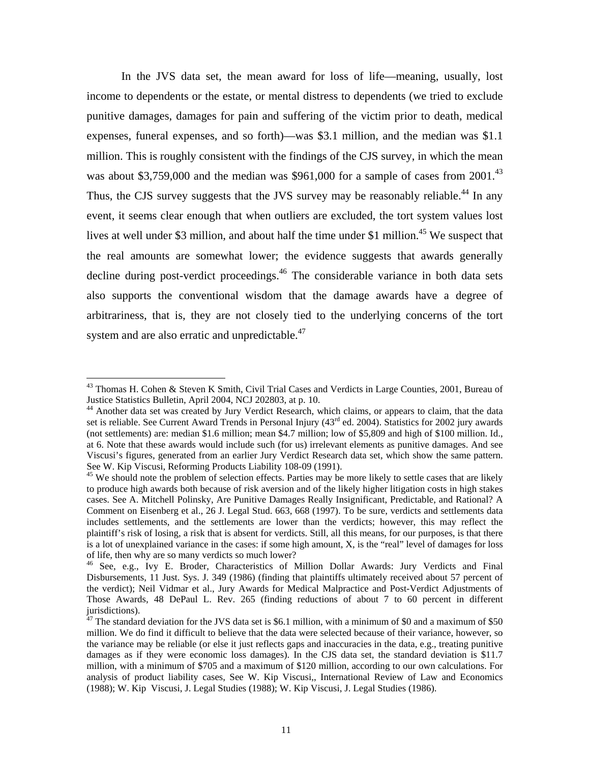In the JVS data set, the mean award for loss of life—meaning, usually, lost income to dependents or the estate, or mental distress to dependents (we tried to exclude punitiv e damages, damages for pain and suffering of the victim prior to death, medical expenses, funeral expenses, and so forth)—was \$3.1 million, and the median was \$1.1 million. This is roughly consistent with the findings of the CJS survey, in which the mean was about \$3,759,000 and the median was \$961,000 for a sample of cases from  $2001$ .<sup>43</sup> Thus,the CJS survey suggests that the JVS survey may be reasonably reliable.<sup>44</sup> In any event, it seems clear enough that when outliers are excluded, the tort system values lost lives at well under \$3 million, and about half the time under \$1 million.<sup>45</sup> We suspect that the real amounts are somewhat lower; the evidence suggests that awards generally decline during post-verdict proceedings.<sup>[46](#page-12-3)</sup> The considerable variance in both data sets also supports the conventional wisdom that the damage awards have a degree of arbitrariness, that is, they are not closely tied to the underlying concerns of the tort system and are also erratic and unpredictable. $47$ 

<span id="page-12-0"></span><sup>&</sup>lt;sup>43</sup> Thomas H. Cohen & Steven K Smith, Civil Trial Cases and Verdicts in Large Counties, 2001, Bureau of Bulletin, April 2004, NCJ 202803, at p. 10.

<span id="page-12-1"></span>Justice Statistics Bulletin, April 2004, NCJ 202803, at p. 10.<br><sup>44</sup> Another data set was created by Jury Verdict Research, which claims, or appears to claim, that the data<br>set is reliable. See Current Award Trands in Pers set is reliable. See Current Award Trends in Personal Injury (43<sup>rd</sup> ed. 2004). Statistics for 2002 jury awards (not settlements) are: median \$1.6 million; mean \$4.7 million; low of \$5,809 and high of \$100 million. Id., at 6. Note that these awards would include such (for us) irrelevant elements as punitive damages. And see Viscusi's figures, generated from an earlier Jury Verdict Research data set, which show the same pattern. See W. Kip Viscusi, Reforming Products Liability 108-09 (1991). See W. Kip Viscusi, Reforming Products Liability 108-09 (1991).<br><sup>45</sup> We should note the problem of selection effects. Parties may be more likely to settle cases that are likely

<span id="page-12-2"></span>to produce high awards both because of risk aversion and of the likely higher litigation costs in high stakes cases. See A. Mitchell Polinsky, Are Punitive Damages Really Insignificant, Predictable, and Rational? A Comment on Eisenberg et al., 26 J. Legal Stud. 663, 668 (1997). To be sure, verdicts and settlements data includes settlements, and the settlements are lower than the verdicts; however, this may reflect the plaintiff's risk of losing, a risk that is absent for verdicts. Still, all this means, for our purposes, is that there is a lot of unexplained variance in the cases: if some high amount, X, is the "real" level of damages for loss of life, then why are so many verdicts so much lower?

<span id="page-12-3"></span>Disbursements, 11 Just. Sys. J. 349 (1986) (finding that plaintiffs ultimately received about 57 percent of <sup>46</sup> See, e.g., Ivy E. Broder, Characteristics of Million Dollar Awards: Jury Verdicts and Final the verdict); Neil Vidmar et al., Jury Awards for Medical Malpractice and Post-Verdict Adjustments of Those Awards, 48 DePaul L. Rev. 265 (finding reductions of about 7 to 60 percent in different

<span id="page-12-4"></span>damages as if they were economic loss damages). In the CJS data set, the standard deviation is \$11.7 analysis of product liability cases, See W. Kip Viscusi,, International Review of Law and Economics (1988); W. Kip Viscusi, J. Legal Studies (1988); W. Kip Viscusi, J. Legal Studies (1986). <sup>7</sup> The standard deviation for the JVS data set is \$6.1 million, with a minimum of \$0 and a maximum of \$50 million. We do find it difficult to believe that the data were selected because of their variance, however, so the variance may be reliable (or else it just reflects gaps and inaccuracies in the data, e.g., treating punitive million, with a minimum of \$705 and a maximum of \$120 million, according to our own calculations. For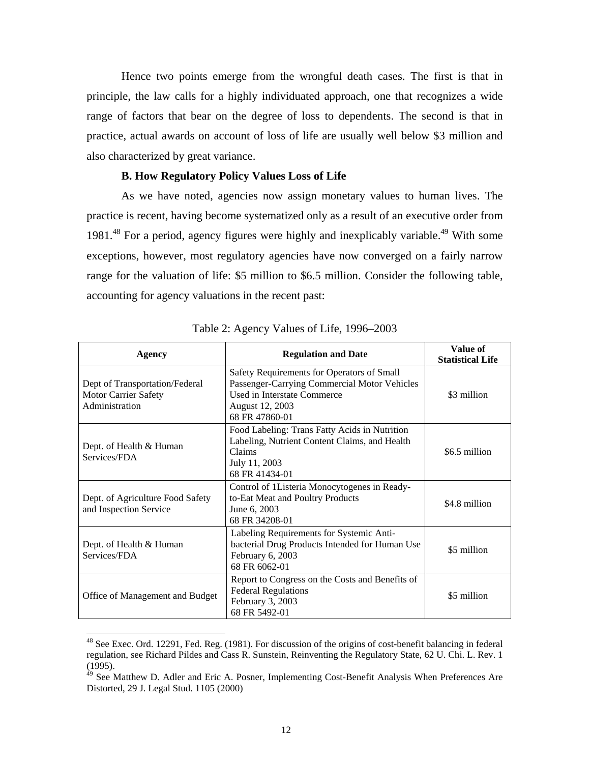Hence two points emerge from the wrongful death cases. The first is that in principle, the law calls for a highly individuated approach, one that recognizes a wide range of factors that bear on the degree of loss to dependents. The second is that in practice, actual awards on account of loss of life are usually well below \$3 million and also characterized by great variance.

#### **B. How Regulatory Policy Values Loss of Life**

As we have noted, agencies now assign monetary values to human lives. The practice is recent, having become systematized only as a result of an executive order from 1981.<sup>48</sup> For a period, agency figures were highly and inexplicably variable.<sup>49</sup> With some exceptions, however, most regulatory agencies have now converged on a fairly narrow range for the valuation of life: \$5 million to \$6.5 million. Consider the following table, accounting for agency valuations in the recent past:

| Agency                                                                   | <b>Regulation and Date</b>                                                                                                                                     | Value of<br><b>Statistical Life</b> |
|--------------------------------------------------------------------------|----------------------------------------------------------------------------------------------------------------------------------------------------------------|-------------------------------------|
| Dept of Transportation/Federal<br>Motor Carrier Safety<br>Administration | Safety Requirements for Operators of Small<br>Passenger-Carrying Commercial Motor Vehicles<br>Used in Interstate Commerce<br>August 12, 2003<br>68 FR 47860-01 | \$3 million                         |
| Dept. of Health & Human<br>Services/FDA                                  | Food Labeling: Trans Fatty Acids in Nutrition<br>Labeling, Nutrient Content Claims, and Health<br>Claims<br>July 11, 2003<br>68 FR 41434-01                    | \$6.5 million                       |
| Dept. of Agriculture Food Safety<br>and Inspection Service               | Control of 1 Listeria Monocytogenes in Ready-<br>to-Eat Meat and Poultry Products<br>June 6, 2003<br>68 FR 34208-01                                            | \$4.8 million                       |
| Dept. of Health & Human<br>Services/FDA                                  | Labeling Requirements for Systemic Anti-<br>bacterial Drug Products Intended for Human Use<br>February 6, 2003<br>68 FR 6062-01                                | \$5 million                         |
| Office of Management and Budget                                          | Report to Congress on the Costs and Benefits of<br><b>Federal Regulations</b><br>February 3, 2003<br>68 FR 5492-01                                             | \$5 million                         |

<span id="page-13-0"></span><sup>&</sup>lt;sup>48</sup> See Exec. Ord. 12291, Fed. Reg. (1981). For discussion of the origins of cost-benefit balancing in federal regulation, see Richard Pildes and Cass R. Sunstein, Reinventing the Regulatory State, 62 U. Chi. L. Rev. 1  $(1995).$ 

<span id="page-13-1"></span><sup>&</sup>lt;sup>49</sup> See Matthew D. Adler and Eric A. Posner, Implementing Cost-Benefit Analysis When Preferences Are Distorted, 29 J. Legal Stud. 1105 (2000)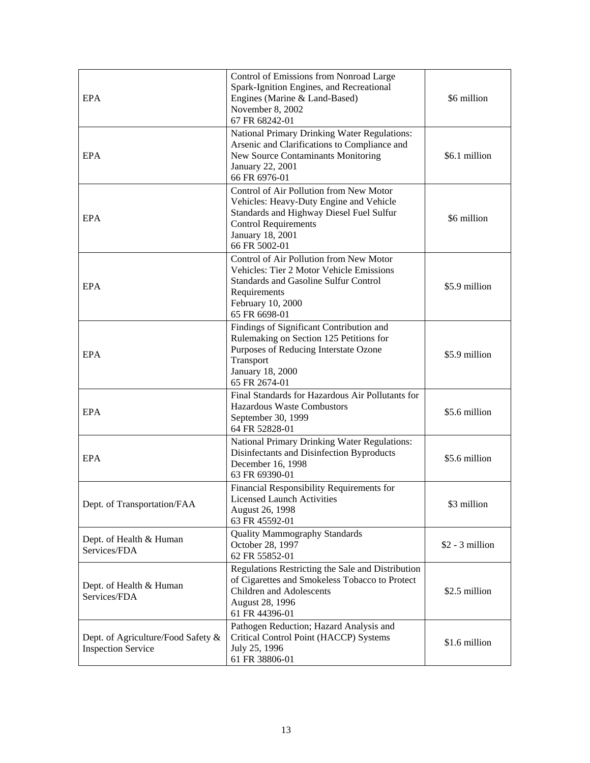| <b>EPA</b>                                                      | Control of Emissions from Nonroad Large<br>Spark-Ignition Engines, and Recreational<br>Engines (Marine & Land-Based)<br>November 8, 2002<br>67 FR 68242-01                                         | \$6 million      |
|-----------------------------------------------------------------|----------------------------------------------------------------------------------------------------------------------------------------------------------------------------------------------------|------------------|
| EPA                                                             | National Primary Drinking Water Regulations:<br>Arsenic and Clarifications to Compliance and<br>New Source Contaminants Monitoring<br>January 22, 2001<br>66 FR 6976-01                            | \$6.1 million    |
| <b>EPA</b>                                                      | Control of Air Pollution from New Motor<br>Vehicles: Heavy-Duty Engine and Vehicle<br>Standards and Highway Diesel Fuel Sulfur<br><b>Control Requirements</b><br>January 18, 2001<br>66 FR 5002-01 | \$6 million      |
| <b>EPA</b>                                                      | Control of Air Pollution from New Motor<br><b>Vehicles: Tier 2 Motor Vehicle Emissions</b><br><b>Standards and Gasoline Sulfur Control</b><br>Requirements<br>February 10, 2000<br>65 FR 6698-01   | \$5.9 million    |
| EPA                                                             | Findings of Significant Contribution and<br>Rulemaking on Section 125 Petitions for<br>Purposes of Reducing Interstate Ozone<br>Transport<br>January 18, 2000<br>65 FR 2674-01                     | \$5.9 million    |
| <b>EPA</b>                                                      | Final Standards for Hazardous Air Pollutants for<br>Hazardous Waste Combustors<br>September 30, 1999<br>64 FR 52828-01                                                                             | \$5.6 million    |
| <b>EPA</b>                                                      | National Primary Drinking Water Regulations:<br>Disinfectants and Disinfection Byproducts<br>December 16, 1998<br>63 FR 69390-01                                                                   | \$5.6 million    |
| Dept. of Transportation/FAA                                     | Financial Responsibility Requirements for<br>Licensed Launch Activities<br>August 26, 1998<br>63 FR 45592-01                                                                                       | \$3 million      |
| Dept. of Health & Human<br>Services/FDA                         | <b>Quality Mammography Standards</b><br>October 28, 1997<br>62 FR 55852-01                                                                                                                         | $$2 - 3$ million |
| Dept. of Health & Human<br>Services/FDA                         | Regulations Restricting the Sale and Distribution<br>of Cigarettes and Smokeless Tobacco to Protect<br><b>Children and Adolescents</b><br>August 28, 1996<br>61 FR 44396-01                        | \$2.5 million    |
| Dept. of Agriculture/Food Safety &<br><b>Inspection Service</b> | Pathogen Reduction; Hazard Analysis and<br>Critical Control Point (HACCP) Systems<br>July 25, 1996<br>61 FR 38806-01                                                                               | \$1.6 million    |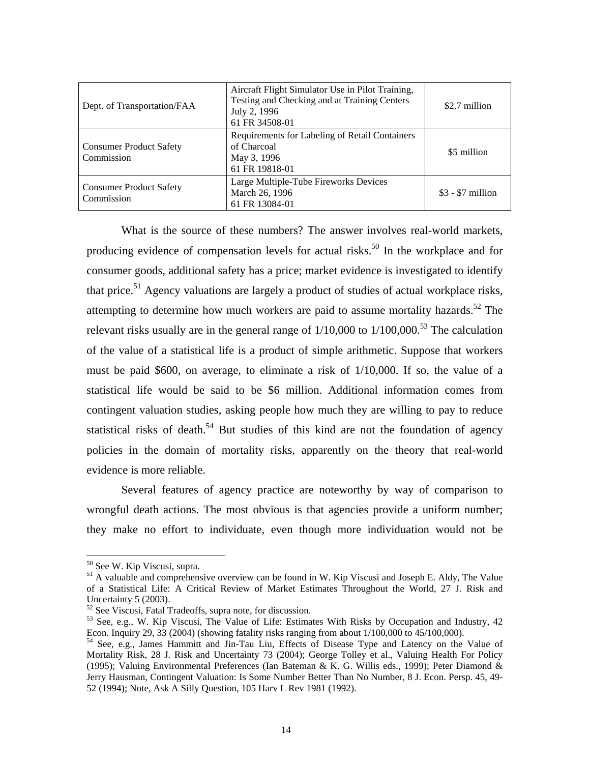| Dept. of Transportation/FAA                  | Aircraft Flight Simulator Use in Pilot Training,<br>Testing and Checking and at Training Centers<br>July 2, 1996<br>61 FR 34508-01 | \$2.7 million     |
|----------------------------------------------|------------------------------------------------------------------------------------------------------------------------------------|-------------------|
| <b>Consumer Product Safety</b><br>Commission | Requirements for Labeling of Retail Containers<br>of Charcoal<br>May 3, 1996<br>61 FR 19818-01                                     | \$5 million       |
| <b>Consumer Product Safety</b><br>Commission | Large Multiple-Tube Fireworks Devices<br>March 26, 1996<br>61 FR 13084-01                                                          | $$3 - $7$ million |

What is the source of these numbers? The answer involves real-world markets, producing evidence of compensation levels for actual risks.<sup>[50](#page-15-0)</sup> In the workplace and for consumer goods, additional safety has a price; market evidence is investigated to identify that price.<sup>51</sup> Agency valuations are largely a product of studies of actual workplace risks, attempting to determine how much workers are paid to assume mortality hazards.<sup>52</sup> The relevant risks usually are in the general range of  $1/10,000$  to  $1/100,000$ .<sup>53</sup> The calculation of the value of a statistical life is a product of simple arithmetic. Suppose that workers must be paid \$600, on average, to eliminate a risk of  $1/10,000$ . If so, the value of a statistical life would be said to be \$6 million. Additional information comes from contingent valuation studies, asking people how much they are willing to pay to reduce statistical risks of death.<sup>54</sup> But studies of this kind are not the foundation of agency policies in the domain of mortality risks, apparently on the theory that real-world evidence is more reliable.

Several features of agency practice are noteworthy by way of comparison to wrongful death actions. The most obvious is that agencies provide a uniform number; they make no effort to individuate, even though more individuation would not be

<span id="page-15-1"></span><span id="page-15-0"></span>

<sup>&</sup>lt;sup>50</sup> See W. Kip Viscusi, supra.<br><sup>51</sup> A valuable and comprehensive overview can be found in W. Kip Viscusi and Joseph E. Aldy, The Value of a Statistical Life: A Critical Review of Market Estimates Throughout the World, 27 J. Risk and Uncertainty 5 (2003).<br><sup>52</sup> See Viscusi, Fatal Tradeoffs, supra note, for discussion.<br><sup>53</sup> See, e.g., W. Kip Viscusi, The Value of Life: Estimates With Risks by Occupation and Industry, 42 Uncertainty 5 (2003).

<span id="page-15-2"></span> $52$  See Viscusi, Fatal Tradeoffs, supra note, for discussion.

<span id="page-15-3"></span>g fatality risks ranging from about  $1/100,000$  to  $45/100,000$ ). Econ. Inquiry 29, 33 (2004) (showing fatality risks ranging from about 1/100,000 to 45/100,000).<br><sup>54</sup> See, e.g., James Hammitt and Jin-Tau Liu, Effects of Disease Type and Latency on the Value of

<span id="page-15-4"></span>Mortality Risk, 28 J. Risk and Uncertainty 73 (2004); George Tolley et al., Valuing Health For Policy (1995); Valuing Environmental Preferences (Ian Bateman & K. G. Willis eds., 1999); Peter Diamond & Jerry Hausman, Contingent Valuation: Is Some Number Better Than No Number, 8 J. Econ. Persp. 45, 49- 52 (1994); Note, Ask A Silly Question, 105 Harv L Rev 1981 (1992).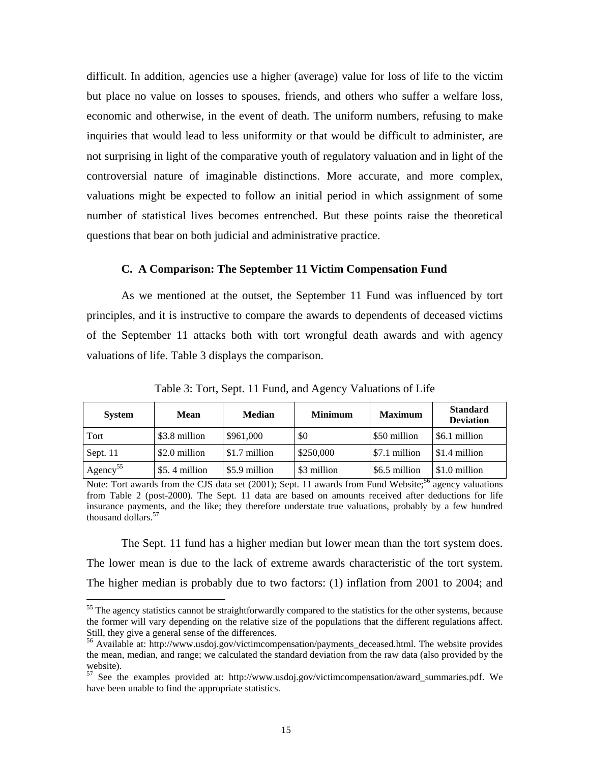difficult. In addition, agencies use a higher (average) value for loss of life to the victim but place no value on losses to spouses, friends, and others who suffer a welfare loss, economic and otherwise, in the event of death. The uniform numbers, refusing to make inquiries that would lead to less uniformity or that would be difficult to administer, are not surprising in light of the comparative youth of regulatory valuation and in light of the controversial nature of imaginable distinctions. More accurate, and more complex, valuations might be expected to follow an initial period in which assignment of some number of statistical lives becomes entrenched. But these points raise the theoretical questio ns that bear on both judicial and administrative practice.

#### **C. A Comparison: The September 11 Victim Compensation Fund**

As we mentioned at the outset, the September 11 Fund was influenced by tort principles, and it is instructive to compare the awards to dependents of deceased victims of the September 11 attacks both with tort wrongful death awards and with agency valuations of life. Table 3 displays the comparison.

| <b>System</b>        | <b>Mean</b>   | <b>Median</b> | <b>Minimum</b> | <b>Maximum</b> | <b>Standard</b><br><b>Deviation</b> |
|----------------------|---------------|---------------|----------------|----------------|-------------------------------------|
| Tort                 | \$3.8 million | \$961,000     | \$0            | \$50 million   | \$6.1 million                       |
| Sept. $11$           | \$2.0 million | \$1.7 million | \$250,000      | \$7.1 million  | \$1.4 million                       |
| Agency <sup>55</sup> | \$5.4 million | \$5.9 million | \$3 million    | \$6.5 million  | \$1.0 million                       |

Table 3: Tort, Sept. 11 Fund, and Agency Valuations of Life

Note: Tort awards from the CJS data set (2001); Sept. 11 awards from Fund Website;<sup>56</sup> agency valuations from Ta ble 2 (post-2000). The Sept. 11 data are based on amounts received after deductions for life insurance payments, and the like; they therefore understate true valuations, probably by a few hundred thousand dollars.<sup>57</sup>

The Sept. 11 fund has a higher median but lower mean than the tort system does. The lower mean is due to the lack of extreme awards characteristic of the tort system. The higher median is probably due to two factors: (1) inflation from 2001 to 2004; and

<span id="page-16-0"></span> $55$  The agency statistics cannot be straightforwardly compared to the statistics for the other systems, because the former will vary depending on the relative size of the populations that the different regulations affect.<br>Still, they give a general sense of the differences.

<span id="page-16-1"></span><sup>56</sup> Available at: http://www.usdoj.gov/victimcompensation/payments\_deceased.html. The website provides the mean, median, and range; we calculated the standard deviation from the raw data (also provided by the

<span id="page-16-2"></span>website).<br><sup>57</sup> See the examples provided at: http://www.usdoj.gov/victimcompensation/award\_summaries.pdf. We have been unable to find the appropriate statistics.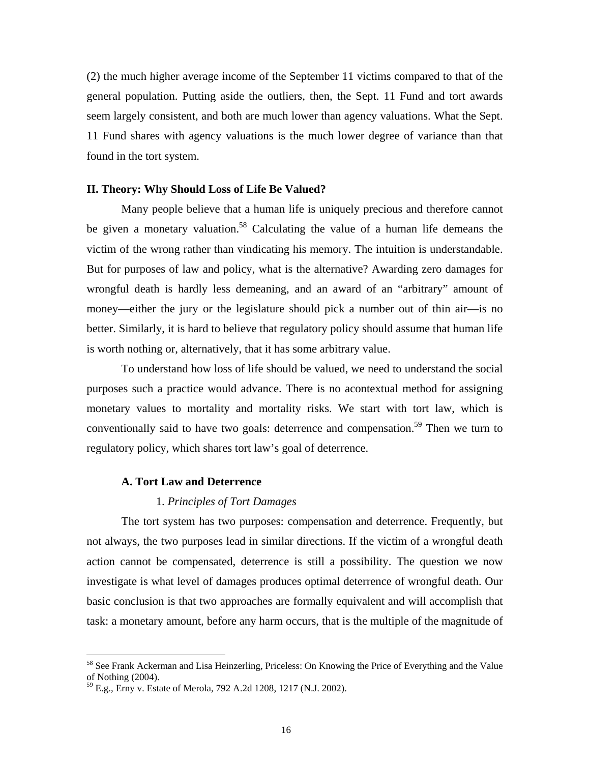(2) the much higher average income of the September 11 victims compared to that of the general population. Putting aside the outliers, then, the Sept. 11 Fund and tort awards seem largely consistent, and both are much lower than agency valuations. What the Sept. 11 Fund shares with agency valuations is the much lower degree of variance than that found in the tort system.

#### **II. Theory: Why Should Loss of Life Be Valued?**

Many people believe that a human life is uniquely precious and therefore cannot be given a monetary valuation.<sup>58</sup> Calculating the value of a human life demeans the victim of the wrong rather than vindicating his memory. The intuition is understandable. But for purposes of law and policy, what is the alternative? Awarding zero damages for is worth nothing or, alternatively, that it has some arbitrary value. wrongful death is hardly less demeaning, and an award of an "arbitrary" amount of money—either the jury or the legislature should pick a number out of thin air—is no better. Similarly, it is hard to believe that regulatory policy should assume that human life

To understand how loss of life should be valued, we need to understand the social purposes such a practice would advance. There is no acontextual method for assigning monetary values to mortality and mortality risks. We start with tort law, which is conventionally said to have two goals: deterrence and compensation.<sup>59</sup> Then we turn to regulatory policy, which shares tort law's goal of deterrence.

#### **A. Tort Law and Deterrence**

#### 1. *Principles of Tort Damages*

The tort system has two purposes: compensation and deterrence. Frequently, but basic conclusion is that two approaches are formally equivalent and will accomplish that not always, the two purposes lead in similar directions. If the victim of a wrongful death action cannot be compensated, deterrence is still a possibility. The question we now investigate is what level of damages produces optimal deterrence of wrongful death. Our task: a monetary amount, before any harm occurs, that is the multiple of the magnitude of

<span id="page-17-0"></span><sup>58</sup> See Frank Ackerman and Lisa Heinzerling, Priceless: On Knowing the Price of Everything and the Value of Nothing (2004).

<span id="page-17-1"></span><sup>&</sup>lt;sup>59</sup> E.g., Erny v. Estate of Merola, 792 A.2d 1208, 1217 (N.J. 2002).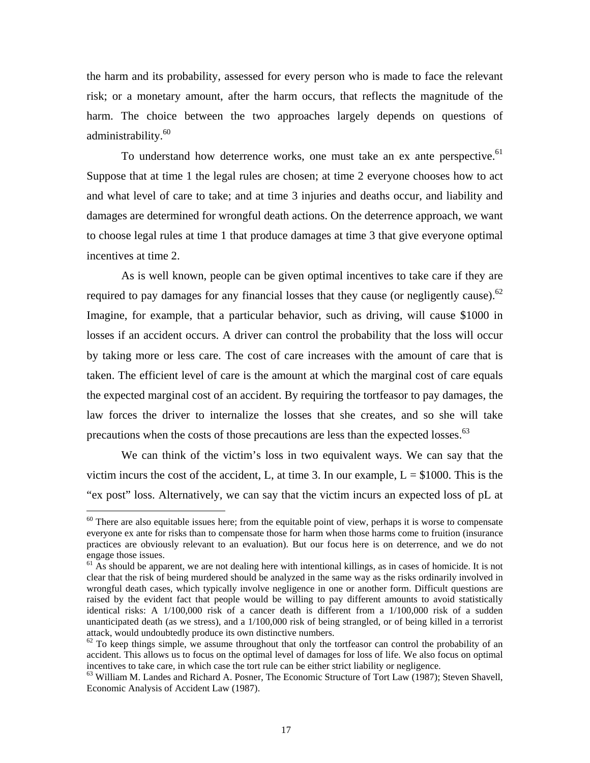the harm and its probability, assessed for every person who is made to face the relevant risk; or a monetary amount, after the harm occurs, that reflects the magnitude of the harm. The choice between the two approaches largely depends on questions of administrability.<sup>60</sup>

To understand how deterrence works, one must take an ex ante perspective.<sup>61</sup> Suppose that at time 1 the legal rules are chosen; at time 2 everyone chooses how to act and what level of care to take; and at time 3 injuries and deaths occur, and liability and damages are determined for wrongful death actions. On the deterrence approach, we want to choose legal rules at time 1 that produce damages at time 3 that give everyone optimal incentives at time 2.

by taking more or less care. The cost of care increases with the amount of care that is As is well known, people can be given optimal incentives to take care if they are required to pay damages for any financial losses that they cause (or negligently cause).<sup>62</sup> Imagine, for example, that a particular behavior, such as driving, will cause \$1000 in losses if an accident occurs. A driver can control the probability that the loss will occur taken. The efficient level of care is the amount at which the marginal cost of care equals the expected marginal cost of an accident. By requiring the tortfeasor to pay damages, the law forces the driver to internalize the losses that she creates, and so she will take precautions when the costs of those precautions are less than the expected losses.  $^{63}$  $^{63}$  $^{63}$ 

We can think of the victim's loss in two equivalent ways. We can say that the victim incurs the cost of the accident, L, at time 3. In our example,  $L = $1000$ . This is the "ex post" loss. Alternatively, we can say that the victim incurs an expected loss of pL at

<span id="page-18-0"></span> $60$  There are also equitable issues here; from the equitable point of view, perhaps it is worse to compensate everyone ex ante for risks than to compensate those for harm when those harms come to fruition (insurance practices are obviously relevant to an evaluation). But our focus here is on deterrence, and we do not

<span id="page-18-1"></span> $61$  As should be apparent, we are not dealing here with intentional killings, as in cases of homicide. It is not clear that the risk of being murdered should be analyzed in the same way as the risks ordinarily involved in wrongful death cases, which typically involve negligence in one or another form. Difficult questions are raised by the evident fact that people would be willing to pay different amounts to avoid statistically identical risks: A 1/100,000 risk of a cancer death is different from a 1/100,000 risk of a sudden unanticipated death (as we stress), and a 1/100,000 risk of being strangled, or of being killed in a terrorist attack, would undoubtedly produce its own distinctive numbers.<br><sup>62</sup> To keep things simple, we assume throughout that only the tortfeasor can control the probability of an

<span id="page-18-2"></span>accident. This allows us to focus on the optimal level of damages for loss of life. We also focus on optimal incentives to take care, in which case the tort rule can be either strict liability or negligence.<br><sup>63</sup> William M. Landes and Richard A. Posner, The Economic Structure of Tort Law (1987); Steven Shavell,

<span id="page-18-3"></span>Economic Analysis of Accident Law (1987).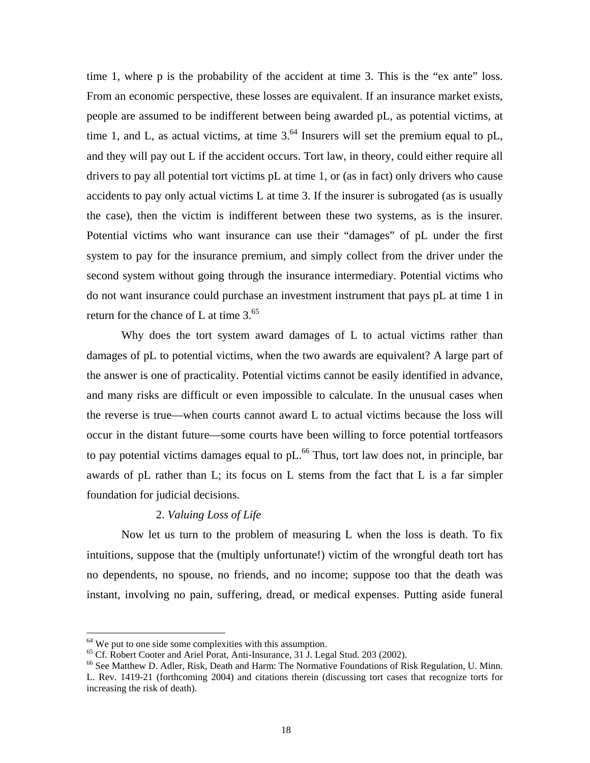time 1, where p is the probability of the accident at time 3. This is the "ex ante" loss. From an economic perspective, these losses are equivalent. If an insurance market exists, people are assumed to be indifferent between being awarded pL, as potential victims, at time 1, and L, as actual victims, at time  $3.^{64}$  Insurers will set the premium equal to pL, system to pay for the insurance premium, and simply collect from the driver under the and they will pay out L if the accident occurs. Tort law, in theory, could either require all drivers to pay all potential tort victims pL at time 1, or (as in fact) only drivers who cause accidents to pay only actual victims L at time 3. If the insurer is subrogated (as is usually the case), then the victim is indifferent between these two systems, as is the insurer. Potential victims who want insurance can use their "damages" of pL under the first second system without going through the insurance intermediary. Potential victims who do not want insurance could purchase an investment instrument that pays pL at time 1 in return for the chance of L at time  $3.^{65}$ 

Why does the tort system award damages of L to actual victims rather than damages of pL to potential victims, when the two awards are equivalent? A large part of the answer is one of practicality. Potential victims cannot be easily identified in advance, and many risks are difficult or even impossible to calculate. In the unusual cases when the reverse is true—when courts cannot award L to actual victims because the loss will occur in the distant future—some courts have been willing to force potential tortfeasors to pay potential victims damages equal to  $pL<sup>66</sup>$ . Thus, tort law does not, in principle, bar awards of pL rather than L; its focus on L stems from the fact that L is a far simpler foundation for judicial decisions.

#### 2. *Valuing Loss of Life*

intuitions, suppose that the (multiply unfortunate!) victim of the wrongful death tort has Now let us turn to the problem of measuring L when the loss is death. To fix no dependents, no spouse, no friends, and no income; suppose too that the death was instant, involving no pain, suffering, dread, or medical expenses. Putting aside funeral

<span id="page-19-1"></span><span id="page-19-0"></span>

<sup>&</sup>lt;sup>64</sup> We put to one side some complexities with this assumption.<br><sup>65</sup> Cf. Robert Cooter and Ariel Porat, Anti-Insurance, 31 J. Legal Stud. 203 (2002).<br><sup>66</sup> See Matthew D. Adler, Risk, Death and Harm: The Normative Foundati

<span id="page-19-2"></span>L. Rev. 1419-21 (forthcoming 2004) and citations therein (discussing tort cases that recognize torts for increasing the risk of death).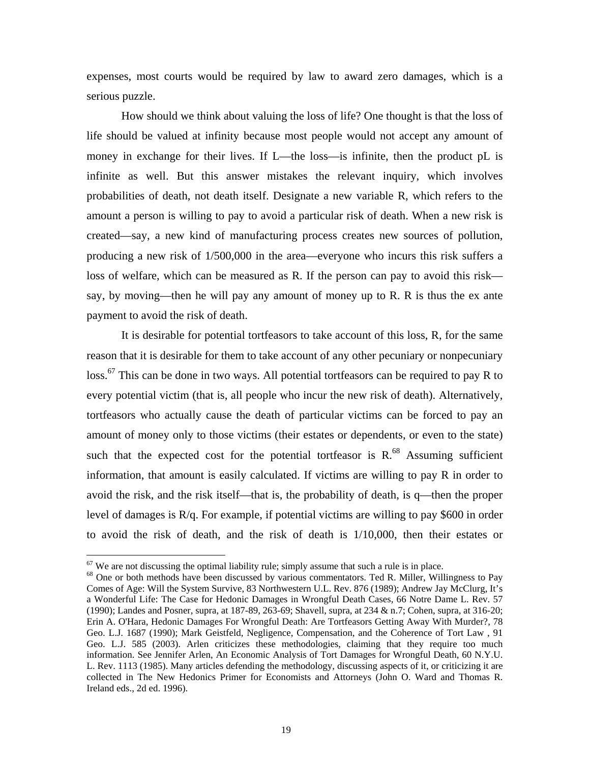expenses, most courts would be required by law to award zero damages, which is a serious puzzle.

How should we think about valuing the loss of life? One thought is that the loss of life should be valued at infinity because most people would not accept any amount of money in exchange for their lives. If L—the loss—is infinite, then the product pL is infinite as well. But this answer mistakes the relevant inquiry, which involves probabilities of death, not death itself. Designate a new variable R, which refers to the amount a person is willing to pay to avoid a particular risk of death. When a new risk is created—say, a new kind of manufacturing process creates new sources of pollution, producing a new risk of 1/500,000 in the area—everyone who incurs this risk suffers a loss of welfare, which can be measured as R. If the person can pay to avoid this risk say, by moving—then he will pay any amount of money up to R. R is thus the ex ante payment to avoid the risk of death.

It is desirable for potential tortfeasors to take account of this loss, R, for the same reason that it is desirable for them to take account of any other pecuniary or nonpecuniary loss.<sup>67</sup> This can be done in two ways. All potential tortfeasors can be required to pay R to every potential victim (that is, all people who incur the new risk of death). Alternatively, tortfeasors who actually cause the death of particular victims can be forced to pay an amount of money only to those victims (their estates or dependents, or even to the state) such that the expected cost for the potential tortfeasor is  $R<sup>68</sup>$ . Assuming sufficient information, that amount is easily calculated. If victims are willing to pay R in order to avoid the risk, and the risk itself—that is, the probability of death, is q—then the proper level of damages is R/q. For example, if potential victims are willing to pay \$600 in order to avoid the risk of death, and the risk of death is 1/10,000, then their estates or

<span id="page-20-1"></span><span id="page-20-0"></span>

 $67$  We are not discussing the optimal liability rule; simply assume that such a rule is in place.<br> $68$  One or both methods have been discussed by various commentators. Ted R. Miller, Willingness to Pay Comes of Age: Will the System Survive, 83 Northwestern U.L. Rev. 876 (1989); Andrew Jay McClurg, It's a Wonderful Life: The Case for Hedonic Damages in Wrongful Death Cases, 66 Notre Dame L. Rev. 57 (1990); Landes and Posner, supra, at 187-89, 263-69; Shavell, supra, at 234 & n.7; Cohen, supra, at 316-20; Erin A. O'Hara, Hedonic Damages For Wrongful Death: Are Tortfeasors Getting Away With Murder?, 78 Geo. L.J. 1687 (1990); Mark Geistfeld, Negligence, Compensation, and the Coherence of Tort Law , 91 Geo. L.J. 585 (2003). Arlen criticizes these methodologies, claiming that they require too much information. See Jennifer Arlen, An Economic Analysis of Tort Damages for Wrongful Death, 60 N.Y.U. L. Rev. 1113 (1985). Many articles defending the methodology, discussing aspects of it, or criticizing it are collected in The New Hedonics Primer for Economists and Attorneys (John O. Ward and Thomas R. Ireland eds., 2d ed. 1996).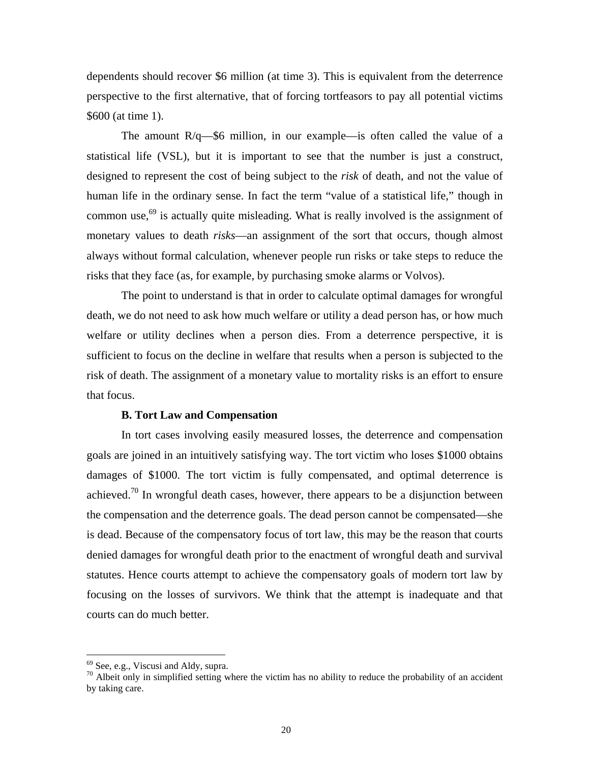dependents should recover \$6 million (at time 3). This is equivalent from the deterrence perspective to the first alternative, that of forcing tortfeasors to pay all potential victims \$600 (at time 1).

The amount  $R/q$ —\$6 million, in our example—is often called the value of a statistical life (VSL), but it is important to see that the number is just a construct, designed to represent the cost of being subject to the *risk* of death, and not the value of human life in the ordinary sense. In fact the term "value of a statistical life," though in common use,<sup>69</sup> is actually quite misleading. What is really involved is the assignment of monetary values to death *risks*—an assignment of the sort that occurs, though almost always without formal calculation, whenever people run risks or take steps to reduce the risks that they face (as, for example, by purchasing smoke alarms or Volvos).

death, we do not need to ask how much welfare or utility a dead person has, or how much welfare or utility declines when a person dies. From a deterrence perspective, it is The point to understand is that in order to calculate optimal damages for wrongful sufficient to focus on the decline in welfare that results when a person is subjected to the risk of death. The assignment of a monetary value to mortality risks is an effort to ensure that focus.

#### **B. Tort Law and Compensation**

denied damages for wrongful death prior to the enactment of wrongful death and survival In tort cases involving easily measured losses, the deterrence and compensation goals are joined in an intuitively satisfying way. The tort victim who loses \$1000 obtains damages of \$1000. The tort victim is fully compensated, and optimal deterrence is achieved.<sup>70</sup> In wrongful death cases, however, there appears to be a disjunction between the compensation and the deterrence goals. The dead person cannot be compensated—she is dead. Because of the compensatory focus of tort law, this may be the reason that courts statutes. Hence courts attempt to achieve the compensatory goals of modern tort law by focusing on the losses of survivors. We think that the attempt is inadequate and that courts can do much better.

<span id="page-21-1"></span><span id="page-21-0"></span>

<sup>&</sup>lt;sup>69</sup> See, e.g., Viscusi and Aldy, supra.<br><sup>70</sup> Albeit only in simplified setting where the victim has no ability to reduce the probability of an accident by taking care.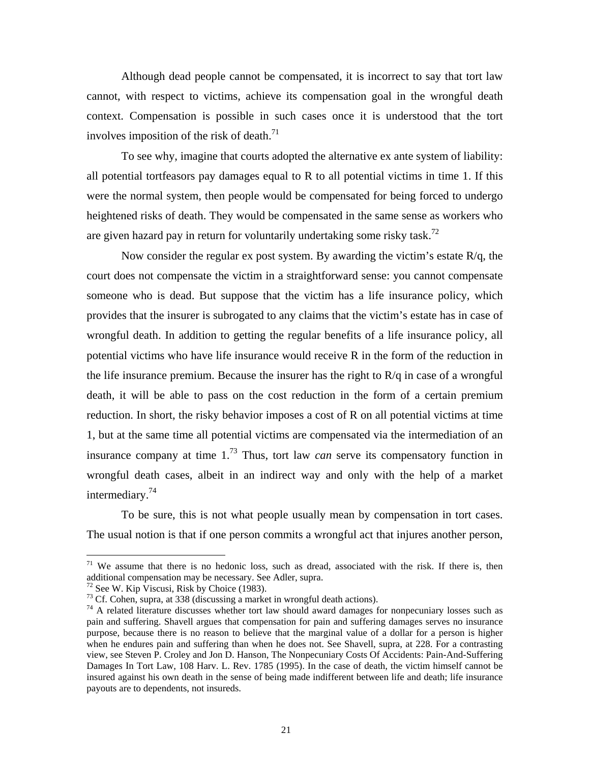Although dead people cannot be compensated, it is incorrect to say that tort law cannot, with respect to victims, achieve its compensation goal in the wrongful death context. Compensation is possible in such cases once it is understood that the tort involves imposition of the risk of death.<sup>[71](#page-22-0)</sup>

To see why, imagine that courts adopted the alternative ex ante system of liability: all potential tortfeasors pay damages equal to R to all potential victims in time 1. If this were the normal system, then people would be compensated for being forced to undergo heightened risks of death. They would be compensated in the same sense as workers who are given hazard pay in return for voluntarily undertaking some risky task.<sup>[72](#page-22-1)</sup>

court does not compensate the victim in a straightforward sense: you cannot compensate someone who is dead. But suppose that the victim has a life insurance policy, which death, it will be able to pass on the cost reduction in the form of a certain premium reduction. In short, the risky behavior imposes a cost of R on all potential victims at time Now consider the regular ex post system. By awarding the victim's estate R/q, the provides that the insurer is subrogated to any claims that the victim's estate has in case of wrongful death. In addition to getting the regular benefits of a life insurance policy, all potential victims who have life insurance would receive R in the form of the reduction in the life insurance premium. Because the insurer has the right to R/q in case of a wrongful 1, but at the same time all potential victims are compensated via the intermediation of an insurance company at time 1.[73](#page-22-2) Thus, tort law *can* serve its compensatory function in wrongful death cases, albeit in an indirect way and only with the help of a market intermediary.[74](#page-22-3) 

To be sure, this is not what people usually mean by compensation in tort cases. The usual notion is that if one person commits a wrongful act that injures another person,

<span id="page-22-0"></span> $71$  We assume that there is no hedonic loss, such as dread, associated with the risk. If there is, then additional compensation may be necessary. See Adler, supra.<br><sup>72</sup> See W. Kip Viscusi, Risk by Choice (1983).<br><sup>73</sup> Cf. Cohen, supra, at 338 (discussing a market in wrongful death actions).

<span id="page-22-1"></span>

<span id="page-22-2"></span>

<span id="page-22-3"></span>pain and suffering. Shavell argues that compensation for pain and suffering damages serves no insurance  $74$  A related literature discusses whether tort law should award damages for nonpecuniary losses such as purpose, because there is no reason to believe that the marginal value of a dollar for a person is higher when he endures pain and suffering than when he does not. See Shavell, supra, at 228. For a contrasting view, see Steven P. Croley and Jon D. Hanson, The Nonpecuniary Costs Of Accidents: Pain-And-Suffering Damages In Tort Law, 108 Harv. L. Rev. 1785 (1995). In the case of death, the victim himself cannot be payouts are to dependents, not insureds. insured against his own death in the sense of being made indifferent between life and death; life insurance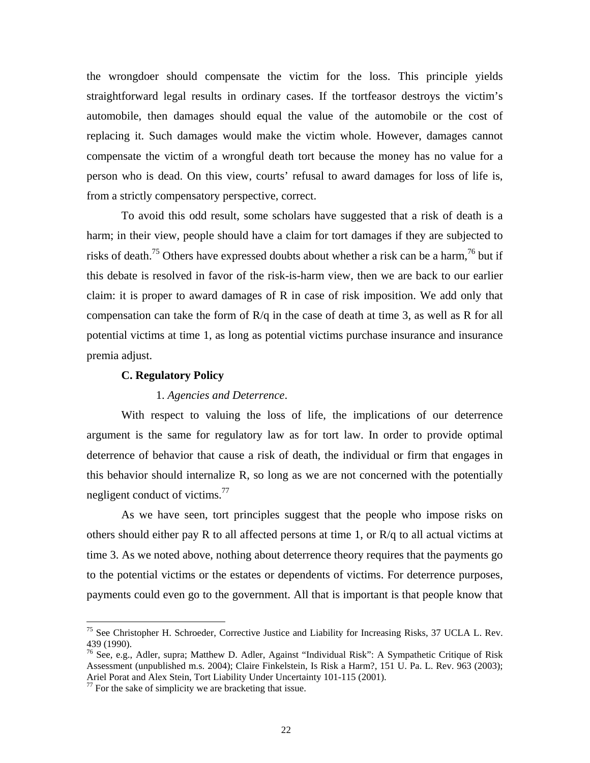the wrongdoer should compensate the victim for the loss. This principle yields straightforward legal results in ordinary cases. If the tortfeasor destroys the victim's automobile, then damages should equal the value of the automobile or the cost of replacing it. Such damages would make the victim whole. However, damages cannot compensate the victim of a wrongful death tort because the money has no value for a person who is dead. On this view, courts' refusal to award damages for loss of life is, from a strictly compensatory perspective, correct.

harm; in their view, people should have a claim for tort damages if they are subjected to To avoid this odd result, some scholars have suggested that a risk of death is a risks of death.<sup>75</sup> Others have expressed doubts about whether a risk can be a harm,<sup>76</sup> but if this debate is resolved in favor of the risk-is-harm view, then we are back to our earlier claim: it is proper to award damages of R in case of risk imposition. We add only that compensation can take the form of R/q in the case of death at time 3, as well as R for all potential victims at time 1, as long as potential victims purchase insurance and insurance premia adjust.

#### **C. Regulatory Policy**

#### 1. *Agencies and Deterrence*.

negligent conduct of victims.<sup>77</sup> With respect to valuing the loss of life, the implications of our deterrence argument is the same for regulatory law as for tort law. In order to provide optimal deterrence of behavior that cause a risk of death, the individual or firm that engages in this behavior should internalize R, so long as we are not concerned with the potentially

time 3. As we noted above, nothing about deterrence theory requires that the payments go payments could even go to the government. All that is important is that people know that As we have seen, tort principles suggest that the people who impose risks on others should either pay R to all affected persons at time 1, or R/q to all actual victims at to the potential victims or the estates or dependents of victims. For deterrence purposes,

<span id="page-23-0"></span><sup>&</sup>lt;sup>75</sup> See Christopher H. Schroeder, Corrective Justice and Liability for Increasing Risks, 37 UCLA L. Rev. 439 (1990).

<span id="page-23-1"></span><sup>76</sup> See, e.g., Adler, supra; Matthew D. Adler, Against "Individual Risk": A Sympathetic Critique of Risk Assessment (unpublished m.s. 2004); Claire Finkelstein, Is Risk a Harm?, 151 U. Pa. L. Rev. 963 (2003); Ariel Porat and Alex Stein, Tort Liability Under Uncertainty 101-115 (2001). <sup>77</sup> For the sake of simplicity we are bracketing that issue.

<span id="page-23-2"></span>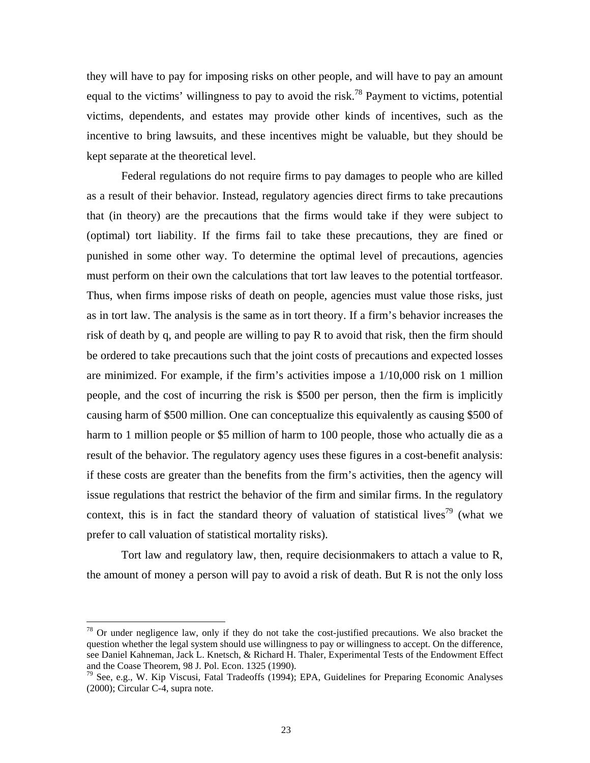they will have to pay for imposing risks on other people, and will have to pay an amount equal to the victims' willingness to pay to avoid the risk.<sup>78</sup> Payment to victims, potential victims, dependents, and estates may provide other kinds of incentives, such as the incentive to bring lawsuits, and these incentives might be valuable, but they should be kept separate at the theoretical level.

Federal regulations do not require firms to pay damages to people who are killed as a result of their behavior. Instead, regulatory agencies direct firms to take precautions be ordered to take precautions such that the joint costs of precautions and expected losses are minimized. For example, if the firm's activities impose a  $1/10,000$  risk on 1 million people, and the cost of incurring the risk is \$500 per person, then the firm is implicitly causing harm of \$500 million. One can conceptualize this equivalently as causing \$500 of issue regulations that restrict the behavior of the firm and similar firms. In the regulatory that (in theory) are the precautions that the firms would take if they were subject to (optimal) tort liability. If the firms fail to take these precautions, they are fined or punished in some other way. To determine the optimal level of precautions, agencies must perform on their own the calculations that tort law leaves to the potential tortfeasor. Thus, when firms impose risks of death on people, agencies must value those risks, just as in tort law. The analysis is the same as in tort theory. If a firm's behavior increases the risk of death by q, and people are willing to pay R to avoid that risk, then the firm should harm to 1 million people or \$5 million of harm to 100 people, those who actually die as a result of the behavior. The regulatory agency uses these figures in a cost-benefit analysis: if these costs are greater than the benefits from the firm's activities, then the agency will context, this is in fact the standard theory of valuation of statistical lives<sup>79</sup> (what we prefer to call valuation of statistical mortality risks).

Tort law and regulatory law, then, require decisionmakers to attach a value to R, the amount of money a person will pay to avoid a risk of death. But R is not the only loss

<span id="page-24-0"></span>question whether the legal system should use willingness to pay or willingness to accept. On the difference, and the Coase Theorem, 98 J. Pol. Econ. 1325 (1990).<br><sup>79</sup> See, e.g., W. Kip Viscusi, Fatal Tradeoffs (1994); EPA, Guidelines for Preparing Economic Analyses  $78$  Or under negligence law, only if they do not take the cost-justified precautions. We also bracket the see Daniel Kahneman, Jack L. Knetsch, & Richard H. Thaler, Experimental Tests of the Endowment Effect

<span id="page-24-1"></span><sup>(2000);</sup> Circular C-4, supra note.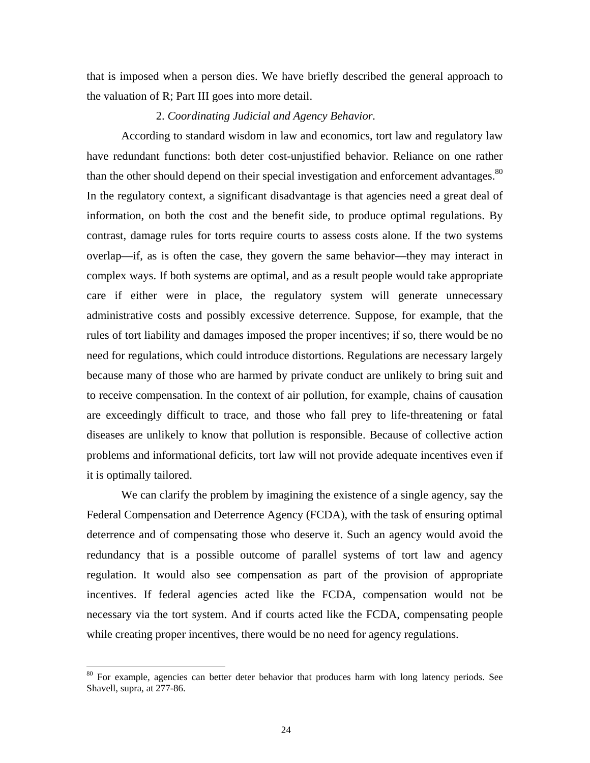that is imposed when a person dies. We have briefly described the general approach to the valuation of R; Part III goes into more detail.

#### 2. *Coordinating Judicial and Agency Behavior.*

According to standard wisdom in law and economics, tort law and regulatory law have redundant functions: both deter cost-unjustified behavior. Reliance on one rather than the other should depend on their special investigation and enforcement advantages.<sup>80</sup> In the regulatory context, a significant disadvantage is that agencies need a great deal of information, on both the cost and the benefit side, to produce optimal regulations. By contrast, damage rules for torts require courts to assess costs alone. If the two systems overlap—if, as is often the case, they govern the same behavior—they may interact in complex ways. If both systems are optimal, and as a result people would take appropriate care if either were in place, the regulatory system will generate unnecessary administrative costs and possibly excessive deterrence. Suppose, for example, that the rules of tort liability and damages imposed the proper incentives; if so, there would be no need for regulations, which could introduce distortions. Regulations are necessary largely because many of those who are harmed by private conduct are unlikely to bring suit and to receive compensation. In the context of air pollution, for example, chains of causation are exceedingly difficult to trace, and those who fall prey to life-threatening or fatal diseases are unlikely to know that pollution is responsible. Because of collective action problems and informational deficits, tort law will not provide adequate incentives even if it is optimally tailored.

deterrence and of compensating those who deserve it. Such an agency would avoid the incentives. If federal agencies acted like the FCDA, compensation would not be necessary via the tort system. And if courts acted like the FCDA, compensating people We can clarify the problem by imagining the existence of a single agency, say the Federal Compensation and Deterrence Agency (FCDA), with the task of ensuring optimal redundancy that is a possible outcome of parallel systems of tort law and agency regulation. It would also see compensation as part of the provision of appropriate while creating proper incentives, there would be no need for agency regulations.

<span id="page-25-0"></span> $80$  For example, agencies can better deter behavior that produces harm with long latency periods. See Shavell, supra, at 277-86.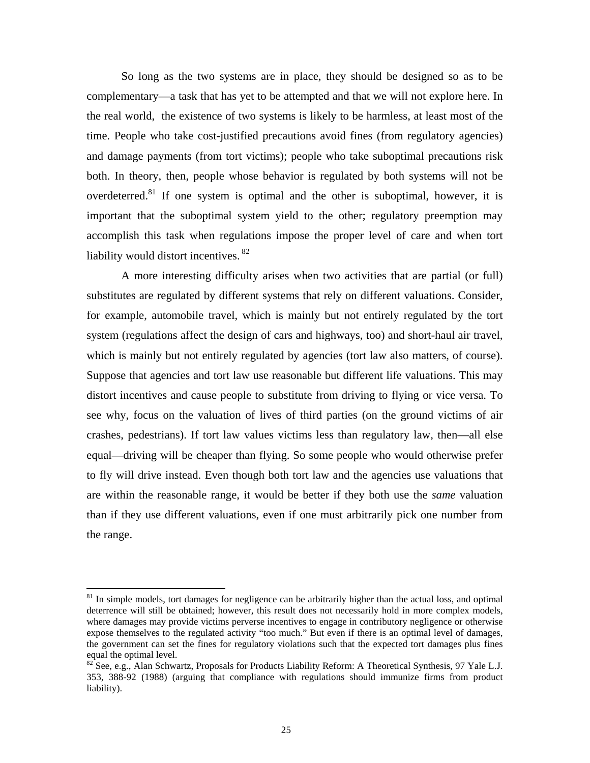So long as the two systems are in place, they should be designed so as to be complementary—a task that has yet to be attempted and that we will not explore here. In the real world, the existence of two systems is likely to be harmless, at least most of the time. P eople who take cost-justified precautions avoid fines (from regulatory agencies) and damage payments (from tort victims); people who take suboptimal precautions risk both. In theory, then, people whose behavior is regulated by both systems will not be overdeterred.<sup>81</sup> If one system is optimal and the other is suboptimal, however, it is important that the suboptimal system yield to the other; regulatory preemption may accomplish this task when regulations impose the proper level of care and when tort liability would distort incentives. <sup>82</sup>

to fly will drive instead. Even though both tort law and the agencies use valuations that A more interesting difficulty arises when two activities that are partial (or full) substitutes are regulated by different systems that rely on different valuations. Consider, for example, automobile travel, which is mainly but not entirely regulated by the tort system (regulations affect the design of cars and highways, too) and short-haul air travel, which is mainly but not entirely regulated by agencies (tort law also matters, of course). Suppose that agencies and tort law use reasonable but different life valuations. This may distort incentives and cause people to substitute from driving to flying or vice versa. To see why, focus on the valuation of lives of third parties (on the ground victims of air crashes, pedestrians). If tort law values victims less than regulatory law, then—all else equal—driving will be cheaper than flying. So some people who would otherwise prefer are within the reasonable range, it would be better if they both use the *same* valuation than if they use different valuations, even if one must arbitrarily pick one number from the range.

<span id="page-26-0"></span><sup>&</sup>lt;sup>81</sup> In simple models, tort damages for negligence can be arbitrarily higher than the actual loss, and optimal deterrence will still be obtained; however, this result does not necessarily hold in more complex models, where damages may provide victims perverse incentives to engage in contributory negligence or otherwise expose themselves to the regulated activity "too much." But even if there is an optimal level of damages, the government can set the fines for regulatory violations such that the expected tort damages pl us fines equal the optimal level.<br><sup>82</sup> See, e.g., Alan Schwartz, Proposals for Products Liability Reform: A Theoretical Synthesis, 97 Yale L.J.

<span id="page-26-1"></span><sup>353, 388-92 (1988) (</sup>arguing that compliance with regulations should immunize firms from product liability).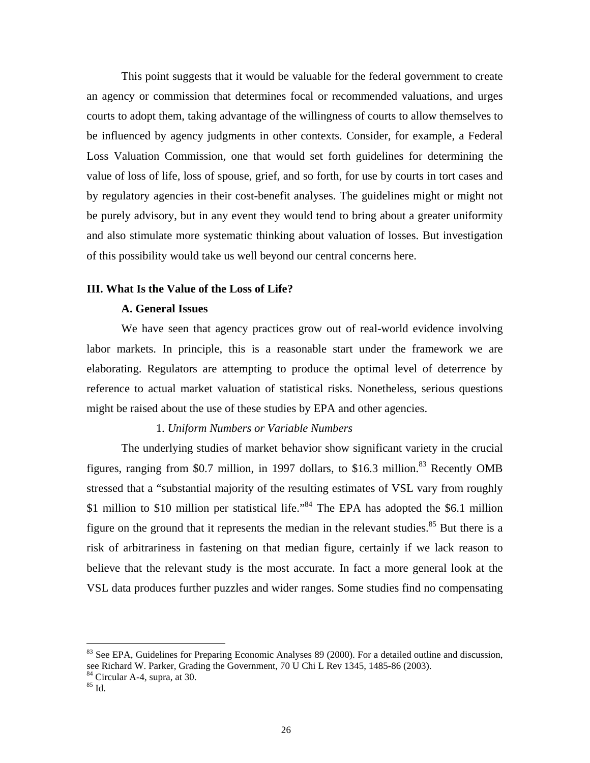This point suggests that it would be valuable for the federal government to create an agency or commission that determines focal or recommended valuations, and urges courts to adopt them, taking advantage of the willingness of courts to allow themselves to be influenced by agency judgments in other contexts. Consider, for example, a Federal Loss Valuation Commission, one that would set forth guidelines for determining the value of loss of life, loss of spouse, grief, and so forth, for use by courts in tort cases and by regulatory agencies in their cost-benefit analyses. The guidelines might or might not be purely advisory, but in any event they would tend to bring about a greater uniformity and also stimulate more systematic thinking about valuation of losses. But investigation of this possibility would take us well beyond our central concerns here.

#### **III. What Is the Value of the Loss of Life?**

#### **A. General Issues**

We have seen that agency practices grow out of real-world evidence involving labor markets. In principle, this is a reasonable start under the framework we are elaborating. Regulators are attempting to produce the optimal level of deterrence by reference to actual market valuation of statistical risks. Nonetheless, serious questions might be raised about the use of these studies by EPA and other agencies.

#### 1. *Uniform Numbers or Variable Numbers*

figure on the ground that it represents the median in the relevant studies.<sup>85</sup> But there is a risk of arbitrariness in fastening on that median figure, certainly if we lack reason to believe that the relevant study is the most accurate. In fact a more general look at the VSL data produces further puzzles and wider ranges. Some studies find no compensating The underlying studies of market behavior show significant variety in the crucial figures, ranging from \$0.7 million, in 1997 dollars, to \$16.3 million.<sup>83</sup> Recently OMB stressed that a "substantial majority of the resulting estimates of VSL vary from roughly \$1 million to \$10 million per statistical life.<sup>84</sup> The EPA has adopted the \$6.1 million

<u>.</u>

<span id="page-27-0"></span><sup>&</sup>lt;sup>83</sup> See EPA, Guidelines for Preparing Economic Analyses 89 (2000). For a detailed outline and discussion, see Richard W. Parker, Grading the Government, 70 U Chi L Rev 1345, 1485-86 (2003). <sup>84</sup> Circular A-4, supra, at 30. <sup>85</sup> Id.

<span id="page-27-1"></span>

<span id="page-27-2"></span>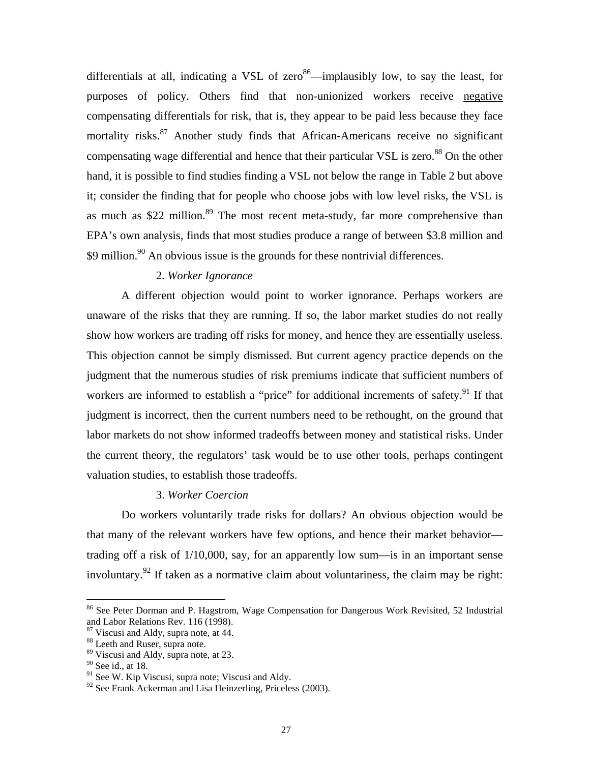differentials at all, indicating a VSL of  $zero^{86}$ —implausibly low, to say the least, for purposes of policy. Others find that non-unionized workers receive negative compensating differentials for risk, that is, they appear to be paid less because they face mortality risks.<sup>87</sup> Another study finds that African-Americans receive no significant compensating wage differential and hence that their particular VSL is zero.<sup>88</sup> On the other hand, it is possible to find studies finding a VSL not below the range in Table 2 but above it; consider the finding that for people who choose jobs with low level risks, the VSL is as much as \$22 million.<sup>89</sup> The most recent meta-study, far more comprehensive than EPA's own analysis, finds that most studies produce a range of between \$3.8 million and  $$9$  million.<sup>[90](#page-28-4)</sup> An obvious issue is the grounds for these nontrivial differences.

#### 2. *Worker Ignorance*

A different objection would point to worker ignorance. Perhaps workers are unaware of the risks that they are running. If so, the labor market studies do not really show h ow workers are trading off risks for money, and hence they are essentially useless. judgment is incorrect, then the current numbers need to be rethought, on the ground that labor markets do not show informed tradeoffs between money and statistical risks. Under the cur rent theory, the regulators' task would be to use other tools, perhaps contingent This objection cannot be simply dismissed. But current agency practice depends on the judgment that the numerous studies of risk premiums indicate that sufficient numbers of workers are informed to establish a "price" for additional increments of safety.<sup>91</sup> If that valuation studies, to establish those tradeoffs.

#### 3. *Worker Coercion*

that many of the relevant workers have few options, and hence their market behavior-Do workers voluntarily trade risks for dollars? An obvious objection would be trading off a risk of 1/10,000, say, for an apparently low sum—is in an important sense involuntary.<sup>92</sup> If taken as a normative claim about voluntariness, the claim may be right:

<span id="page-28-0"></span><sup>&</sup>lt;sup>86</sup> See Peter Dorman and P. Hagstrom, Wage Compensation for Dangerous Work Revisited, 52 Industrial and Labor Relations Rev. 116 (1998).<br><sup>87</sup> Viscusi and Aldy, supra note, at 44.<br><sup>88</sup> Leeth and Ruser, supra note.

<span id="page-28-1"></span>

<span id="page-28-2"></span>

<span id="page-28-3"></span><sup>89</sup> Viscusi and Aldy, supra note, at 23.

<span id="page-28-4"></span><sup>90</sup> See id., at 18.

<span id="page-28-5"></span> $91$  See W. Kip Viscusi, supra note; Viscusi and Aldy.

<span id="page-28-6"></span> $92$  See Frank Ackerman and Lisa Heinzerling, Priceless (2003).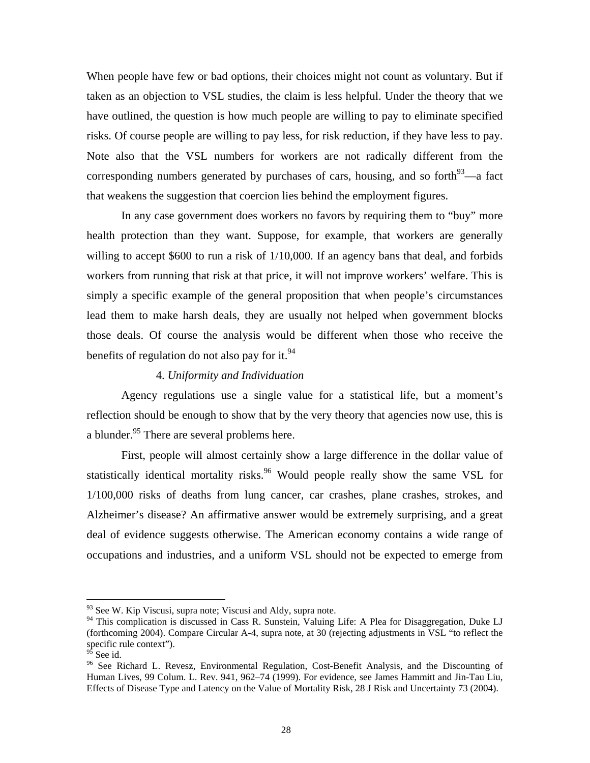When people have few or bad options, their choices might not count as voluntary. But if taken as an objection to VSL studies, the claim is less helpful. Under the theory that we have outlined, the question is how much people are willing to pay to eliminate specified risks. Of course people are willing to pay less, for risk reduction, if they have less to pay. Note also that the VSL numbers for workers are not radically different from the corresponding numbers generated by purchases of cars, housing, and so forth<sup>93</sup>—a fact that weakens the suggestion that coercion lies behind the employment figures.

In any case government does workers no favors by requiring them to "buy" more health protection than they want. Suppose, for example, that workers are generally willing to accept \$600 to run a risk of  $1/10,000$ . If an agency bans that deal, and forbids workers from running that risk at that price, it will not improve workers' welfare. This is simply a specific example of the general proposition that when people's circumstances lead them to make harsh deals, they are usually not helped when government blocks those deals. Of course the analysis would be different when those who receive the benefits of regulation do not also pay for it.  $94$ 

#### 4. *Uniformity and Individuation*

Agency regulations use a single value for a statistical life, but a moment's reflection should be enough to show that by the very theory that agencies now use, this is a blunder.<sup>95</sup> There are several problems here.

statistically identical mortality risks.<sup>96</sup> Would people really show the same VSL for 1/100,000 risks of deaths from lung cancer, car crashes, plane crashes, strokes, and Alzhei mer's disease? An affirmative answer would be extremely surprising, and a great First, people will almost certainly show a large difference in the dollar value of deal of evidence suggests otherwise. The American economy contains a wide range of occupations and industries, and a uniform VSL should not be expected to emerge from

<span id="page-29-0"></span> $93$  See W. Kip Viscusi, supra note; Viscusi and Aldy, supra note.

<span id="page-29-1"></span><sup>&</sup>lt;sup>94</sup> This complication is discussed in Cass R. Sunstein, Valuing Life: A Plea for Disaggregation, Duke LJ (forthcoming 2004). Compare Circular A-4, supra note, at 30 (rejecting adjustments in VSL "to reflect the specific rule context").

<span id="page-29-2"></span> $9\bar{5}$  See id.

<span id="page-29-3"></span><sup>&</sup>lt;sup>96</sup> See Richard L. Revesz, Environmental Regulation, Cost-Benefit Analysis, and the Discounting of Human Lives, 99 Colum. L. Rev. 941, 962–74 (1999). For evidence, see James Hammitt and Jin-Tau Liu, Effects of Disease Type and Latency on the Value of Mortality Risk, 28 J Risk and Uncertainty 73 (2004).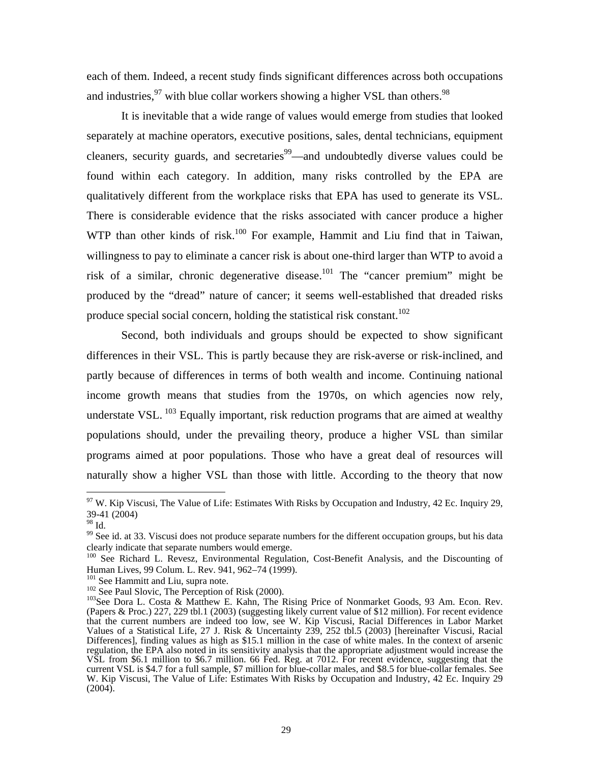each of them. Indeed, a recent study finds significant differences across both occupations and industries,  $97$  with blue collar workers showing a higher VSL than others.<sup>98</sup>

It is inevitable that a wide range of values would emerge from studies that looked separately at machine operators, executive positions, sales, dental technicians, equipment cleaners, security guards, and secretaries  $99$ —and undoubtedly diverse values could be found within each category. In addition, many risks controlled by the EPA are qualitatively different from the workplace risks that EPA has used to generate its VSL. There is considerable evidence that the risks associated with cancer produce a higher WTP than other kinds of risk.<sup>100</sup> For example, Hammit and Liu find that in Taiwan, willingness to pay to eliminate a cancer risk is about one-third larger than WTP to avoid a risk of a similar, chronic degenerative disease.<sup>101</sup> The "cancer premium" might be produced by the "dread" nature of cancer; it seems well-established that dreaded risks produce special social concern, holding the statistical risk constant.<sup>102</sup>

differences in their VSL. This is partly because they are risk-averse or risk-inclined, and partly because of differences in terms of both wealth and income. Continuing national income growth means that studies from the 1970s, on which agencies now rely, populations should, under the prevailing theory, produce a higher VSL than similar program s aimed at poor populations. Those who have a great deal of resources will Second, both individuals and groups should be expected to show significant understate VSL.  $^{103}$  Equally important, risk reduction programs that are aimed at wealthy naturally show a higher VSL than those with little. According to the theory that now

<u>.</u>

<span id="page-30-0"></span> $97$  W. Kip Viscusi, The Value of Life: Estimates With Risks by Occupation and Industry, 42 Ec. Inquiry 29, 39-41 (2004)

<span id="page-30-1"></span><sup>98</sup> Id.

<span id="page-30-2"></span><sup>&</sup>lt;sup>99</sup> See id. at 33. Viscusi does not produce separate numbers for the different occupation groups, but his data clearly indicate that separate numbers would emerge.

<span id="page-30-3"></span><sup>&</sup>lt;sup>100</sup> See Richard L. Revesz, Environmental Regulation, Cost-Benefit Analysis, and the Discounting of Human Lives, 99 Colum. L. Rev. 941, 962–74 (1999).

<span id="page-30-4"></span>

<span id="page-30-6"></span><span id="page-30-5"></span>

<sup>&</sup>lt;sup>101</sup> See Hammitt and Liu, supra note.<br><sup>102</sup> See Paul Slovic, The Perception of Risk (2000).<br><sup>103</sup> See Dora L. Costa & Matthew E. Kahn, The Rising Price of Nonmarket Goods, 93 Am. Econ. Rev. (Papers & Proc.) 227, 229 tbl.1 (2003) (suggesting likely current value of \$12 million). For recent evidence regulation, the EPA also noted in its sensitivity analysis that the appropriate adjustment would increase the that the current numbers are indeed too low, see W. Kip Viscusi, Racial Differences in Labor Market Values of a Statistical Life, 27 J. Risk & Uncertainty 239, 252 tbl.5 (2003) [hereinafter Viscusi, Racial Differences], finding values as high as \$15.1 million in the case of white males. In the context of arsenic VSL from \$6.1 million to \$6.7 million. 66 Fed. Reg. at 7012. For recent evidence, suggesting that the current VSL is \$4.7 for a full sample, \$7 million for blue-collar males, and \$8.5 for blue-collar females. See W. Kip Viscusi, The Value of Life: Estimates With Risks by Occupation and Industry, 42 Ec. Inquiry 29  $(2004)$ .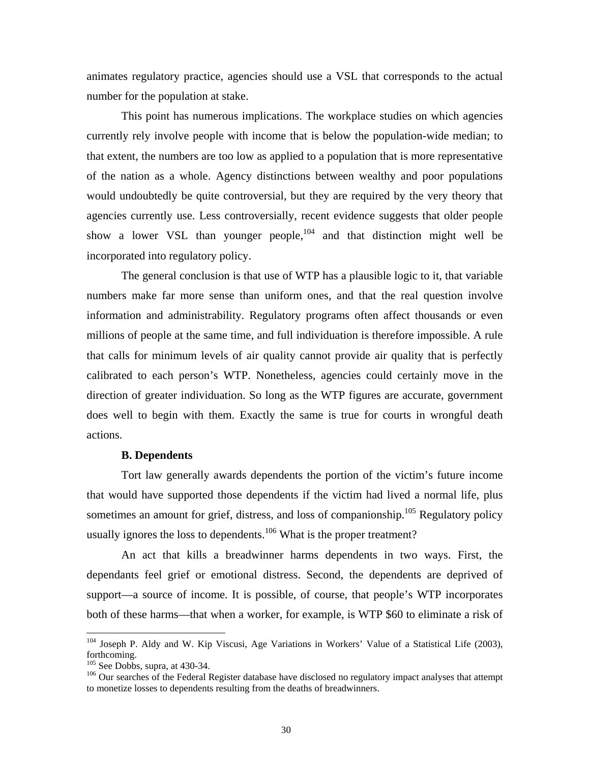animates regulatory practice, agencies should use a VSL that corresponds to the actual number for the population at stake.

This point has numerous implications. The workplace studies on which agencies currently rely involve people with income that is below the population-wide median; to that extent, the numbers are too low as applied to a population that is more representative of the nation as a whole. Agency distinctions between wealthy and poor populations would undoubtedly be quite controversial, but they are required by the very theory that agencies currently use. Less controversially, recent evidence suggests that older people show a lower VSL than younger people, $104$  and that distinction might well be incorporated into regulatory policy.

The general conclusion is that use of WTP has a plausible logic to it, that variable numbers make far more sense than uniform ones, and that the real question involve information and administrability. Regulatory programs often affect thousands or even million s of people at the same time, and full individuation is therefore impossible. A rule that calls for minimum levels of air quality cannot provide air quality that is perfectly calibrated to each person's WTP. Nonetheless, agencies could certainly move in the direction of greater individuation. So long as the WTP figures are accurate, government does well to begin with them. Exactly the same is true for courts in wrongful death actions.

#### **B. Dependents**

sometimes an amount for grief, distress, and loss of companionship.<sup>105</sup> [R](#page-31-1)egulatory policy Tort law generally awards dependents the portion of the victim's future income that would have supported those dependents if the victim had lived a normal life, plus usually ignores the loss to dependents.<sup>106</sup> What is the proper treatment?

dependants feel grief or emotional distress. Second, the dependents are deprived of An act that kills a breadwinner harms dependents in two ways. First, the support—a source of income. It is possible, of course, that people's WTP incorporates both of these harms—that when a worker, for example, is WTP \$60 to eliminate a risk of

<span id="page-31-0"></span><sup>&</sup>lt;sup>104</sup> Joseph P. Aldy and W. Kip Viscusi, Age Variations in Workers' Value of a Statistical Life (2003), forthcoming.<br><sup>105</sup> See Dobbs, supra, at 430-34.<br><sup>106</sup> Our searches of the Federal Register database have disclosed no regulatory impact analyses that attempt

<span id="page-31-1"></span>

<span id="page-31-2"></span>to monetize losses to dependents resulting from the deaths of breadwinners.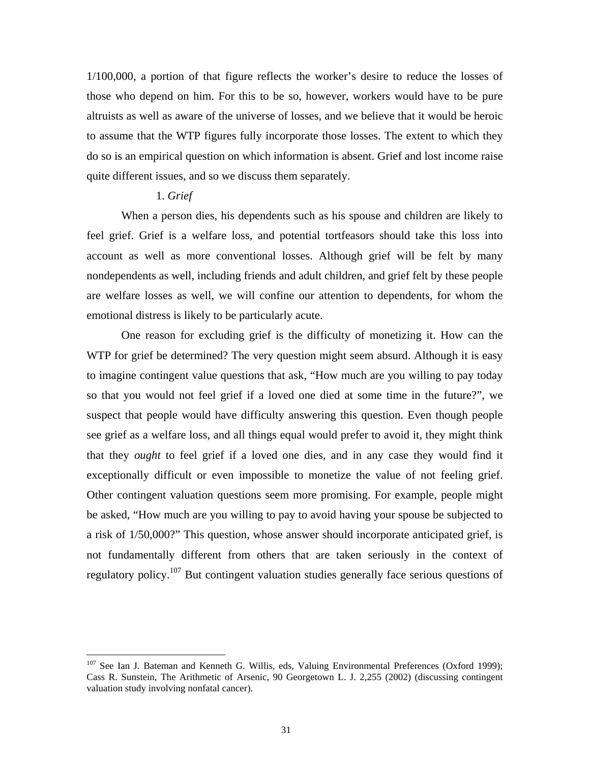1/100,000, a portion of that figure reflects the worker's desire to reduce the losses of those who depend on him. For this to be so, however, workers would have to be pure altruist s as well as aware of the universe of losses, and we believe that it would be heroic to assume that the WTP figures fully incorporate those losses. The extent to which they do so is an empirical question on which information is absent. Grief and lost income raise quite different issues, and so we discuss them separately.

#### 1. *Grief*

account as well as more conventional losses. Although grief will be felt by many When a person dies, his dependents such as his spouse and children are likely to feel grief. Grief is a welfare loss, and potential tortfeasors should take this loss into nondependents as well, including friends and adult children, and grief felt by these people are welfare losses as well, we will confine our attention to dependents, for whom the emotional distress is likely to be particularly acute.

see grief as a welfare loss, and all things equal would prefer to avoid it, they might think that they *ought* to feel grief if a loved one dies, and in any case they would find it a risk of 1/50,000?" This question, whose answer should incorporate anticipated grief, is One reason for excluding grief is the difficulty of monetizing it. How can the WTP for grief be determined? The very question might seem absurd. Although it is easy to imagine contingent value questions that ask, "How much are you willing to pay today so that you would not feel grief if a loved one died at some time in the future?", we suspect that people would have difficulty answering this question. Even though people exceptionally difficult or even impossible to monetize the value of not feeling grief. Other contingent valuation questions seem more promising. For example, people might be asked, "How much are you willing to pay to avoid having your spouse be subjected to not fundamentally different from others that are taken seriously in the context of regulatory policy.[107 B](#page-32-0)ut contingent valuation studies generally face serious questions of

<span id="page-32-0"></span> $107$  See Ian J. Bateman and Kenneth G. Willis, eds, Valuing Environmental Preferences (Oxford 1999); Cass R. Sunstein, The Arithmetic of Arsenic, 90 Georgetown L. J. 2,255 (2002) (discussing contingent valuation study involving nonfatal cancer).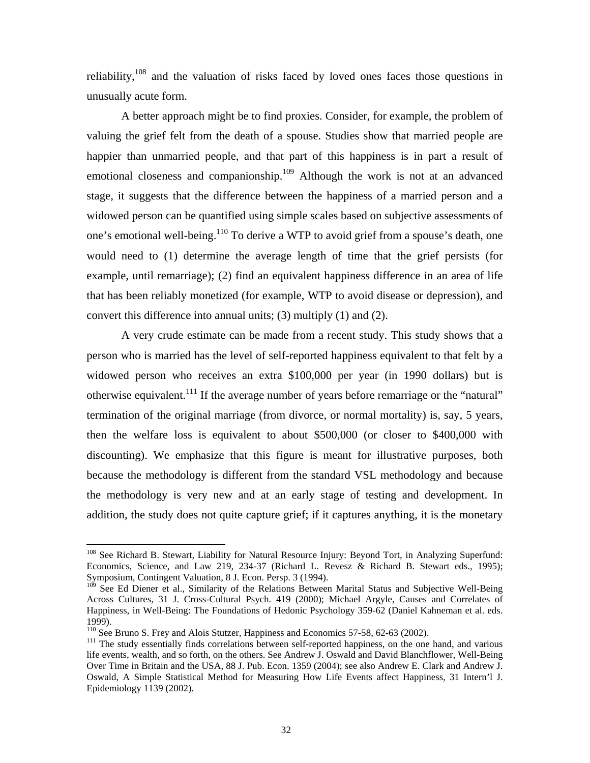reliability, $108$  and the valuation of risks faced by loved ones faces those questions in unusually acute form.

A better approach might be to find proxies. Consider, for example, the problem of valuing the grief felt from the death of a spouse. Studies show that married people are happier than unmarried people, and that part of this happiness is in part a result of emotional closeness and companionship.<sup>109</sup> Although the work is not at an advanced stage, it suggests that the difference between the happiness of a married person and a widowe d person can be quantified using simple scales based on subjective assessments of convert this difference into annual units; (3) multiply (1) and (2). one's emotional well-being.<sup>110</sup> To derive a WTP to avoid grief from a spouse's death, one would need to (1) determine the average length of time that the grief persists (for example, until remarriage); (2) find an equivalent happiness difference in an area of life that has been reliably monetized (for example, WTP to avoid disease or depression), and

A very crude estimate can be made from a recent study. This study shows that a person who is married has the level of self-reported happiness equivalent to that felt by a widowed person who receives an extra \$100,000 per year (in 1990 dollars) but is otherwise equivalent.<sup>111</sup> If the average number of years before remarriage or the "natural" termination of the original marriage (from divorce, or normal mortality) is, say, 5 years, then the welfare loss is equivalent to about \$500,000 (or closer to \$400,000 with discounting). We emphasize that this figure is meant for illustrative purposes, both because the methodology is different from the standard VSL methodology and because the methodology is very new and at an early stage of testing and development. In addition, the study does not quite capture grief; if it captures anything, it is the monetary

<span id="page-33-0"></span><sup>&</sup>lt;sup>108</sup> See Richard B. Stewart, Liability for Natural Resource Injury: Beyond Tort, in Analyzing Superfund: Economics, Science, and Law 219, 234-37 (Richard L. Revesz & Richard B. Stewart eds., 1995); Symposium, Contingent Valuation, 8 J. Econ. Persp. 3 (1994).

<span id="page-33-1"></span><sup>&</sup>lt;sup>109</sup> See Ed Diener et al., Similarity of the Relations Between Marital Status and Subjective Well-Being Across Cultures, 31 J. Cross-Cultural Psych. 419 (2000); Michael Argyle, Causes and Correlates of Happiness, in Well-Being: The Foundations of Hedonic Psychology 359-62 (Daniel Kahneman et al. eds. 1999).<br><sup>110</sup> See Bruno S. Frey and Alois Stutzer, Happiness and Economics 57-58, 62-63 (2002).

<span id="page-33-2"></span>

<span id="page-33-3"></span> $111$  The study essentially finds correlations between self-reported happiness, on the one hand, and various life events, wealth, and so forth, on the others. See Andrew J. Oswald and David Blanchflower, Well-Being Over Time in Britain and the USA, 88 J. Pub. Econ. 1359 (2004); see also Andrew E. Clark and Andrew J. Oswald, A Simple Statistical Method for Measuring How Life Events affect Happiness, 31 Intern'l J. Epidemiology 1139 (2002).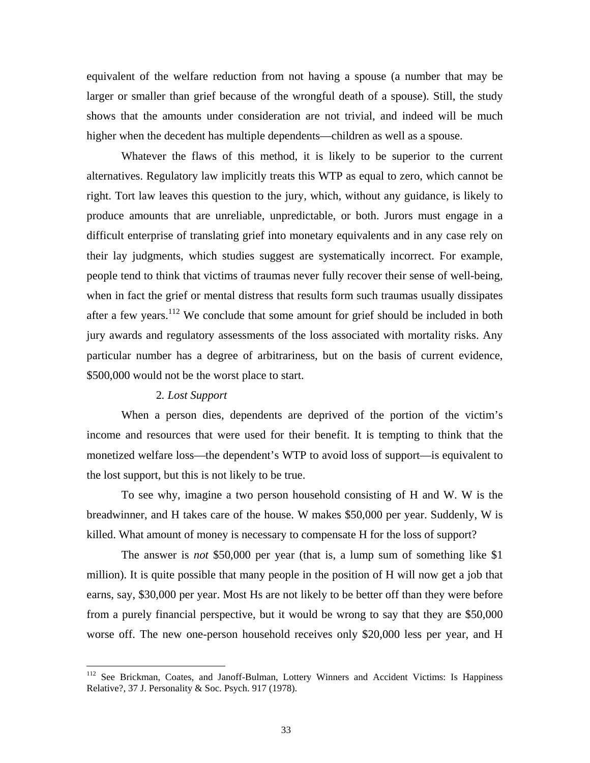equivalent of the welfare reduction from not having a spouse (a number that may be larger or smaller than grief because of the wrongful death of a spouse). Still, the study shows that the amounts under consideration are not trivial, and indeed will be much higher when the decedent has multiple dependents—children as well as a spouse.

after a few years.<sup>112</sup> We conclude that some amount for grief should be included in both jury aw ards and regulatory assessments of the loss associated with mortality risks. Any Whatever the flaws of this method, it is likely to be superior to the current alternatives. Regulatory law implicitly treats this WTP as equal to zero, which cannot be right. Tort law leaves this question to the jury, which, without any guidance, is likely to produce amounts that are unreliable, unpredictable, or both. Jurors must engage in a difficult enterprise of translating grief into monetary equivalents and in any case rely on their lay judgments, which studies suggest are systematically incorrect. For example, people tend to think that victims of traumas never fully recover their sense of well-being, when in fact the grief or mental distress that results form such traumas usually dissipates particular number has a degree of arbitrariness, but on the basis of current evidence, \$500,000 would not be the worst place to start.

#### 2*. Lost Support*

 $\overline{a}$ 

When a person dies, dependents are deprived of the portion of the victim's income and resources that were used for their benefit. It is tempting to think that the monetized welfare loss—the dependent's WTP to avoid loss of support—is equivalent to the lost support, but this is not likely to be true.

killed. What amount of money is necessary to compensate H for the loss of support? To see why, imagine a two person household consisting of H and W. W is the breadwinner, and H takes care of the house. W makes \$50,000 per year. Suddenly, W is

worse off. The new one-person household receives only \$20,000 less per year, and H The answer is *not* \$50,000 per year (that is, a lump sum of something like \$1 million). It is quite possible that many people in the position of H will now get a job that earns, say, \$30,000 per year. Most Hs are not likely to be better off than they were before from a purely financial perspective, but it would be wrong to say that they are \$50,000

<span id="page-34-0"></span><sup>&</sup>lt;sup>112</sup> See Brickman, Coates, and Janoff-Bulman, Lottery Winners and Accident Victims: Is Happiness Relative?, 37 J. Personality & Soc. Psych. 917 (1978).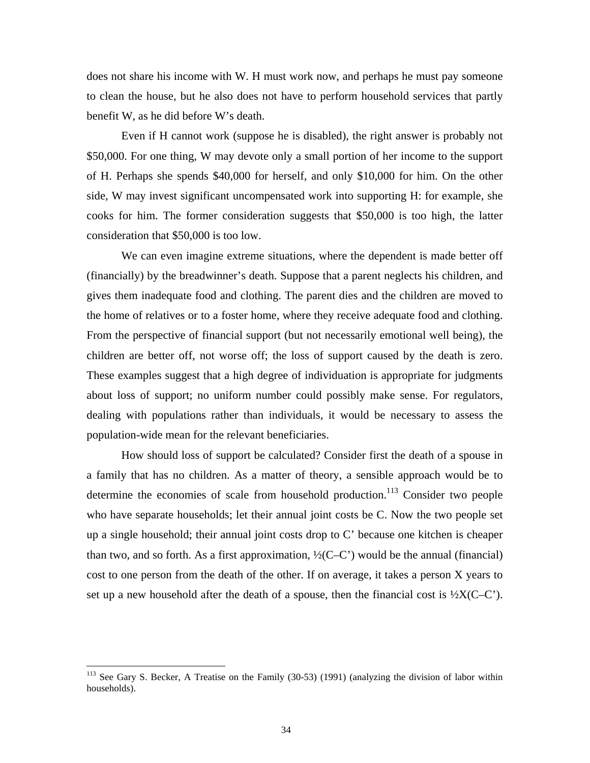does not share his income with W. H must work now, and perhaps he must pay someone to clean the house, but he also does not have to perform household services that partly benefit W, as he did before W's death.

Even if H cannot work (suppose he is disabled), the right answer is probably not \$50,00 0. For one thing, W may devote only a small portion of her income to the support of H. Perhaps she spends \$40,000 for herself, and only \$10,000 for him. On the other side, W may invest significant uncompensated work into supporting H: for example, she cooks for him. The former consideration suggests that \$50,000 is too high, the latter consideration that \$50,000 is too low.

These examples suggest that a high degree of individuation is appropriate for judgments about loss of support; no uniform number could possibly make sense. For regulators, dealing with populations rather than individuals, it would be necessary to assess the We can even imagine extreme situations, where the dependent is made better off (financially) by the breadwinner's death. Suppose that a parent neglects his children, and gives them inadequate food and clothing. The parent dies and the children are moved to the home of relatives or to a foster home, where they receive adequate food and clothing. From the perspective of financial support (but not necessarily emotional well being), the children are better off, not worse off; the loss of support caused by the death is zero. population-wide mean for the relevant beneficiaries.

determine the economies of scale from household production.<sup>113</sup> Consider two people up a single household; their annual joint costs drop to C' because one kitchen is cheaper How should loss of support be calculated? Consider first the death of a spouse in a family that has no children. As a matter of theory, a sensible approach would be to who have separate households; let their annual joint costs be C. Now the two people set than two, and so forth. As a first approximation,  $\frac{1}{2}(C-C')$  would be the annual (financial) cost to one person from the death of the other. If on average, it takes a person X years to set up a new household after the death of a spouse, then the financial cost is  $\frac{1}{2}X(C-C')$ .

<span id="page-35-0"></span><sup>&</sup>lt;sup>113</sup> See Gary S. Becker, A Treatise on the Family (30-53) (1991) (analyzing the division of labor within households).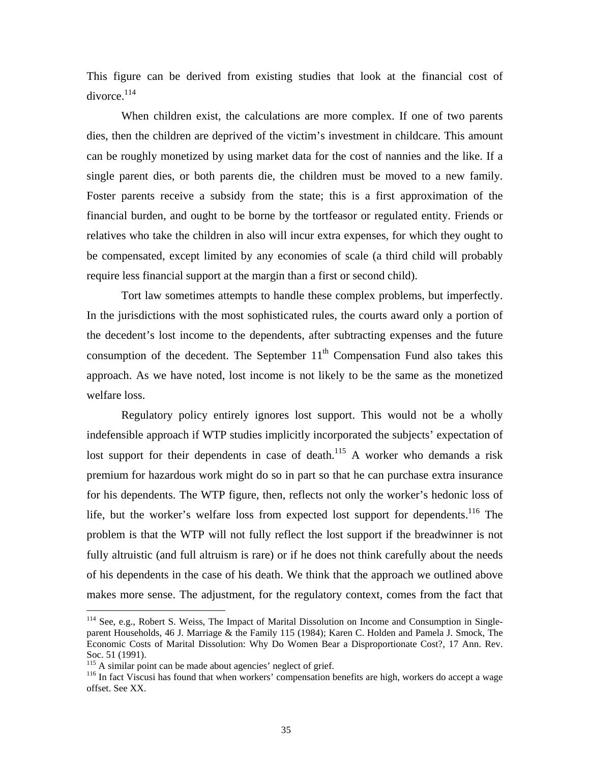This figure can be derived from existing studies that look at the financial cost of divorce.<sup>114</sup>

When children exist, the calculations are more complex. If one of two parents relatives who take the children in also will incur extra expenses, for which they ought to be compensated, except limited by any economies of scale (a third child will probably dies, then the children are deprived of the victim's investment in childcare. This amount can be roughly monetized by using market data for the cost of nannies and the like. If a single parent dies, or both parents die, the children must be moved to a new family. Foster parents receive a subsidy from the state; this is a first approximation of the financial burden, and ought to be borne by the tortfeasor or regulated entity. Friends or require less financial support at the margin than a first or second child).

Tort law sometimes attempts to handle these complex problems, but imperfectly. In the jurisdictions with the most sophisticated rules, the courts award only a portion of the decedent's lost income to the dependents, after subtracting expenses and the future consumption of the decedent. The September  $11<sup>th</sup>$  Compensation Fund also takes this approach. As we have noted, lost income is not likely to be the same as the monetized welfare loss.

indefensible approach if WTP studies implicitly incorporated the subjects' expectation of lost support for their dependents in case of death.<sup>115</sup> A worker who demands a risk Regulatory policy entirely ignores lost support. This would not be a wholly premium for hazardous work might do so in part so that he can purchase extra insurance for his dependents. The WTP figure, then, reflects not only the worker's hedonic loss of life, but the worker's welfare loss from expected lost support for dependents.<sup>116</sup> The problem is that the WTP will not fully reflect the lost support if the breadwinner is not fully altruistic (and full altruism is rare) or if he does not think carefully about the needs of his dependents in the case of his death. We think that the approach we outlined above makes more sense. The adjustment, for the regulatory context, comes from the fact that

<u>.</u>

<span id="page-36-0"></span><sup>&</sup>lt;sup>114</sup> See, e.g., Robert S. Weiss, The Impact of Marital Dissolution on Income and Consumption in Singleparent Households, 46 J. Marriage & the Family 115 (1984); Karen C. Holden and Pamela J. Smock, The Economic Costs of Marital Dissolution: Why Do Women Bear a Disproportionate Cost?, 17 Ann. Rev. Soc. 51 (1991).

<span id="page-36-1"></span><sup>&</sup>lt;sup>115</sup> A similar point can be made about agencies' neglect of grief.

<span id="page-36-2"></span><sup>.</sup> offset. See XX <sup>116</sup> In fact Viscusi has found that when workers' compensation benefits are high, workers do accept a wage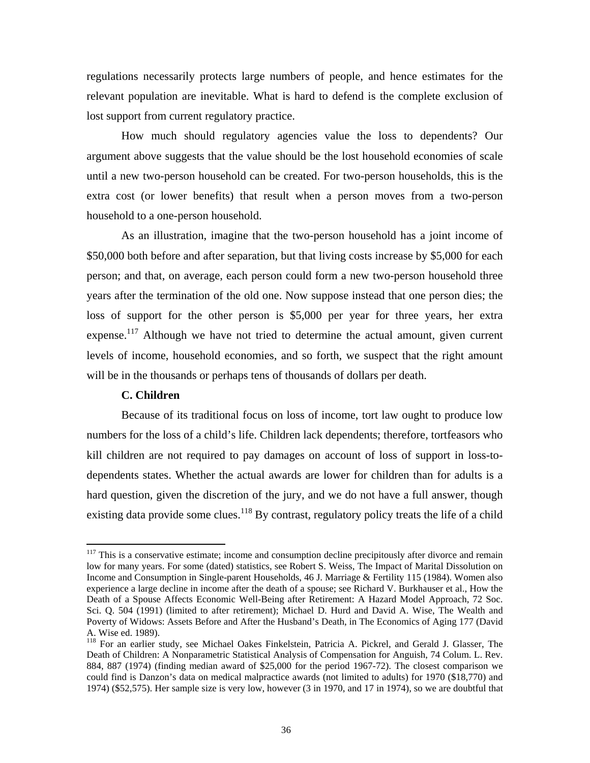<span id="page-37-1"></span>regulations necessarily protects large numbers of people, and hence estimates for the relevant population are inevitable. What is hard to defend is the complete exclusion of lost sup port from current regulatory practice.

How much should regulatory agencies value the loss to dependents? Our argument above suggests that the value should be the lost household economies of scale until a new two-person household can be created. For two-person households, this is the extra cost (or lower benefits) that result when a person moves from a two-person household to a one-person household.

person; and that, on average, each person could form a new two-person household three As an illustration, imagine that the two-person household has a joint income of \$50,000 both before and after separation, but that living costs increase by \$5,000 for each years after the termination of the old one. Now suppose instead that one person dies; the loss of support for the other person is \$5,000 per year for three years, her extra expense.<sup>117</sup> Although we have not tried to determine the actual amount, given current levels of income, household economies, and so forth, we suspect that the right amount will be in the thousands or perhaps tens of thousands of dollars per death.

#### **ildren C. Ch**

1

Because of its traditional focus on loss of income, tort law ought to produce low numbers for the loss of a child's life. Children lack dependents; therefore, tortfeasors who kill children are not required to pay damages on account of loss of support in loss-todependents states. Whether the actual awards are lower for children than for adults is a hard question, given the discretion of the jury, and we do not have a full answer, though existing data provide some clues.<sup>118</sup> By contrast, regulatory policy treats the life of a child

<span id="page-37-0"></span><sup>&</sup>lt;sup>117</sup> This is a conservative estimate; income and consumption decline precipitously after divorce and remain low for many years. For some (dated) statistics, see Robert S. Weiss, The Impact of Marital Dissolution on Income and Consumption in Single-parent Households, 46 J. Marriage & Fertility 115 (1984). Women also experience a large decline in income after the death of a spouse; see Richard V. Burkhauser et al., How the Death of a Spouse Affects Economic Well-Being after Retirement: A Hazard Model Approach, 72 Soc. Sci. Q. 504 (1991) (limited to after retirement); Michael D. Hurd and David A. Wise, The Wealth and Poverty of Widows: Assets Before and After the Husband's Death, in The Economics of Aging 177 (David

Death of Children: A Nonparametric Statistical Analysis of Compensation for Anguish, 74 Colum. L. Rev. 884, 887 (1974) (finding median award of \$25,000 for the period 1967-72). The closest comparison we 1974) (\$52,575). Her sample size is very low, however  $(3 \text{ in } 1970, \text{ and } 17 \text{ in } 1974)$ , so we are doubtful that <sup>118</sup> For an earlier study, see Michael Oakes Finkelstein, Patricia A. Pickrel, and Gerald J. Glasser, The could find is Danzon's data on medical malpractice awards (not limited to adults) for 1970 (\$18,770) and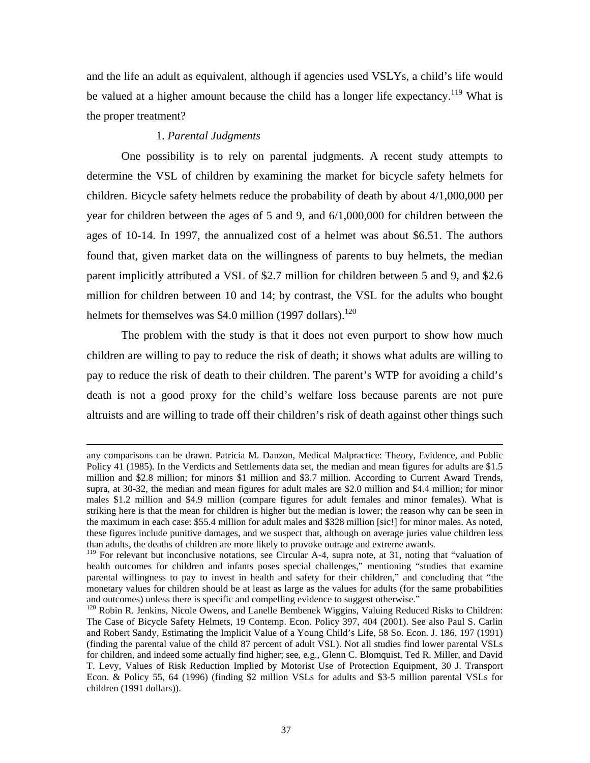and the life an adult as equivalent, although if agencies used VSLYs, a child's life would be valued at a higher amount because the child has a longer life expectancy.<sup>119</sup> What is the proper treatment?

#### 1. *Parental Judgments*

year for children between the ages of  $5$  and  $9$ , and  $6/1,000,000$  for children between the ages of 10-14. In 1997, the annualized cost of a helmet was about \$6.51. The authors One possibility is to rely on parental judgments. A recent study attempts to determine the VSL of children by examining the market for bicycle safety helmets for children. Bicycle safety helmets reduce the probability of death by about 4/1,000,000 per found that, given market data on the willingness of parents to buy helmets, the median parent implicitly attributed a VSL of \$2.7 million for children between 5 and 9, and \$2.6 million for children between 10 and 14; by contrast, the VSL for the adults who bought helmets for themselves was \$4.0 million (1997 dollars).<sup>[120](#page-38-1)</sup>

pay to reduce the risk of death to their children. The parent's WTP for avoiding a child's death is not a good proxy for the child's welfare loss because parents are not pure The problem with the study is that it does not even purport to show how much children are willing to pay to reduce the risk of death; it shows what adults are willing to altruists and are willing to trade off their children's risk of death against other things such

any comparisons can be drawn. Patricia M. Danzon, Medical Malpractice: Theory, Evidence, and Public Policy 41 (1985). In the Verdicts and Settlements data set, the median and mean figures for adults are \$1.5 million and \$2.8 million; for minors \$1 million and \$3.7 million. According to Current Award Trends, supra, at 30-32, the median and mean figures for adult males are \$2.0 million and \$4.4 million; for minor males \$1.2 million and \$4.9 million (compare figures for adult females and minor females). What is striking here is that the mean for children is higher but the median is lower; the reason why can be seen in the maximum in each case: \$55.4 million for adult males and \$328 million [sic!] for minor males. As noted, these figures include punitive damages, and we suspect that, although on average juries value children less than adults, the deaths of children are more likely to provoke outrage and extreme awards.

<span id="page-38-0"></span><sup>&</sup>lt;sup>119</sup> For relevant but inconclusive notations, see Circular A-4, supra note, at 31, noting that "valuation of health outcomes for children and infants poses special challenges," mentioning "studies that examine parental willingness to pay to invest in health and safety for their children," and concluding that "the monetary values for children should be at least as large as the values for adults (for the same probabilities and outcomes) unless there is specific and compelling evidence to suggest otherwise."

<span id="page-38-1"></span>and Robert Sandy, Estimating the Implicit Value of a Young Child's Life, 58 So. Econ. J. 186, 197 (1991)  $120$  Robin R. Jenkins, Nicole Owens, and Lanelle Bembenek Wiggins, Valuing Reduced Risks to Children: The Case of Bicycle Safety Helmets, 19 Contemp. Econ. Policy 397, 404 (2001). See also Paul S. Carlin (finding the parental value of the child 87 percent of adult VSL). Not all studies find lower parental VSLs for children, and indeed some actually find higher; see, e.g., Glenn C. Blomquist, Ted R. Miller, and David T. Levy, Values of Risk Reduction Implied by Motorist Use of Protection Equipment, 30 J. Transport Econ. & Policy 55, 64 (1996) (finding \$2 million VSLs for adults and \$3-5 million parental VSLs for children (1991 dollars)).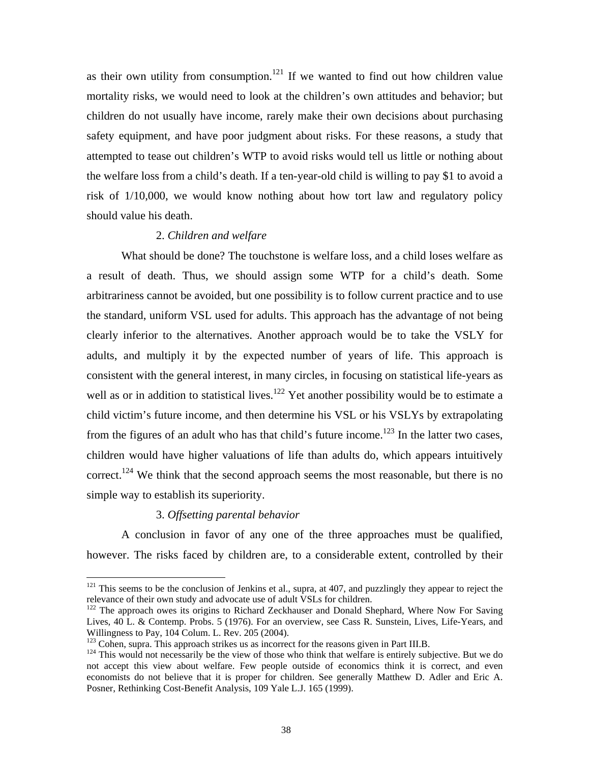as their own utility from consumption.<sup>121</sup> If we wanted to find out how children value mortality risks, we would need to look at the children's own attitudes and behavior; but children do not usually have income, rarely make their own decisions about purchasing safety equipment, and have poor judgment about risks. For these reasons, a study that attempt ed to tease out children's WTP to avoid risks would tell us little or nothing about the welfare loss from a child's death. If a ten-year-old child is willing to pay \$1 to avoid a risk of 1/10,000, we would know nothing about how tort law and regulatory policy should value his death.

#### 2. *Children and welfare*

the standard, uniform VSL used for adults. This approach has the advantage of not being from the figures of an adult who has that child's future income.<sup>123</sup> In the latter two cases, What should be done? The touchstone is welfare loss, and a child loses welfare as a result of death. Thus, we should assign some WTP for a child's death. Some arbitrariness cannot be avoided, but one possibility is to follow current practice and to use clearly inferior to the alternatives. Another approach would be to take the VSLY for adults, and multiply it by the expected number of years of life. This approach is consistent with the general interest, in many circles, in focusing on statistical life-years as well as or in addition to statistical lives.<sup>122</sup> Yet another possibility would be to estimate a child victim's future income, and then determine his VSL or his VSLYs by extrapolating children would have higher valuations of life than adults do, which appears intuitively correct.<sup>124</sup> We think that the second approach seems the most reasonable, but there is no simple way to establish its superiority.

#### 3. *Offsetting parental behavior*

 $\overline{a}$ 

A conclusion in favor of any one of the three approaches must be qualified, however. The risks faced by children are, to a considerable extent, controlled by their

<span id="page-39-0"></span> $121$  This seems to be the conclusion of Jenkins et al., supra, at 407, and puzzlingly they appear to reject the relevance of their own study and advocate use of adult VSLs for children.

<span id="page-39-1"></span><sup>&</sup>lt;sup>122</sup> The approach owes its origins to Richard Zeckhauser and Donald Shephard, Where Now For Saving Lives, 40 L. & Contemp. Probs. 5 (1976). For an overview, see Cass R. Sunstein, Lives, Life-Years, and

<span id="page-39-3"></span>

<span id="page-39-2"></span> $^{123}$  Cohen, supra. This approach strikes us as incorrect for the reasons given in Part III.B.<br> $^{124}$  This would not necessarily be the view of those who think that welfare is entirely subjective. But we do not accept this view about welfare. Few people outside of economics think it is correct, and even economists do not believe that it is proper for children. See generally Matthew D. Adler and Eric A. Posner, Rethinking Cost-Benefit Analysis, 109 Yale L.J. 165 (1999).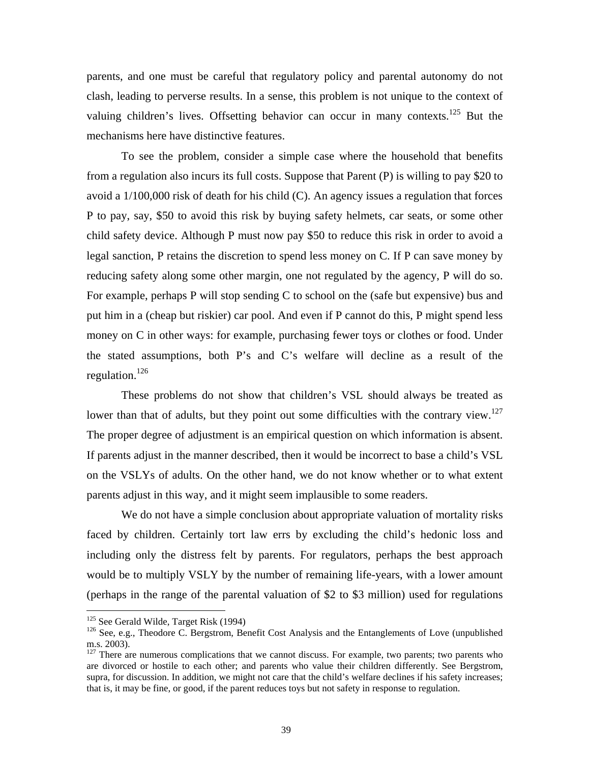parents, and one must be careful that regulatory policy and parental autonomy do not clash, leading to perverse results. In a sense, this problem is not unique to the context of valuing children's lives. Offsetting behavior can occur in many contexts.<sup>125</sup> But the mechanisms here have distinctive features.

To see the problem, consider a simple case where the household that benefits from a regulation also incurs its full costs. Suppose that Parent (P) is willing to pay \$20 to avoid a 1/100,000 risk of death for his child (C). An agency issues a regulation that forces P to pay, say, \$50 to avoid this risk by buying safety helmets, car seats, or some other child safety device. Although P must now pay \$50 to reduce this risk in order to avoid a legal sa nction, P retains the discretion to spend less money on C. If P can save money by reducing safety along some other margin, one not regulated by the agency, P will do so. For example, perhaps P will stop sending C to school on the (safe but expensive) bus and put him in a (cheap but riskier) car pool. And even if P cannot do this, P might spend less money on C in other ways: for example, purchasing fewer toys or clothes or food. Under the stated assumptions, both P's and C's welfare will decline as a result of the regulation.[126](#page-40-1)

parents adjust in this way, and it might seem implausible to some readers. These problems do not show that children's VSL should always be treated as lower than that of adults, but they point out some difficulties with the contrary view.<sup>127</sup> The proper degree of adjustment is an empirical question on which information is absent. If parents adjust in the manner described, then it would be incorrect to base a child's VSL on the VSLYs of adults. On the other hand, we do not know whether or to what extent

We do not have a simple conclusion about appropriate valuation of mortality risks faced b y children. Certainly tort law errs by excluding the child's hedonic loss and would be to multiply VSLY by the number of remaining life-years, with a lower amount including only the distress felt by parents. For regulators, perhaps the best approach (perhaps in the range of the parental valuation of \$2 to \$3 million) used for regulations

<span id="page-40-0"></span><sup>&</sup>lt;sup>125</sup> See Gerald Wilde, Target Risk (1994)

<span id="page-40-1"></span> $126$  See, e.g., Theodore C. Bergstrom, Benefit Cost Analysis and the Entanglements of Love (unpublished m.s. 2003).<br><sup>127</sup> There are numerous complications that we cannot discuss. For example, two parents; two parents who

<span id="page-40-2"></span>that is, it may be fine, or good, if the parent reduces toys but not safety in response to regulation. are divorced or hostile to each other; and parents who value their children differently. See Bergstrom, supra, for discussion. In addition, we might not care that the child's welfare declines if his safety increases;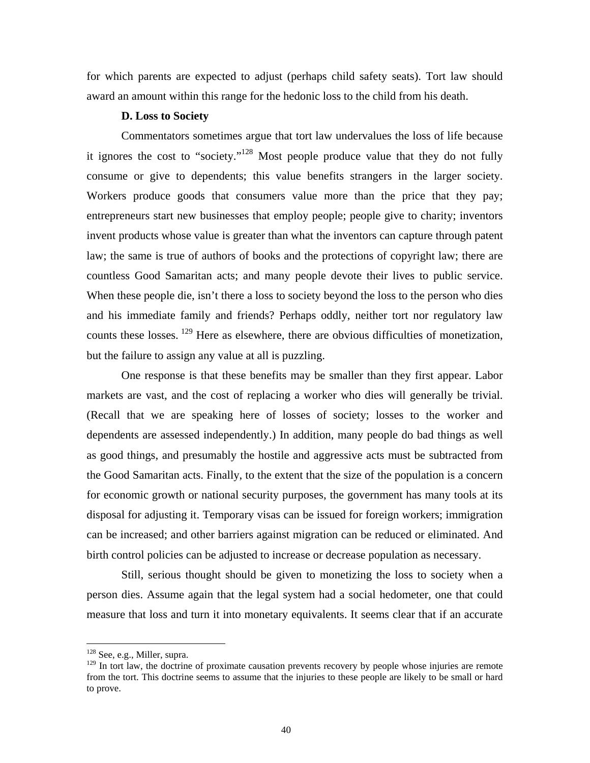for which parents are expected to adjust (perhaps child safety seats). Tort law should award an amount within this range for the hedonic loss to the child from his death.

#### **D. Loss to Society**

Commentators sometimes argue that tort law undervalues the loss of life because it ignores the cost to "society."<sup>128</sup> Most people produce value that they do not fully consume or give to dependents; this value benefits strangers in the larger society. Workers produce goods that consumers value more than the price that they pay; entrepreneurs start new businesses that employ people; people give to charity; inventors invent products whose value is greater than what the inventors can capture through patent law; the same is true of authors of books and the protections of copyright law; there are countless Good Samaritan acts; and many people devote their lives to public service. When these people die, isn't there a loss to society beyond the loss to the person who dies and his immediate family and friends? Perhaps oddly, neither tort nor regulatory law counts these losses.  $^{129}$  Here as elsewhere, there are obvious difficulties of monetization, but the failure to assign any value at all is puzzling.

One response is that these benefits may be smaller than they first appear. Labor markets are vast, and the cost of replacing a worker who dies will generally be trivial. for economic growth or national security purposes, the government has many tools at its (Recall that we are speaking here of losses of society; losses to the worker and dependents are assessed independently.) In addition, many people do bad things as well as good things, and presumably the hostile and aggressive acts must be subtracted from the Good Samaritan acts. Finally, to the extent that the size of the population is a concern disposal for adjusting it. Temporary visas can be issued for foreign workers; immigration can be increased; and other barriers against migration can be reduced or eliminated. And birth control policies can be adjusted to increase or decrease population as necessary.

measure that loss and turn it into monetary equivalents. It seems clear that if an accurate Still, serious thought should be given to monetizing the loss to society when a person dies. Assume again that the legal system had a social hedometer, one that could

<span id="page-41-0"></span><sup>128</sup> See, e.g., Miller, supra.

<span id="page-41-1"></span><sup>&</sup>lt;sup>129</sup> In tort law, the doctrine of proximate causation prevents recovery by people whose injuries are remote from the tort. This doctrine seems to assume that the injuries to these people are likely to be small or hard to prove.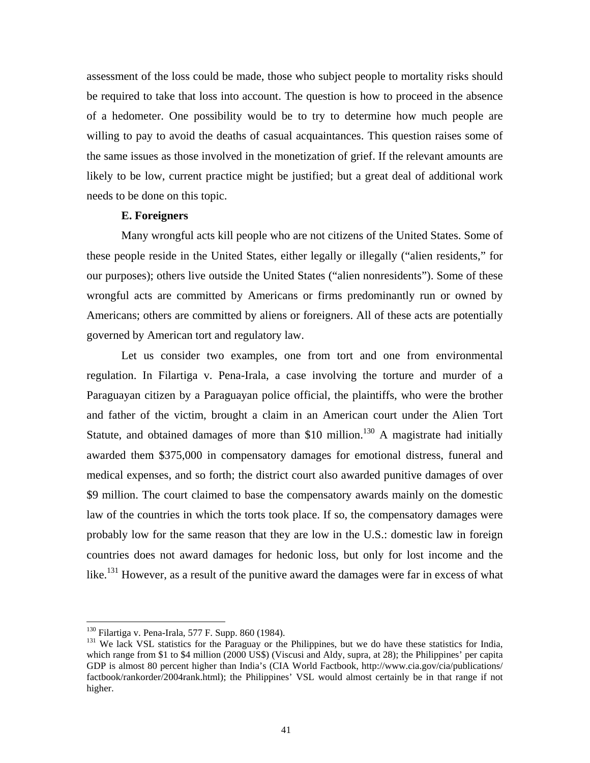assessment of the loss could be made, those who subject people to mortality risks should be required to take that loss into account. The question is how to proceed in the absence of a hedometer. One possibility would be to try to determine how much people are willing to pay to avoid the deaths of casual acquaintances. This question raises some of the same issues as those involved in the monetization of grief. If the relevant amounts are likely to be low, current practice might be justified; but a great deal of additional work needs to be done on this topic.

#### **E. Foreigners**

Many wrongful acts kill people who are not citizens of the United States. Some of these people reside in the United States, either legally or illegally ("alien residents," for our purposes); others live outside the United States ("alien nonresidents"). Some of these wrongful acts are committed by Americans or firms predominantly run or owned by Americans; others are committed by aliens or foreigners. All of these acts are potentially governed by American tort and regulatory law.

Let us consider two examples, one from tort and one from environmental countries does not award damages for hedonic loss, but only for lost income and the like.<sup>[131](#page-42-1)</sup> However, as a result of the punitive award the damages were far in excess of what regulation. In Filartiga v. Pena-Irala, a case involving the torture and murder of a Paraguayan citizen by a Paraguayan police official, the plaintiffs, who were the brother and father of the victim, brought a claim in an American court under the Alien Tort Statute, and obtained damages of more than \$10 million.<sup>130</sup> A magistrate had initially awarded them \$375,000 in compensatory damages for emotional distress, funeral and medical expenses, and so forth; the district court also awarded punitive damages of over \$9 million. The court claimed to base the compensatory awards mainly on the domestic law of the countries in which the torts took place. If so, the compensatory damages were probably low for the same reason that they are low in the U.S.: domestic law in foreign

<span id="page-42-0"></span><sup>&</sup>lt;sup>130</sup> Filartiga v. Pena-Irala, 577 F. Supp. 860 (1984).

<span id="page-42-1"></span><sup>&</sup>lt;sup>131</sup> We lack VSL statistics for the Paraguay or the Philippines, but we do have these statistics for India, which range from \$1 to \$4 million (2000 US\$) (Viscusi and Aldy, supra, at 28); the Philippines' per capita GDP is almost 80 percent higher than India's (CIA World Factbook, http://www.cia.gov/cia/publications/ factbook/rankorder/2004rank.html); the Philippines' VSL would almost certainly be in that range if not higher.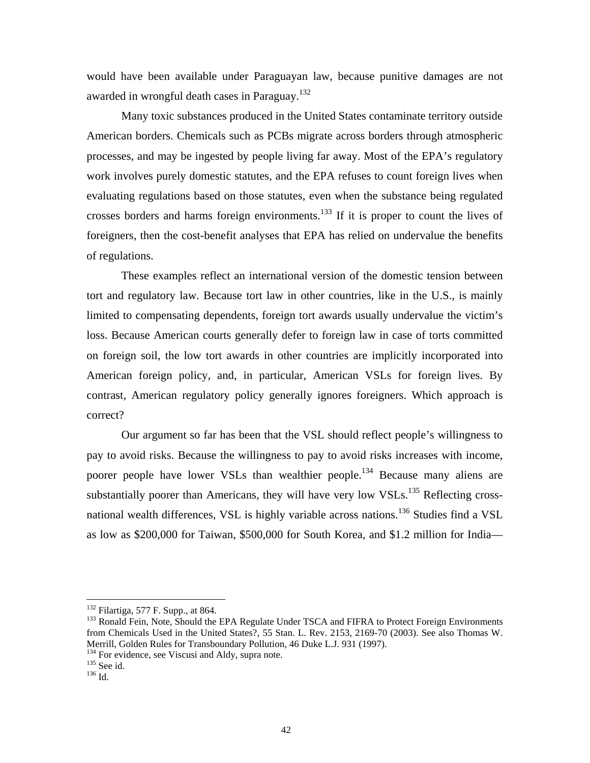would have been available under Paraguayan law, because punitive damages are not awarded in wrongful death cases in Paraguay.<sup>[132](#page-43-0)</sup>

Many toxic substances produced in the United States contaminate territory outside American borders. Chemicals such as PCBs migrate across borders through atmospheric processes, and may be ingested by people living far away. Most of the EPA's regulatory work involves purely domestic statutes, and the EPA refuses to count foreign lives when evaluating regulations based on those statutes, even when the substance being regulated crosses borders and harms foreign environments.<sup>133</sup> If it is proper to count the lives of foreigners, then the cost-benefit analyses that EPA has relied on undervalue the benefits of regulations.

loss. Because American courts generally defer to foreign law in case of torts committed These examples reflect an international version of the domestic tension between tort and regulatory law. Because tort law in other countries, like in the U.S., is mainly limited to compensating dependents, foreign tort awards usually undervalue the victim's on foreign soil, the low tort awards in other countries are implicitly incorporated into American foreign policy, and, in particular, American VSLs for foreign lives. By contrast, American regulatory policy generally ignores foreigners. Which approach is correct?

Our argument so far has been that the VSL should reflect people's willingness to pay to avoid risks. Because the willingness to pay to avoid risks increases with income, poorer people have lower VSLs than wealthier people.<sup>134</sup> Because many aliens are substantially poorer than Americans, they will have very low  $VSLs$ <sup>135</sup> Reflecting crossnational wealth differences, VSL is highly variable across nations.<sup>136</sup> Studies find a VSL as low as \$200,000 for Taiwan, \$500,000 for South Korea, and \$1.2 million for India—

<span id="page-43-0"></span><sup>&</sup>lt;sup>132</sup> Filartiga, 577 F. Supp., at 864.

<span id="page-43-1"></span><sup>&</sup>lt;sup>133</sup> Ronald Fein, Note, Should the EPA Regulate Under TSCA and FIFRA to Protect Foreign Environments from Chemicals Used in the United States?, 55 Stan. L. Rev. 2153, 2169-70 (2003). See also Thomas W. Merrill, Golden Rules for Transboundary Pollution, 46 Duke L.J. 931 (1997).<br><sup>134</sup> For evidence, see Viscusi and Aldy, supra note.<br><sup>135</sup> See id.<br><sup>136</sup> Id.

<span id="page-43-2"></span>

<span id="page-43-3"></span>

<span id="page-43-4"></span>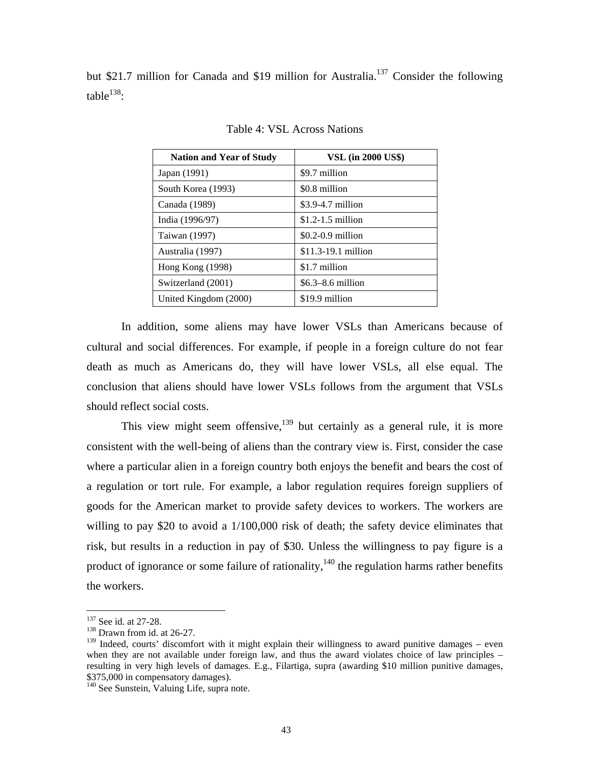but \$21.7 million for Canada and \$19 million for Australia.<sup>137</sup> Consider the following table $138$ :

| <b>Nation and Year of Study</b> | <b>VSL</b> (in 2000 US\$) |
|---------------------------------|---------------------------|
| Japan (1991)                    | \$9.7 million             |
| South Korea (1993)              | \$0.8 million             |
| Canada (1989)                   | $$3.9-4.7$ million        |
| India (1996/97)                 | \$1.2-1.5 million         |
| Taiwan (1997)                   | $$0.2-0.9$ million        |
| Australia (1997)                | $$11.3-19.1$ million      |
| Hong Kong $(1998)$              | \$1.7 million             |
| Switzerland (2001)              | $$6.3–8.6$ million        |
| United Kingdom (2000)           | \$19.9 million            |

Table 4: VSL Across Nations

In addition, some aliens may have lower VSLs than Americans because of cultural and social differences. For example, if people in a foreign culture do not fear death as much as Americans do, they will have lower VSLs, all else equal. The conclusion that aliens should have lower VSLs follows from the argument that VSLs should reflect social costs.

Thisview might seem offensive,  $139$  but certainly as a general rule, it is more risk, but results in a reduction in pay of \$30. Unless the willingness to pay figure is a product of ignorance or some failure of rationality, $140$  the regulation harms rather benefits the workers. consistent with the well-being of aliens than the contrary view is. First, consider the case where a particular alien in a foreign country both enjoys the benefit and bears the cost of a regulation or tort rule. For example, a labor regulation requires foreign suppliers of goods for the American market to provide safety devices to workers. The workers are willing to pay \$20 to avoid a  $1/100,000$  risk of death; the safety device eliminates that

<span id="page-44-1"></span><span id="page-44-0"></span>

 $^{137}$  See id. at 27-28.<br><sup>138</sup> Drawn from id. at 26-27.

<span id="page-44-2"></span> $139$  Indeed, courts' discomfort with it might explain their willingness to award punitive damages – even when they are not available under foreign law, and thus the award violates choice of law principles  $$ resulting in very high levels of damages. E.g., Filartiga, supra (awarding \$10 million punitive damages, \$375,000 in compensatory damages).<br><sup>140</sup> See Sunstein, Valuing Life, supra note.

<span id="page-44-3"></span>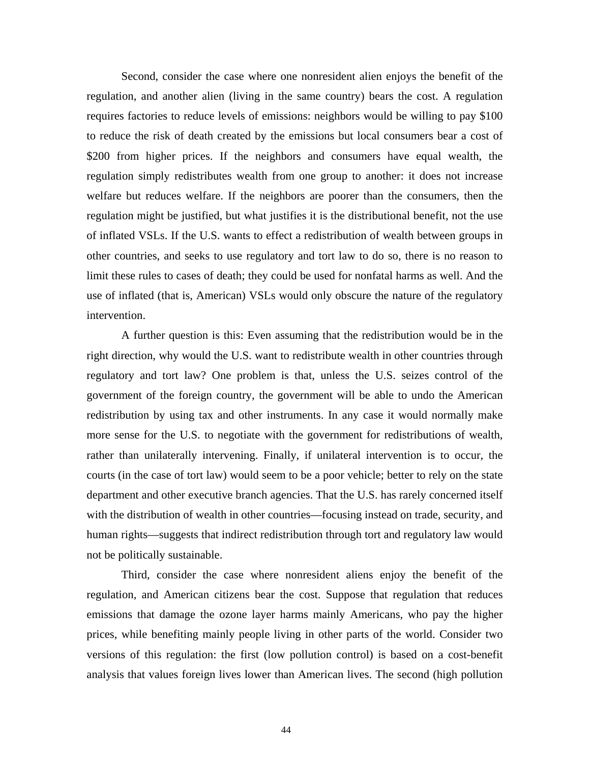Second, consider the case where one nonresident alien enjoys the benefit of the regulation, and another alien (living in the same country) bears the cost. A regulation requires factories to reduce levels of emissions: neighbors would be willing to pay \$100 to reduce the risk of death created by the emissions but local consumers bear a cost of \$200 from higher prices. If the neighbors and consumers have equal wealth, the regulation simply redistributes wealth from one group to another: it does not increase welfare but reduces welfare. If the neighbors are poorer than the consumers, then the regulation might be justified, but what justifies it is the distributional benefit, not the use of inflated VSLs. If the U.S. wants to effect a redistribution of wealth between groups in other countries, and seeks to use regulatory and tort law to do so, there is no reason to limit these rules to cases of death; they could be used for nonfatal harms as well. And the use of inflated (that is, American) VSLs would only obscure the nature of the regulatory intervention.

redistribution by using tax and other instruments. In any case it would normally make more sense for the U.S. to negotiate with the government for redistributions of wealth, A further question is this: Even assuming that the redistribution would be in the right direction, why would the U.S. want to redistribute wealth in other countries through regulatory and tort law? One problem is that, unless the U.S. seizes control of the government of the foreign country, the government will be able to undo the American rather than unilaterally intervening. Finally, if unilateral intervention is to occur, the courts (in the case of tort law) would seem to be a poor vehicle; better to rely on the state department and other executive branch agencies. That the U.S. has rarely concerned itself with the distribution of wealth in other countries—focusing instead on trade, security, and human rights—suggests that indirect redistribution through tort and regulatory law would not be politically sustainable.

regulation, and American citizens bear the cost. Suppose that regulation that reduces emissions that damage the ozone layer harms mainly Americans, who pay the higher prices, while benefiting mainly people living in other parts of the world. Consider two Third, consider the case where nonresident aliens enjoy the benefit of the versions of this regulation: the first (low pollution control) is based on a cost-benefit analysis that values foreign lives lower than American lives. The second (high pollution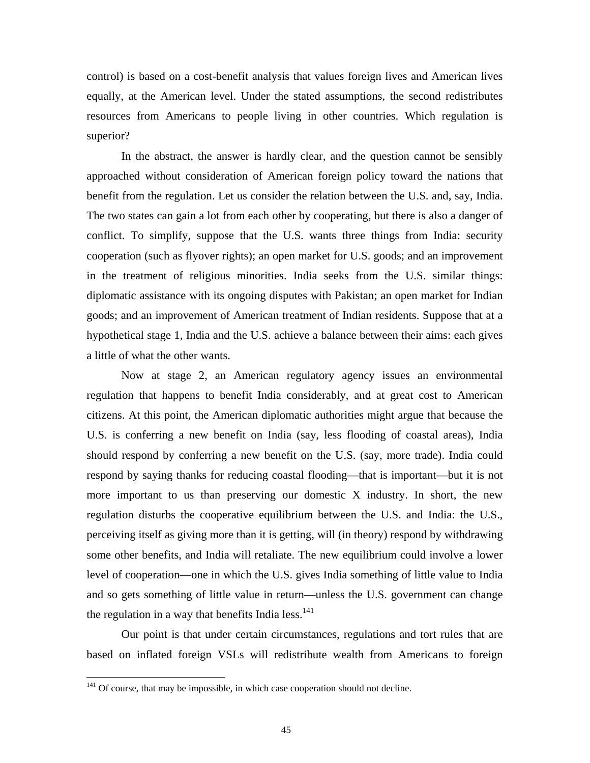control) is based on a cost-benefit analysis that values foreign lives and American lives equally, at the American level. Under the stated assumptions, the second redistributes resources from Americans to people living in other countries. Which regulation is superior?

In the abstract, the answer is hardly clear, and the question cannot be sensibly approached without consideration of American foreign policy toward the nations that benefit from the regulation. Let us consider the relation between the U.S. and, say, India. The two states can gain a lot from each other by cooperating, but there is also a danger of conflict. To simplify, suppose that the U.S. wants three things from India: security cooperation (such as flyover rights); an open market for U.S. goods; and an improvement in the treatment of religious minorities. India seeks from the U.S. similar things: diplomatic assistance with its ongoing disputes with Pakistan; an open market for Indian goods; and an improvement of American treatment of Indian residents. Suppose that at a hypothetical stage 1, India and the U.S. achieve a balance between their aims: each gives a little of what the other wants.

some other benefits, and India will retaliate. The new equilibrium could involve a lower Now at stage 2, an American regulatory agency issues an environmental regulation that happens to benefit India considerably, and at great cost to American citizens. At this point, the American diplomatic authorities might argue that because the U.S. is conferring a new benefit on India (say, less flooding of coastal areas), India should respond by conferring a new benefit on the U.S. (say, more trade). India could respond by saying thanks for reducing coastal flooding—that is important—but it is not more important to us than preserving our domestic X industry. In short, the new regulation disturbs the cooperative equilibrium between the U.S. and India: the U.S., perceiving itself as giving more than it is getting, will (in theory) respond by withdrawing level of cooperation—one in which the U.S. gives India something of little value to India and so gets something of little value in return—unless the U.S. government can change the regulation in a way that benefits India less. $141$ 

Our point is that under certain circumstances, regulations and tort rules that are based on inflated foreign VSLs will redistribute wealth from Americans to foreign

<u>.</u>

<span id="page-46-0"></span> $141$  Of course, that may be impossible, in which case cooperation should not decline.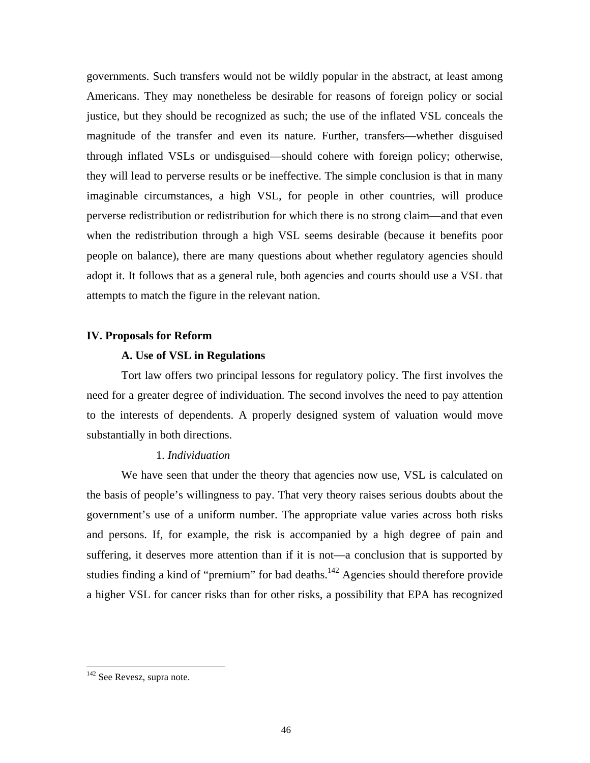governments. Such transfers would not be wildly popular in the abstract, at least among Americans. They may nonetheless be desirable for reasons of foreign policy or social justice, but they should be recognized as such; the use of the inflated VSL conceals the magnitude of the transfer and even its nature. Further, transfers—whether disguised through inflated VSLs or undisguised—should cohere with foreign policy; otherwise, they will lead to perverse results or be ineffective. The simple conclusion is that in many imaginable circumstances, a high VSL, for people in other countries, will produce perverse redistribution or redistribution for which there is no strong claim—and that even when the redistribution through a high VSL seems desirable (because it benefits poor people on balance), there are many questions about whether regulatory agencies should adopt it. It follows that as a general rule, both agencies and courts should use a VSL that attempts to match the figure in the relevant nation.

#### **IV. Proposals for Reform**

#### **ations A. Use of VSL in Regul**

Tort law offers two principal lessons for regulatory policy. The first involves the need for a greater degree of individuation. The second involves the need to pay attention to the interests of dependents. A properly designed system of valuation would move substantially in both directions.

#### 1. *Individuation*

We have seen that under the theory that agencies now use, VSL is calculated on the basis of people's willingness to pay. That very theory raises serious doubts about the government's use of a uniform number. The appropriate value varies across both risks and persons. If, for example, the risk is accompanied by a high degree of pain and suffering, it deserves more attention than if it is not—a conclusion that is supported by studies finding a kind of "premium" for bad deaths.<sup>142</sup> Agencies should therefore provide a higher VSL for cancer risks than for other risks, a possibility that EPA has recognized

<span id="page-47-0"></span><sup>&</sup>lt;sup>142</sup> See Revesz, supra note.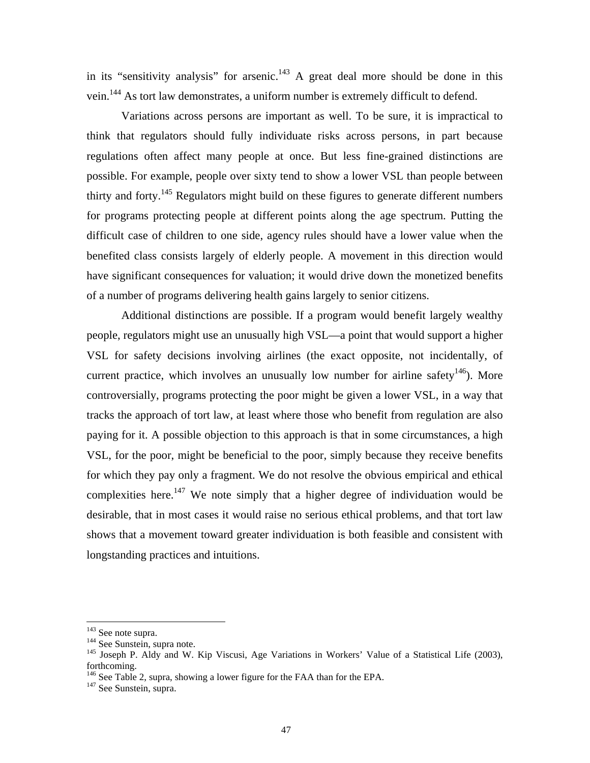in its "sensitivity analysis" for arsenic.<sup>143</sup> A great deal more should be done in this vein.<sup>144</sup> As tort law demonstrates, a uniform number is extremely difficult to defend.

Variations across persons are important as well. To be sure, it is impractical to think that regulators should fully individuate risks across persons, in part because regulations often affect many people at once. But less fine-grained distinctions are possible. For example, people over sixty tend to show a lower VSL than people between thirty and forty.<sup>145</sup> Regulators might build on these figures to generate different numbers for programs protecting people at different points along the age spectrum. Putting the difficult case of children to one side, agency rules should have a lower value when the benefited class consists largely of elderly people. A movement in this direction would have significant consequences for valuation; it would drive down the monetized benefits of a number of programs delivering health gains largely to senior citizens.

Additional distinctions are possible. If a program would benefit largely wealthy people, regulators might use an unusually high VSL—a point that would support a higher VSL for safety decisions involving airlines (the exact opposite, not incidentally, of current practice, which involves an unusually low number for airline safety<sup>146</sup>). More paying for it. A possible objection to this approach is that in some circumstances, a high VSL, for the poor, might be beneficial to the poor, simply because they receive benefits for whi ch they pay only a fragment. We do not resolve the obvious empirical and ethical controversially, programs protecting the poor might be given a lower VSL, in a way that tracks the approach of tort law, at least where those who benefit from regulation are also complexities here.<sup>147</sup> We note simply that a higher degree of individuation would be desirable, that in most cases it would raise no serious ethical problems, and that tort law shows that a movement toward greater individuation is both feasible and consistent with longstanding practices and intuitions.

<span id="page-48-0"></span><sup>&</sup>lt;sup>143</sup> See note supra.

<span id="page-48-2"></span><span id="page-48-1"></span>

<sup>&</sup>lt;sup>144</sup> See Sunstein, supra note.<br><sup>145</sup> Joseph P. Aldy and W. Kip Viscusi, Age Variations in Workers' Value of a Statistical Life (2003), forthcoming.

<span id="page-48-3"></span><sup>&</sup>lt;sup>146</sup> See Table 2, supra, showing a lower figure for the FAA than for the EPA.  $147$  See Sunstein, supra.

<span id="page-48-4"></span>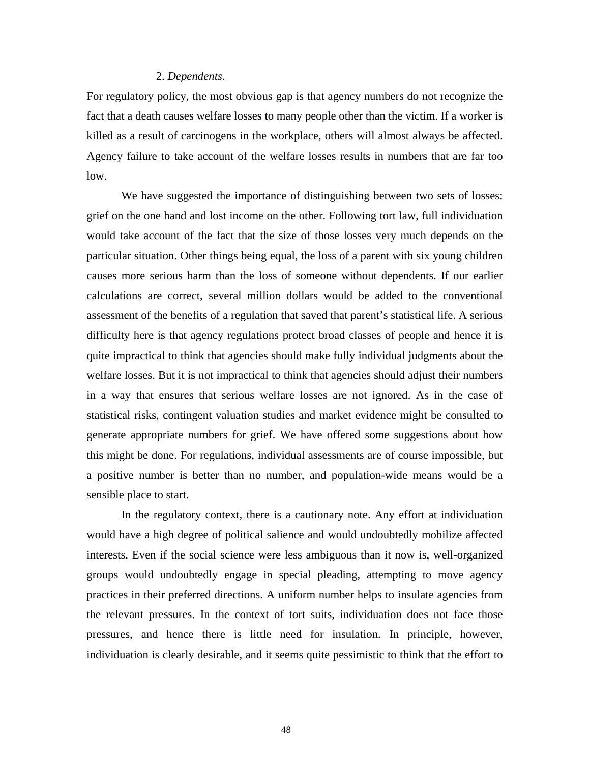#### 2. *Dependents*.

For regulatory policy, the most obvious gap is that agency numbers do not recognize the fact that a death causes welfare losses to many people other than the victim. If a worker is killed as a result of carcinogens in the workplace, others will almost always be affected. Agency failure to take account of the welfare losses results in numbers that are far too low.

calculations are correct, several million dollars would be added to the conventional assessm ent of the benefits of a regulation that saved that parent's statistical life. A serious We have suggested the importance of distinguishing between two sets of losses: grief on the one hand and lost income on the other. Following tort law, full individuation would take account of the fact that the size of those losses very much depends on the particular situation. Other things being equal, the loss of a parent with six young children causes more serious harm than the loss of someone without dependents. If our earlier difficulty here is that agency regulations protect broad classes of people and hence it is quite impractical to think that agencies should make fully individual judgments about the welfare losses. But it is not impractical to think that agencies should adjust their numbers in a way that ensures that serious welfare losses are not ignored. As in the case of statistical risks, contingent valuation studies and market evidence might be consulted to generate appropriate numbers for grief. We have offered some suggestions about how this might be done. For regulations, individual assessments are of course impossible, but a positive number is better than no number, and population-wide means would be a sensible place to start.

interests. Even if the social science were less ambiguous than it now is, well-organized groups would undoubtedly engage in special pleading, attempting to move agency practices in their preferred directions. A uniform number helps to insulate agencies from the relevant pressures. In the context of tort suits, individuation does not face those pressures, and hence there is little need for insulation. In principle, however, In the regulatory context, there is a cautionary note. Any effort at individuation would have a high degree of political salience and would undoubtedly mobilize affected individuation is clearly desirable, and it seems quite pessimistic to think that the effort to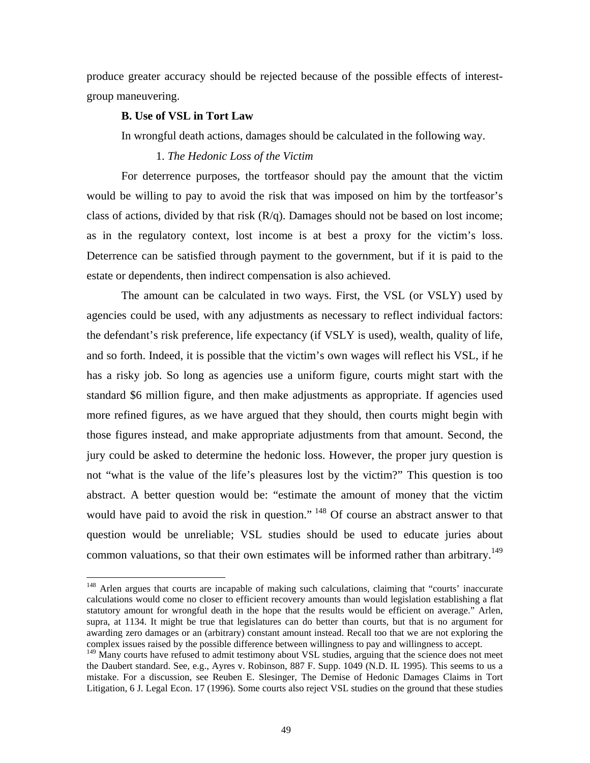<span id="page-50-1"></span>produce greater accuracy should be rejected because of the possible effects of interestgroup maneuvering.

#### **B. Use of VSL in Tort Law**

1

In wrongful death actions, damages should be calculated in the following way.

#### 1. *The Hedonic Loss of the Victim*

For deterrence purposes, the tortfeasor should pay the amount that the victim would be willing to pay to avoid the risk that was imposed on him by the tortfeasor's class of actions, divided by that risk  $(R/q)$ . Damages should not be based on lost income; as in the regulatory context, lost income is at best a proxy for the victim's loss. Deterrence can be satisfied through payment to the government, but if it is paid to the estate or dependents, then indirect compensation is also achieved.

abstract. A better question would be: "estimate the amount of money that the victim The amount can be calculated in two ways. First, the VSL (or VSLY) used by agencies could be used, with any adjustments as necessary to reflect individual factors: the defendant's risk preference, life expectancy (if VSLY is used), wealth, quality of life, and so forth. Indeed, it is possible that the victim's own wages will reflect his VSL, if he has a risky job. So long as agencies use a uniform figure, courts might start with the standard \$6 million figure, and then make adjustments as appropriate. If agencies used more refined figures, as we have argued that they should, then courts might begin with those figures instead, and make appropriate adjustments from that amount. Second, the jury could be asked to determine the hedonic loss. However, the proper jury question is not "what is the value of the life's pleasures lost by the victim?" This question is too would have paid to avoid the risk in question." <sup>148</sup> Of course an abstract answer to that question would be unreliable; VSL studies should be used to educate juries about common valuations, so that their own estimates will be informed rather than arbitrary.<sup>149</sup>

<span id="page-50-0"></span><sup>&</sup>lt;sup>148</sup> Arlen argues that courts are incapable of making such calculations, claiming that "courts' inaccurate calculations would come no closer to efficient recovery amounts than would legislation establishing a flat statutory amount for wrongful death in the hope that the results would be efficient on average." Arlen, supra, at 1134. It might be true that legislatures can do better than courts, but that is no argument for awarding zero damages or an (arbitrary) constant amount instead. Recall too that we are not exploring the complex issues raised by the possible difference between willingness to pay and willingness to accept.

<sup>&</sup>lt;sup>149</sup> Many courts have refused to admit testimony about VSL studies, arguing that the science does not meet the Daubert standard. See, e.g., Ayres v. Robinson, 887 F. Supp. 1049 (N.D. IL 1995). This seems to us a mistake. For a discussion, see Reuben E. Slesinger, The Demise of Hedonic Damages Claims in Tort Litigation, 6 J. Legal Econ. 17 (1996). Some courts also reject VSL studies on the ground that these studies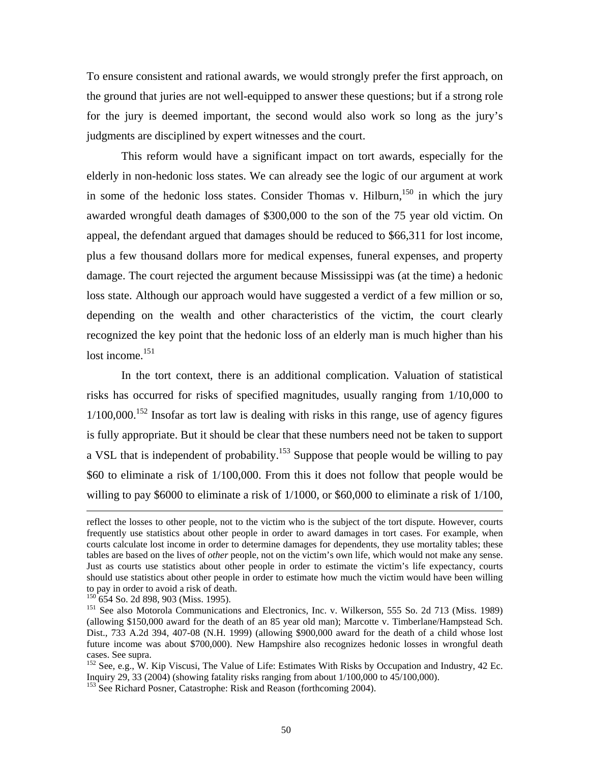To ensure consistent and rational awards, we would strongly prefer the first approach, on the ground that juries are not well-equipped to answer these questions; but if a strong role for the jury is deemed important, the second would also work so long as the jury's judgments are disciplined by expert witnesses and the court.

This reform would have a significant impact on tort awards, especially for the damage. The court rejected the argument because Mississippi was (at the time) a hedonic loss state. Although our approach would have suggested a verdict of a few million or so, elderly in non-hedonic loss states. We can already see the logic of our argument at work in some of the hedonic loss states. Consider Thomas v. Hilburn,  $150$  in which the jury awarded wrongful death damages of \$300,000 to the son of the 75 year old victim. On appeal, the defendant argued that damages should be reduced to \$66,311 for lost income, plus a few thousand dollars more for medical expenses, funeral expenses, and property depending on the wealth and other characteristics of the victim, the court clearly recognized the key point that the hedonic loss of an elderly man is much higher than his lost income.<sup>[151](#page-51-1)</sup>

In the tort context, there is an additional complication. Valuation of statistical risks has occurred for risks of specified magnitudes, usually ranging from 1/10,000 to  $1/100,000$ .<sup>152</sup> Insofar as tort law is dealing with risks in this range, use of agency figures is fully appropriate. But it should be clear that these numbers need not be taken to support a VSL that is independent of probability.<sup>153</sup> Suppose that people would be willing to pay \$60 to eliminate a risk of 1/100,000. From this it does not follow that people would be willing to pay \$6000 to eliminate a risk of 1/1000, or \$60,000 to eliminate a risk of 1/100,

reflect the losses to other people, not to the victim who is the subject of the tort dispute. However, courts frequently use statistics about other people in order to award damages in tort cases. For example, when courts calculate lost income in order to determine damages for dependents, they use mortality tables; these tables are based on the lives of *other* people, not on the victim's own life, which would not make any sense. Just as courts use statistics about other people in order to estimate the victim's life expectancy, courts should use statistics about other people in order to estimate how much the victim would have been willing to pay in order to avoid a risk of death.<br><sup>150</sup> 654 So. 2d 898, 903 (Miss. 1995).<br><sup>151</sup> See also Motorola Communications and Electronics, Inc. v. Wilkerson, 555 So. 2d 713 (Miss. 1989)

<span id="page-51-0"></span>

<span id="page-51-1"></span>future income was about \$700,000). New Hampshire also recognizes hedonic losses in wrongful death (allowing \$150,000 award for the death of an 85 year old man); Marcotte v. Timberlane/Hampstead Sch. Dist., 733 A.2d 394, 407-08 (N.H. 1999) (allowing \$900,000 award for the death of a child whose lost cases. See supra.

<span id="page-51-2"></span><sup>&</sup>lt;sup>152</sup> See, e.g., W. Kip Viscusi, The Value of Life: Estimates With Risks by Occupation and Industry, 42 Ec. Inquiry 29, 33 (2004) (showing fatality risks ranging from about 1/100,000 to 45/100,000). 153 See Richard Posner, Catastrophe: Risk and Reason (forthcoming 2004).

<span id="page-51-3"></span>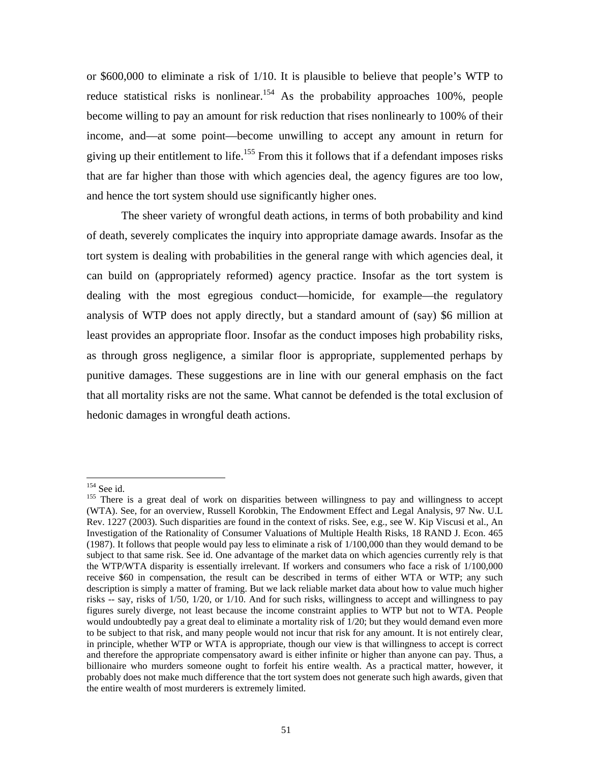or \$600,000 to eliminate a risk of 1/10. It is plausible to believe that people's WTP to reduce statistical risks is nonlinear.<sup>[154](#page-52-0)</sup> As the probability approaches 100%, people become willing to pay an amount for risk reduction that rises nonlinearly to 100% of their income, and—at some point—become unwilling to accept any amount in return for giving up their entitlement to life.<sup>155</sup> From this it follows that if a defendant imposes risks that are far higher than those with which agencies deal, the agency figures are too low, and hence the tort system should use significantly higher ones.

as through gross negligence, a similar floor is appropriate, supplemented perhaps by punitiv e damages. These suggestions are in line with our general emphasis on the fact The sheer variety of wrongful death actions, in terms of both probability and kind of death, severely complicates the inquiry into appropriate damage awards. Insofar as the tort system is dealing with probabilities in the general range with which agencies deal, it can build on (appropriately reformed) agency practice. Insofar as the tort system is dealing with the most egregious conduct—homicide, for example—the regulatory analysis of WTP does not apply directly, but a standard amount of (say) \$6 million at least provides an appropriate floor. Insofar as the conduct imposes high probability risks, that all mortality risks are not the same. What cannot be defended is the total exclusion of hedonic damages in wrongful death actions.

<span id="page-52-0"></span> $154$  See id.

<span id="page-52-1"></span><sup>&</sup>lt;sup>155</sup> There is a great deal of work on disparities between willingness to pay and willingness to accept (WTA). See, for an overview, Russell Korobkin, The Endowment Effect and Legal Analysis, 97 Nw. U.L description is simply a matter of framing. But we lack reliable market data about how to value much higher risks  $-$  say, risks of  $1/50$ ,  $1/20$ , or  $1/10$ . And for such risks, willingness to accept and willingness to pay and therefore the appropriate compensatory award is either infinite or higher than anyone can pay. Thus, a probably does not make much difference that the tort system does not generate such high awards, given that Rev. 1227 (2003). Such disparities are found in the context of risks. See, e.g., see W. Kip Viscusi et al., An Investigation of the Rationality of Consumer Valuations of Multiple Health Risks, 18 RAND J. Econ. 465 (1987). It follows that people would pay less to eliminate a risk of 1/100,000 than they would demand to be subject to that same risk. See id. One advantage of the market data on which agencies currently rely is that the WTP/WTA disparity is essentially irrelevant. If workers and consumers who face a risk of 1/100,000 receive \$60 in compensation, the result can be described in terms of either WTA or WTP; any such figures surely diverge, not least because the income constraint applies to WTP but not to WTA. People would undoubtedly pay a great deal to eliminate a mortality risk of 1/20; but they would demand even more to be subject to that risk, and many people would not incur that risk for any amount. It is not entirely clear, in principle, whether WTP or WTA is appropriate, though our view is that willingness to accept is correct billionaire who murders someone ought to forfeit his entire wealth. As a practical matter, however, it the entire wealth of most murderers is extremely limited.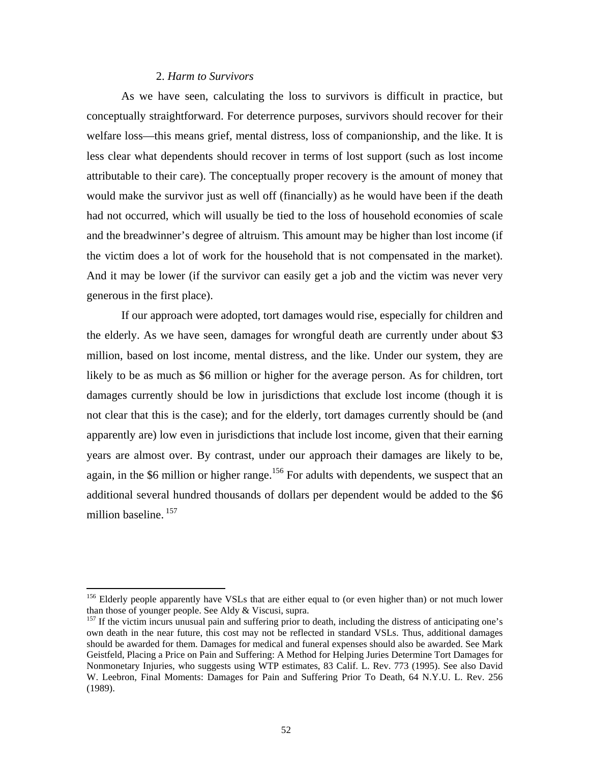#### 2. *Harm to Survivors*

As we have seen, calculating the loss to survivors is difficult in practice, but conceptually straightforward. For deterrence purposes, survivors should recover for their welfare loss—this means grief, mental distress, loss of companionship, and the like. It is less clear what dependents should recover in terms of lost support (such as lost income attributable to their care). The conceptually proper recovery is the amount of money that would make the survivor just as well off (financially) as he would have been if the death had no t occurred, which will usually be tied to the loss of household economies of scale and the breadwinner's degree of altruism. This amount may be higher than lost income (if the victim does a lot of work for the household that is not compensated in the market). And it may be lower (if the survivor can easily get a job and the victim was never very generous in the first place).

not clear that this is the case); and for the elderly, tort damages currently should be (and apparently are) low even in jurisdictions that include lost income, given that their earning years are almost over. By contrast, under our approach their damages are likely to be, again, in the \$6 million or higher range.<sup>156</sup> For adults with dependents, we suspect that an If our approach were adopted, tort damages would rise, especially for children and the elderly. As we have seen, damages for wrongful death are currently under about \$3 million, based on lost income, mental distress, and the like. Under our system, they are likely to be as much as \$6 million or higher for the average person. As for children, tort damages currently should be low in jurisdictions that exclude lost income (though it is additional several hundred thousands of dollars per dependent would be added to the \$6 million baseline.<sup>157</sup>

<span id="page-53-0"></span><sup>&</sup>lt;sup>156</sup> Elderly people apparently have VSLs that are either equal to (or even higher than) or not much lower than those of younger people. See Aldy  $&$  Viscusi, supra.<br><sup>157</sup> If the victim incurs unusual pain and suffering prior to death, including the distress of anticipating one's

<span id="page-53-1"></span>own death in the near future, this cost may not be reflected in standard VSLs. Thus, additional damages should be awarded for them. Damages for medical and funeral expenses should also be awarded. See Mark Geistfeld, Placing a Price on Pain and Suffering: A Method for Helping Juries Determine Tort Damages for Nonmonetary Injuries, who suggests using WTP estimates, 83 Calif. L. Rev. 773 (1995). See also David W. Leebron, Final Moments: Damages for Pain and Suffering Prior To Death, 64 N.Y.U. L. Rev. 256 (1989).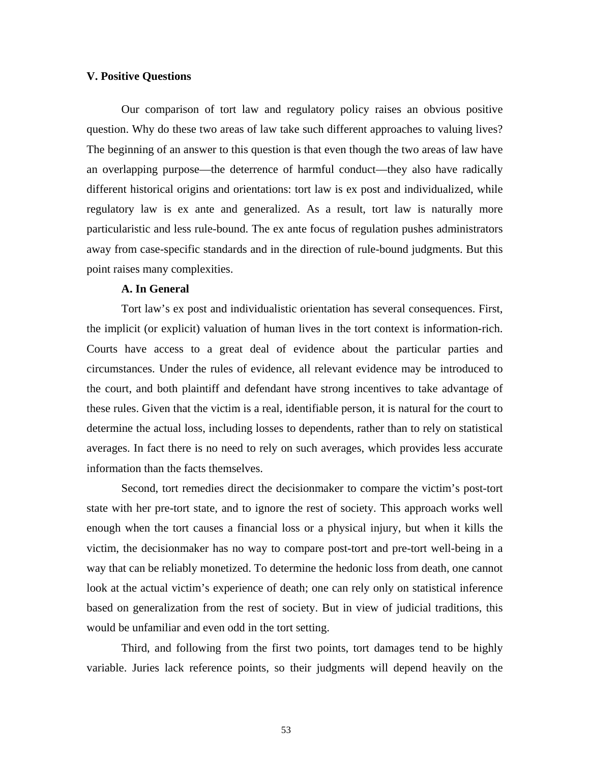#### **V. Positive Questions**

Our comparison of tort law and regulatory policy raises an obvious positive question. Why do these two areas of law take such different approaches to valuing lives? The beginning of an answer to this question is that even though the two areas of law have an overlapping purpose—the deterrence of harmful conduct—they also have radically different historical origins and orientations: tort law is ex post and individualized, while regulatory law is ex ante and generalized. As a result, tort law is naturally more particularistic and less rule-bound. The ex ante focus of regulation pushes administrators away from case-specific standards and in the direction of rule-bound judgments. But this point raises many complexities.

#### **A. In General**

Tort law's ex post and individualistic orientation has several consequences. First, the implicit (or explicit) valuation of human lives in the tort context is information-rich. Courts have access to a great deal of evidence about the particular parties and circumstances. Under the rules of evidence, all relevant evidence may be introduced to the court, and both plaintiff and defendant have strong incentives to take advantage of these rules. Given that the victim is a real, identifiable person, it is natural for the court to determine the actual loss, including losses to dependents, rather than to rely on statistical averages. In fact there is no need to rely on such averages, which provides less accurate information than the facts themselves.

Second, tort remedies direct the decisionmaker to compare the victim's post-tort state with her pre-tort state, and to ignore the rest of society. This approach works well enough when the tort causes a financial loss or a physical injury, but when it kills the victim, the decisionmaker has no way to compare post-tort and pre-tort well-being in a way that can be reliably monetized. To determine the hedonic loss from death, one cannot look at the actual victim's experience of death; one can rely only on statistical inference based on generalization from the rest of society. But in view of judicial traditions, this would be unfamiliar and even odd in the tort setting.

Third, and following from the first two points, tort damages tend to be highly variable. Juries lack reference points, so their judgments will depend heavily on the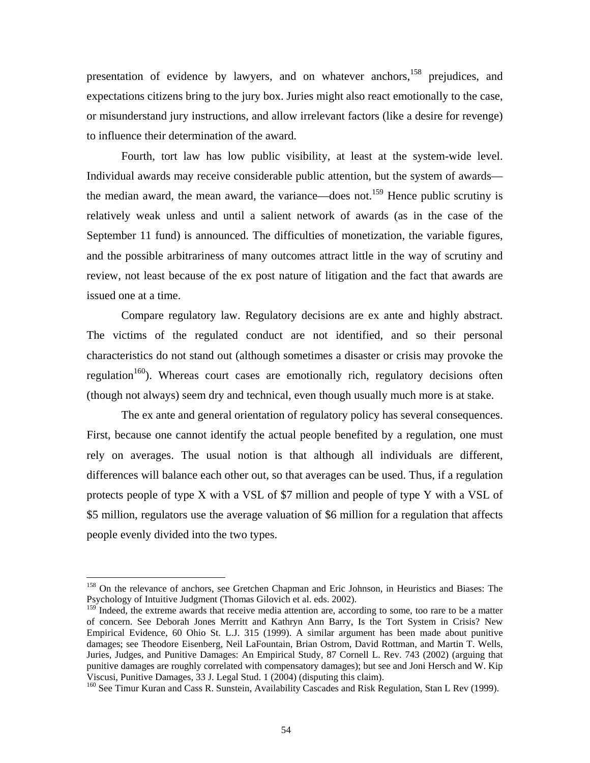presentation of evidence by lawyers, and on whatever anchors,<sup>158</sup> prejudices, and xpectations citizens bring to the jury box. Juries might also react emotionally to the case, e or misunderstand jury instructions, and allow irrelevant factors (like a desire for revenge) to influence their determination of the award.

review, not least because of the ex post nature of litigation and the fact that awards are issued one at a time. Fourth, tort law has low public visibility, at least at the system-wide level. Individual awards may receive considerable public attention, but the system of awards the median award, the mean award, the variance—does not.<sup>159</sup> Hence public scrutiny is relatively weak unless and until a salient network of awards (as in the case of the September 11 fund) is announced. The difficulties of monetization, the variable figures, and the possible arbitrariness of many outcomes attract little in the way of scrutiny and

Compare regulatory law. Regulatory decisions are ex ante and highly abstract. The victims of the regulated conduct are not identified, and so their personal characteristics do not stand out (although sometimes a disaster or crisis may provoke the regulation<sup>160</sup>). Whereas court cases are emotionally rich, regulatory decisions often (though not always) seem dry and technical, even though usually much more is at stake.

differences will balance each other out, so that averages can be used. Thus, if a regulation The ex ante and general orientation of regulatory policy has several consequences. First, because one cannot identify the actual people benefited by a regulation, one must rely on averages. The usual notion is that although all individuals are different, protects people of type X with a VSL of \$7 million and people of type Y with a VSL of \$5 million, regulators use the average valuation of \$6 million for a regulation that affects people evenly divided into the two types.

<span id="page-55-0"></span><sup>&</sup>lt;sup>158</sup> On the relevance of anchors, see Gretchen Chapman and Eric Johnson, in Heuristics and Biases: The Psychology of Intuitive Judgment (Thomas Gilovich et al. eds. 2002).

<span id="page-55-1"></span><sup>&</sup>lt;sup>159</sup> Indeed, the extreme awards that receive media attention are, according to some, too rare to be a matter of concern. See Deborah Jones Merritt and Kathryn Ann B arry, Is the Tort System in Crisis? New Empirical Evidence, 60 Ohio St. L.J. 315 (1999). A similar argument has been made about punitive damages; see Theodore Eisenberg, Neil LaFountain, Brian Ostrom, David Rottman, and Martin T. Wells, Juries, Judges, and Punitive Damages: An Empirical Study, 87 Cornell L. Rev. 743 (2002) (arguing that punitive damages are roughly correlated with compensatory damages); but see and Joni Hersch and W. Kip Viscusi, Punitive Damages, 33 J. Legal Stud. 1 (2004) (disputing this claim).

<span id="page-55-2"></span><sup>&</sup>lt;sup>160</sup> See Timur Kuran and Cass R. Sunstein, Availability Cascades and Risk Regulation, Stan L Rev (1999).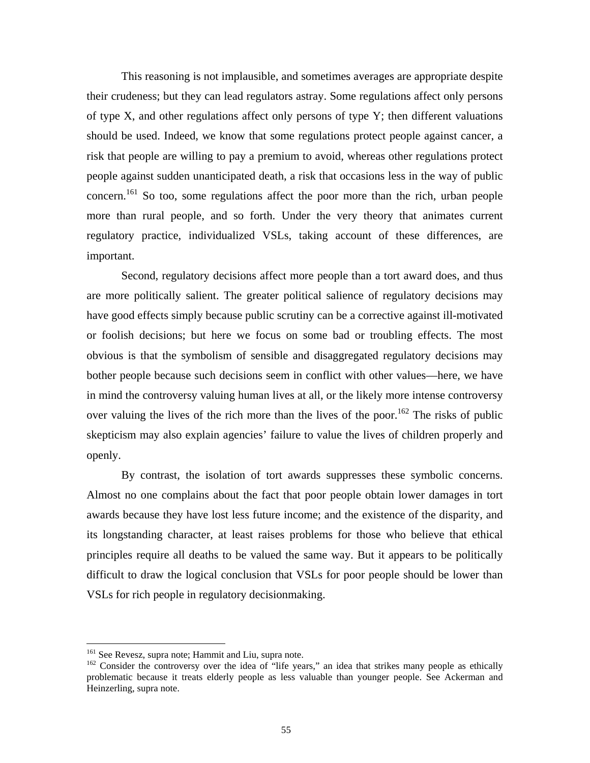This reasoning is not implausible, and sometimes averages are appropriate despite their crudeness; but they can lead regulators astray. Some regulations affect only persons of type X, and other regulations affect only persons of type Y; then different valuations should be used. Indeed, we know that some regulations protect people against cancer, a risk that people are willing to pay a premium to avoid, whereas other regulations protect people against sudden unanticipated death, a risk that occasions less in the way of public concern.<sup>161</sup> So too, some regulations affect the poor more than the rich, urban people more than rural people, and so forth. Under the very theory that animates current regulatory practice, individualized VSLs, taking account of these differences, are important.

Second, regulatory decisions affect more people than a tort award does, and thus are more politically salient. The greater political salience of regulatory decisions may have good effects simply because public scrutiny can be a corrective against ill-motivated or foolish decisions; but here we focus on some bad or troubling effects. The most obvious is that the symbolism of sensible and disaggregated regulatory decisions may bother people because such decisions seem in conflict with other values—here, we have in mind the controversy valuing human lives at all, or the likely more intense controversy over valuing the lives of the rich more than the lives of the poor.<sup>162</sup> The risks of public skepticism may also explain agencies' failure to value the lives of children properly and openly.

its longstanding character, at least raises problems for those who believe that ethical principles require all deaths to be valued the same way. But it appears to be politically difficult to draw the logical conclusion that VSLs for poor people should be lower than By contrast, the isolation of tort awards suppresses these symbolic concerns. Almost no one complains about the fact that poor people obtain lower damages in tort awards because they have lost less future income; and the existence of the disparity, and VSLs for rich people in regulatory decisionmaking.

<u>.</u>

<span id="page-56-1"></span><span id="page-56-0"></span>

<sup>&</sup>lt;sup>161</sup> See Revesz, supra note; Hammit and Liu, supra note.<br><sup>162</sup> Consider the controversy over the idea of "life years," an idea that strikes many people as ethically problematic because it treats elderly people as less valuable than younger people. See Ackerman and Heinzerling, supra note.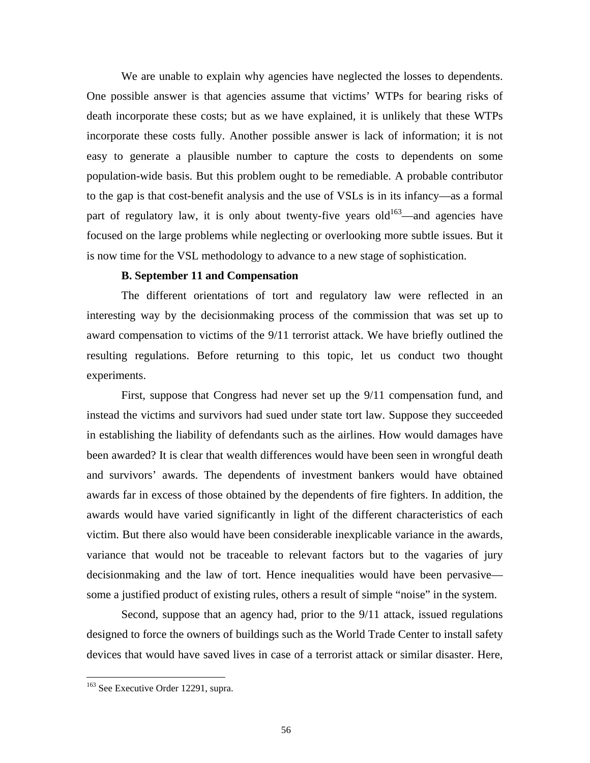We are unable to explain why agencies have neglected the losses to dependents. One possible answer is that agencies assume that victims' WTPs for bearing risks of death incorporate these costs; but as we have explained, it is unlikely that these WTPs incorporate these costs fully. Another possible answer is lack of information; it is not easy to generate a plausible number to capture the costs to dependents on some population-wide basis. But this problem ought to be remediable. A probable contributor to the gap is that cost-benefit analysis and the use of VSLs is in its infancy—as a formal part of regulatory law, it is only about twenty-five years old<sup>163</sup>—and agencies have focused on the large problems while neglecting or overlooking more subtle issues. But it is now time for the VSL methodology to advance to a new stage of sophistication.

#### **B. September 11 and Compensation**

The different orientations of tort and regulatory law were reflected in an interesting way by the decisionmaking process of the commission that was set up to award compensation to victims of the 9/11 terrorist attack. We have briefly outlined the resulting regulations. Before returning to this topic, let us conduct two thought experiments.

been awarded? It is clear that wealth differences would have been seen in wrongful death and su rvivors' awards. The dependents of investment bankers would have obtained some a justified product of existing rules, others a result of simple "noise" in the system. First, suppose that Congress had never set up the 9/11 compensation fund, and instead the victims and survivors had sued under state tort law. Suppose they succeeded in establishing the liability of defendants such as the airlines. How would damages have awards far in excess of those obtained by the dependents of fire fighters. In addition, the awards would have varied significantly in light of the different characteristics of each victim. But there also would have been considerable inexplicable variance in the awards, variance that would not be traceable to relevant factors but to the vagaries of jury decisionmaking and the law of tort. Hence inequalities would have been pervasive—

Second, suppose that an agency had, prior to the 9/11 attack, issued regulations designed to force the owners of buildings such as the World Trade Center to install safety devices that would have saved lives in case of a terrorist attack or similar disaster. Here,

<u>.</u>

<span id="page-57-0"></span><sup>&</sup>lt;sup>163</sup> See Executive Order 12291, supra.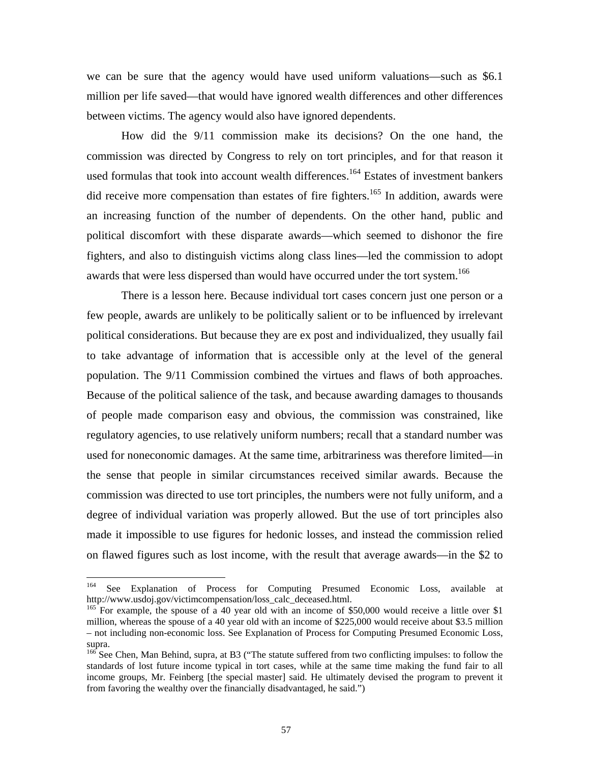we can be sure that the agency would have used uniform valuations—such as \$6.1 million per life saved—that would have ignored wealth differences and other differences between victims. The agency would also have ignored dependents.

How did the 9/11 commission make its decisions? On the one hand, the commission was directed by Congress to rely on tort principles, and for that reason it used formulas that took into account wealth differences.<sup>164</sup> Estates of investment bankers did receive more compensation than estates of fire fighters.<sup>165</sup> In addition, awards were an increasing function of the number of dependents. On the other hand, public and political discomfort with these disparate awards—which seemed to dishonor the fire fighters, and also to distinguish victims along class lines—led the commission to adopt awards that were less dispersed than would have occurred under the tort system.<sup>[166](#page-58-2)</sup>

population. The 9/11 Commission combined the virtues and flaws of both approaches. There is a lesson here. Because individual tort cases concern just one person or a few people, awards are unlikely to be politically salient or to be influenced by irrelevant political considerations. But because they are ex post and individualized, they usually fail to take advantage of information that is accessible only at the level of the general Because of the political salience of the task, and because awarding damages to thousands of people made comparison easy and obvious, the commission was constrained, like regulatory agencies, to use relatively uniform numbers; recall that a standard number was used for noneconomic damages. At the same time, arbitrariness was therefore limited—in the sense that people in similar circumstances received similar awards. Because the commission was directed to use tort principles, the numbers were not fully uniform, and a degree of individual variation was properly allowed. But the use of tort principles also made it impossible to use figures for hedonic losses, and instead the commission relied on flawed figures such as lost income, with the result that average awards—in the \$2 to

<span id="page-58-0"></span><sup>164</sup> <sup>164</sup> See Explanation of Process for Computing Presumed Economic Loss, available at http://www.usdoj.gov/victimcompensation/loss\_calc\_deceased.html. http://www.usdoj.gov/victimcompensation/loss\_calc\_deceased.html.<br><sup>165</sup> For example, the spouse of a 40 year old with an income of \$50,000 would receive a little over \$1

<span id="page-58-1"></span>million, whereas the spouse of a 40 year old with an income of \$225,000 would receive about \$3.5 million – not including non-economic loss. See Explanation of Process for Computing Presumed Economic Loss, supra.

<span id="page-58-2"></span>standards of lost future income typical in tort cases, while at the same time making the fund fair to all income groups, Mr. Feinberg [the special master] said. He ultimately devised the program to prevent it from favoring the wealthy over the financially disadvantaged, he said.")  $166$  See Chen, Man Behind, supra, at B3 ("The statute suffered from two conflicting impulses: to follow the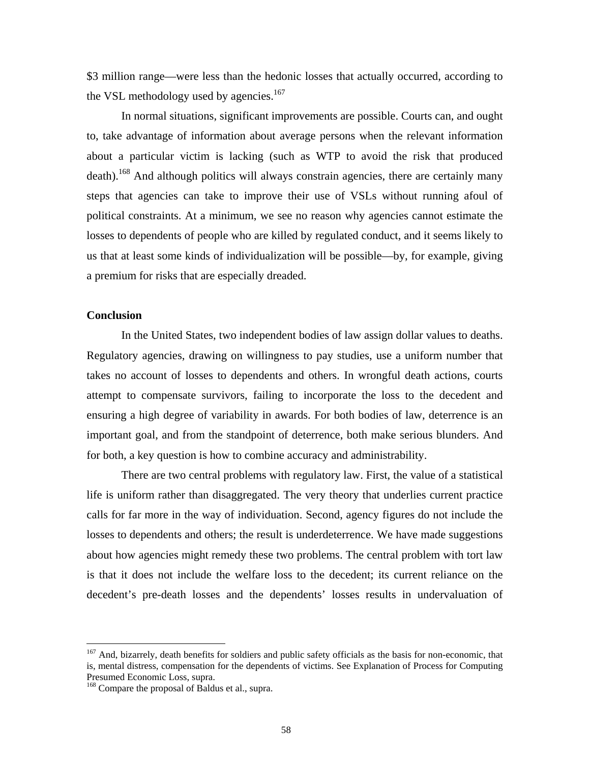\$3 million range—were less than the hedonic losses that actually occurred, according to the VSL methodology used by agencies.<sup>167</sup>

In normal situations, significant improvements are possible. Courts can, and ought to, take advantage of information about average persons when the relevant information about a particular victim is lacking (such as WTP to avoid the risk that produced  $death$ ).<sup>168</sup> And although politics will always constrain agencies, there are certainly many steps that agencies can take to improve their use of VSLs without running afoul of political constraints. At a minimum, we see no reason why agencies cannot estimate the losses to dependents of people who are killed by regulated conduct, and it seems likely to us that at least some kinds of individualization will be possible—by, for example, giving a premium for risks that are especially dreaded.

#### **Conclusion**

In the United States, two independent bodies of law assign dollar values to deaths. Regulatory agencies, drawing on willingness to pay studies, use a uniform number that takes no account of losses to dependents and others. In wrongful death actions, courts attempt to compensate survivors, failing to incorporate the loss to the decedent and ensuring a high degree of variability in awards. For both bodies of law, deterrence is an important goal, and from the standpoint of deterrence, both make serious blunders. And for both, a key question is how to combine accuracy and administrability.

is that it does not include the welfare loss to the decedent; its current reliance on the There are two central problems with regulatory law. First, the value of a statistical life is uniform rather than disaggregated. The very theory that underlies current practice calls for far more in the way of individuation. Second, agency figures do not include the losses to dependents and others; the result is underdeterrence. We have made suggestions about how agencies might remedy these two problems. The central problem with tort law decedent's pre-death losses and the dependents' losses results in undervaluation of

<span id="page-59-0"></span> $167$  And, bizarrely, death benefits for soldiers and public safety officials as the basis for non-economic, that is, mental distress, compensation for the dependents of victims. See Explanation of Process for Computing Presumed Economic Loss, supra.

<span id="page-59-1"></span> $P<sup>168</sup>$  Compare the proposal of Baldus et al., supra.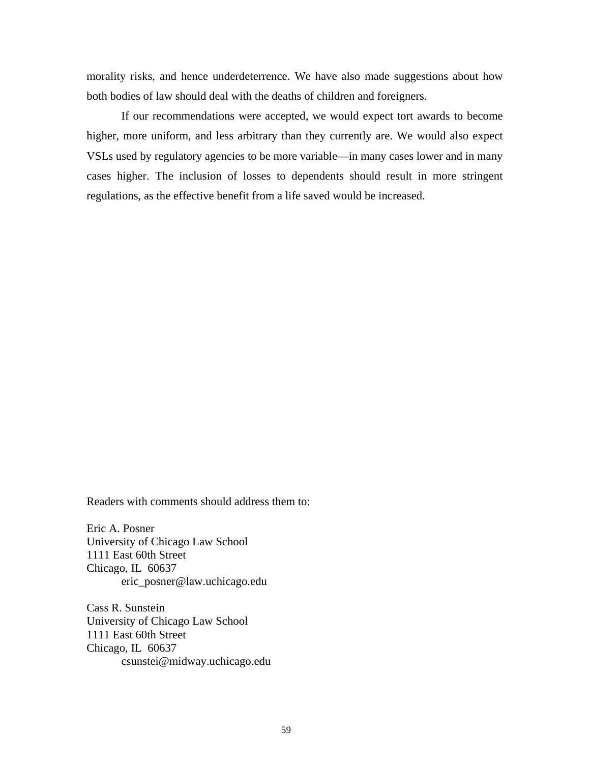morality risks, and hence underdeterrence. We have also made suggestions about how both bodies of law should deal with the deaths of children and foreigners.

If our recommendations were accepted, we would expect tort awards to become higher, more uniform, and less arbitrary than they currently are. We would also expect VSLs used by regulatory agencies to be more variable—in many cases lower and in many cases higher. The inclusion of losses to dependents should result in more stringent regulations, as the effective benefit from a life saved would be increased.

Readers with comments should address them to:

Eric A. Posner University of Chicago Law School 1111 East 60th Street Chicago, IL 60637 eric\_posner@law.uchicago.edu

Cass R. Sunstein University of Chicago Law School 1111 East 60th Street Chicago, IL 60637 csunstei@midway.uchicago.edu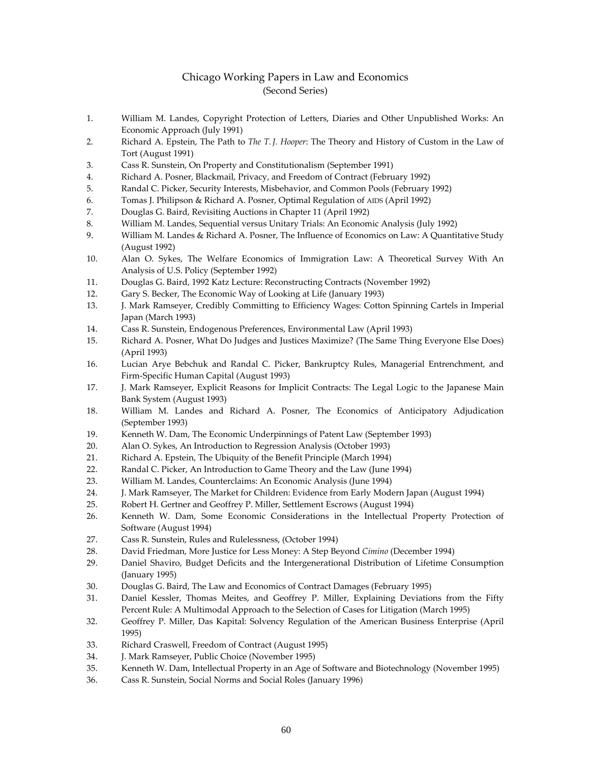#### Chicago Working Papers in Law and Economics (Second Series)

- 1. William M. Landes, Copyright Protection of Letters, Diaries and Other Unpublished Works: An Economic Approach (July 1991)
- 2. Richard A. Epstein, The Path to *The T. J. Hooper*: The Theory and History of Custom in the Law of Tort (August 1991)
- 3. Cass R. Sunstein, On Property and Constitutionalism (September 1991)
- 4. Richard A. Posner, Blackmail, Privacy, and Freedom of Contract (February 1992)
- 5. Randal C. Picker, Security Interests, Misbehavior, and Common Pools (February 1 992)
- 6. Tomas J. Philipson & Richard A. Posner, Optimal Regulation of AIDS (April 1992)
- . Douglas G. Baird, Revisiting Auctions in Chapter 11 (April 1992) 7
- . William M. Landes, Sequential versus Unitary Trials: An Economic Analysis (July 1992) 8
- . William M. Landes & Richard A. Posner, The Influence of Economics on Law: A Quantitative Study (August 1992) 9.
- 0. Alan O. Sykes, The Welfare Economics of Immigration Law: A Theoretical Survey With An Analysis of U.S. Policy (September 1992) 10.
- 1. Douglas G. Baird, 1992 Katz Lecture: Reconstructing Contracts (November 1992) 11.
- 2. Gary S. Becker, The Economic Way of Looking at Life (January 1993)  $12<sub>1</sub>$
- 3. J. Mark Ramseyer, Credibly Committing to Efficiency Wages: Cotton Spinning Cartels in Imperial Japan (March 1993) 13.
- 4. Cass R. Sunstein, Endogenous Preferences, Environmental Law (April 1993)  $14.$
- 5. Richard A. Posner, What Do Judges and Justices Maximize? (The Same Thing Everyone Else Does) (April 1993) 15.
- Lucian Arye Bebchuk and Randal C. Picker, Bankruptcy Rules, Managerial Entrenchment, and Firm-Specific Human Capital (August 1993) 16.
- 7. J. Mark Ramseyer, Explicit Reasons for Implicit Contracts: The Legal Logic to the Japanese Main Bank System (August 1993)  $17.$
- 8. William M. Landes and Richard A. Posner, The Economics of Anticipatory Adjudication (September 1993) 18.
- 9. Kenneth W. Dam, The Economic Underpinnings of Patent Law (September 1993) 19.
- 0. Alan O. Sykes, An Introduction to Regression Analysis (October 1993)  $20.$
- 1. Richard A. Epstein, The Ubiquity of the Benefit Principle (March 1994) 21.
- 2. Randal C. Picker, An Introduction to Game Theory and the Law (June 1994)  $22.$
- 3. William M. Landes, Counterclaims: An Economic Analysis (June 1994) 23.
- 24. J. Mark Ramseyer, The Market for Children: Evidence from Early Modern Japan (August 1994)
- 25. Robert H. Gertner and Geoffrey P. Miller, Settlement Escrows (August 1994)
- . Kenneth W. Dam, Some Economic Considerations in the Intellectual Property Protection of Software (August 1994) 26
- 27. Cass R. Sunstein, Rules and Rulelessness, (October 1994)
- 28. David Friedman, More Justice for Less Money: A Step Beyond *Cimino* (December 1994)
- udget Deficits and the Intergenerational Distribution of Lifetime Consumption 29. Daniel Shaviro, B (January 1995)
- 30. Douglas G. Baird, The Law and Economics of Contract Damages (February 1995)
- . Daniel Kessler, Thomas Meites, and Geoffrey P. Miller, Explaining Deviations from the Fifty Percent Rule: A Multimodal Approach to the Selection of Cases for Litigation (March 1995) 31
- 32. Geoffrey P. Miller, Das Kapital: Solvency Regulation of the American Business Enterprise (April 1995)
- 33. Richard Craswell, Freedom of Contract (August 1995)
- 34. J. Mark Ramseyer, Public Choice (November 1995)
- 35. Kenneth W. Dam, Intellectual Property in an Age of Software and Biotechnology (November 1995)
- 6. Cass R. Sunstein, Social Norms and Social Roles (January 1996) 36.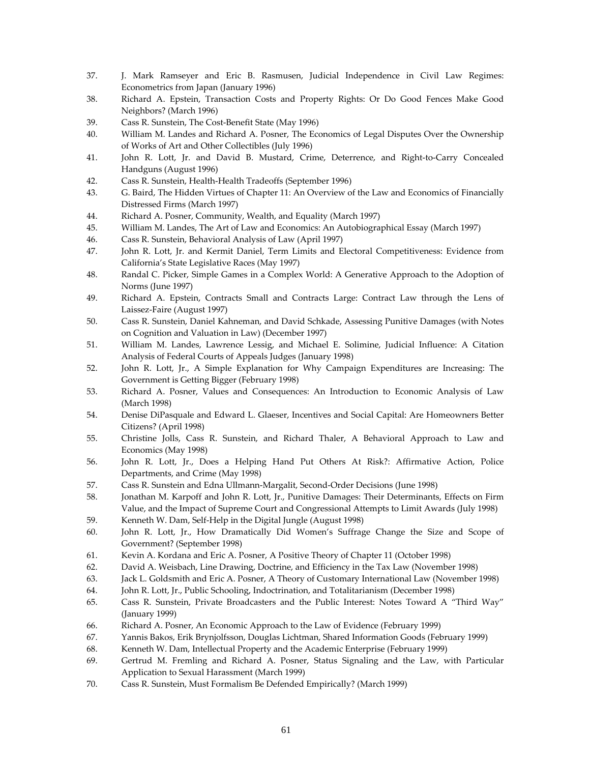- 37. J. Mark Ramseyer and Eric B. Rasmusen, Judicial Independence in Civil Law Regimes: Econometrics from Japan (January 1 996)
- 38. Richard A. Epstein, Transaction Costs and Property Rights: Or Do Good Fences Make Good Neighbors? (March 1996)
- 39. Cass R. Sunstein, The Cost-Benefit State (May 1996)
- 40. William M. Landes and Richard A. Posner, The Economics of Legal Disputes Over the Ownership of Works of Art and Other Collectibles (July 1996)
- 41. John R. Lott, Jr. and David B. Mustard, Crime, Deterrence, and Right-to-Carry Concealed Handguns (August 1996)
- 42. Cass R. Sunstein, Health-Health Tradeoffs (September 1996)
- 43. G. Baird, The Hidden Virtues of Chapter 11: An Overview of the Law and Economics of Financially Distressed Firms (March 1997)
- 44. Richard A. Posner, Community, Wealth, and Equality (March 1997)
- 45. William M. Landes, The Art of Law and Economics: An Autobiographical Essay (March 1997)
- 46. Cass R. Sunstein, Behavioral Analysis of Law (April 1997)
- 47. John R. Lott, Jr. and Kermit Daniel, Term Limits and Electoral Competitiveness: Evidence from California's State Legislative Races (May 1997)
- 48. Randal C. Picker, Simple Games in a Complex World: A Generative Approach to the Adoption of Norms (June 1997)
- 49. Richard A. Epstein, Contracts Small and Contracts Large: Contract Law through the Lens of Laissez-Faire (August 1997)
- 50. Cass R. Sunstein, Daniel Kahneman, and David Schkade, Assessing Punitive Damages (with Notes on Cognition and Valuation in Law) (December 1997)
- 51. William M. Landes, Lawrence Lessig, and Michael E. Solimine, Judicial Influence: A Citation Analysis of Federal Courts of Appeals Judges (January 1998)
- 52. John R. Lott, Jr., A Simple Explanation for Why Campaign Expenditures are Increasing: The Government is Getting Bigger (February 1998)
- 53. Richard A. Posner, Values and Consequences: An Introduction to Economic Analysis of Law (March 1998)
- 54. Denise DiPasquale and Edward L. Glaeser, Incentives and Social Capital: Are Homeowners Better Citizens? (April 1998)
- 55. Christine Jolls, Cass R. Sunstein, and Richard Thaler, A Behavioral Approach to Law and Economics (May 1998)
- 56. John R. Lott, Jr., Does a Helping Hand Put Others At Risk?: Affirmative Action, Police Departments, and Crime (May 1998)
- 57. Cass R. Sunstein and Edna Ullmann-Margalit, Second-Order Decisions (June 1998)
- 58. Jonathan M. Karpoff and John R. Lott, Jr., Punitive Damages: Their Determinants, Effects on Firm Value, and the Impact of Supreme Court and Congressional Attempts to Limit Awards (July 1998)
- 59. Kenneth W. Dam, Self-Help in the Digital Jungle (August 1998)
- 60. John R. Lott, Jr., How Dramatically Did Women's Suffrage Change the Size and Scope of Government? (September 1998)
- 61. Kevin A. Kordana and Eric A. Posner, A Positive Theory of Chapter 11 (October 1998)
- 62. David A. Weisbach, Line Drawing, Doctrine, and Efficiency in the Tax Law (November 1998)
- 63. Jack L. Goldsmith and Eric A. Posner, A Theory of Customary International Law (November 1998)
- 64. John R. Lott, Jr., Public Schooling, Indoctrination, and Totalitarianism (December 1998)
- 65. Cass R. Sunstein, Private Broadcasters and the Public Interest: Notes Toward A "Third Way" (January 1999)
- 66. Richard A. Posner, An Economic Approach to the Law of Evidence (February 1999)
- 67. Yannis Bakos, Erik Brynjolfsson, Douglas Lichtman, Shared Information Goods (February 1999)
- 68. Kenneth W. Dam, Intellectual Property and the Academic Enterprise (February 1999)
- 69. Gertrud M. Fremling and Richard A. Posner, Status Signaling and the Law, with Particular Application to Sexual Harassment (March 1999)
- 70. Cass R. Sunstein, Must Formalism Be Defended Empirically? (March 1999)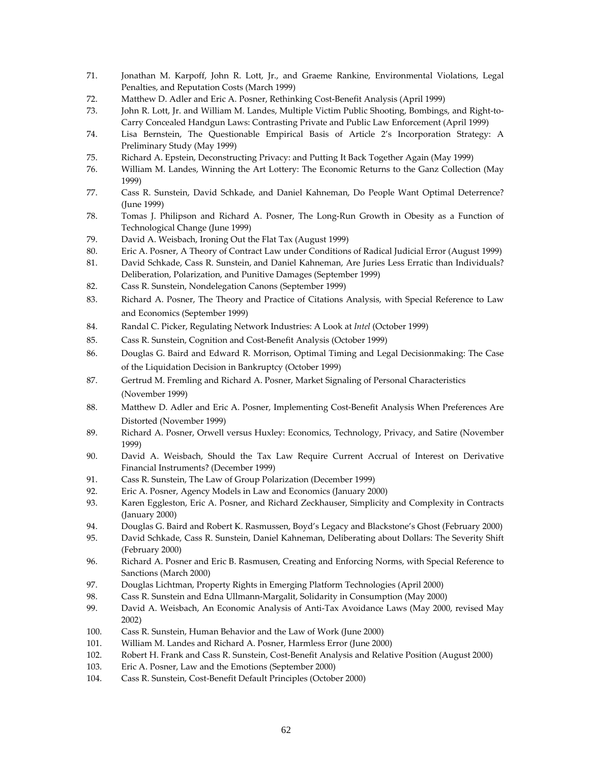- 71. Jonathan M. Karpoff, John R. Lott, Jr., and Graeme Rankine, Environmental Violations, Legal Penalties, and Reputation Costs (March 1999)
- 72. Matthew D. Adler and Eric A. Posner, Rethinking Cost-Benefit Analysis (April 1999)
- 73. John R. Lott, Jr. and William M. Landes, Multiple Victim Public Shooting, Bombings, and Right-to-Carry Concealed Handgun Laws: Contrasting Private and Public Law Enforcement (April 1999)
- 74. Lisa Bernstein, The Questionable Empirical Basis of Article 2's Incorporation Strategy: A Preliminary Study (May 1999)
- 75. Richard A. Epstein, Deconstructing Privacy: and Putting It Back Together Again (May 1999)
- 76. William M. Landes, Winning the Art Lottery: The Economic Returns to the Ganz Collection (May 1999)
- 77. Cass R. Sunstein, David Schkade, and Daniel Kahneman, Do People Want Optimal Deterrence? (June 1999)
- 78. Tomas J. Philipson and Richard A. Posner, The Long-Run Growth in Obesity as a Function of Technological Change (June 1999)
- 79. David A. Weisbach, Ironing Out the Flat Tax (August 1999)
- 80. Eric A. Posner, A Theory of Contract Law under Conditions of Radical Judicial Error (August 1999)
- 81. David Schkade, Cass R. Sunstein, and Daniel Kahneman, Are Juries Less Erratic than Individuals? Deliberation, Polarization, and Punitive Damages (September 1999)
- 82. Cass R. Sunstein, Nondelegation Canons (September 1999)
- and Economics (September 1999) 83. Richard A. Posner, The Theory and Practice of Citations Analysis, with Special Reference to Law
- 84. Randal C. Picker, Regulating Network Industries: A Look at *Intel* (October 1999)
- 85. Cass R. Sunstein, Cognition and Cost-Benefit Analysis (October 1999)
- 86. Douglas G. Baird and Edward R. Morrison, Optimal Timing and Legal Decisionmaking: The Case of the Liquidation Decision in Bankruptcy (October 1999)
- 87. Gertrud M. Fremling and Richard A. Posner, Market Signaling of Personal Characteristics (November 1999)
- 88. Matthew D. Adler and Eric A. Posner, Implementing Cost-Benefit Analysis When Preferences Are Distorted (November 1999)
- 89. Richard A. Posner, Orwell versus Huxley: Economics, Technology, Privacy, and Satire (November 1999)
- 90. David A. Weisbach, Should the Tax Law Require Current Accrual of Interest on Derivative Financial Instruments? (December 1999)
- 91. Cass R. Sunstein, The Law of Group Polarization (December 1999)
- 92. Eric A. Posner, Agency Models in Law and Economics (January 2000)
- 93. Karen Eggleston, Eric A. Posner, and Richard Zeckhauser, Simplicity and Complexity in Contracts (January 2000)
- 94. Douglas G. Baird and Robert K. Rasmussen, Boyd's Legacy and Blackstone's Ghost (February 2000)
- 95. David Schkade, Cass R. Sunstein, Daniel Kahneman, Deliberating about Dollars: The Severity Shift (February 2000)
- 96. Richard A. Posner and Eric B. Rasmusen, Creating and Enforcing Norms, with Special Reference to Sanctions (March 2000)
- 97. Douglas Lichtman, Property Rights in Emerging Platform Technologies (April 2000)
- 98. Cass R. Sunstein and Edna Ullmann-Margalit, Solidarity in Consumption (May 2000)
- 99. David A. Weisbach, An Economic Analysis of Anti-Tax Avoidance Laws (May 2000, revised May 2002)
- 100. Cass R. Sunstein, Human Behavior and the Law of Work (June 2000)
- 101. William M. Landes and Richard A. Posner, Harmless Error (June 2000)
- 102. Robert H. Frank and Cass R. Sunstein, Cost-Benefit Analysis and Relative Position (August 2000)
- 103. Eric A. Posner, Law and the Emotions (September 2000)
- 104. Cass R. Sunstein, Cost-Benefit Default Principles (October 2000)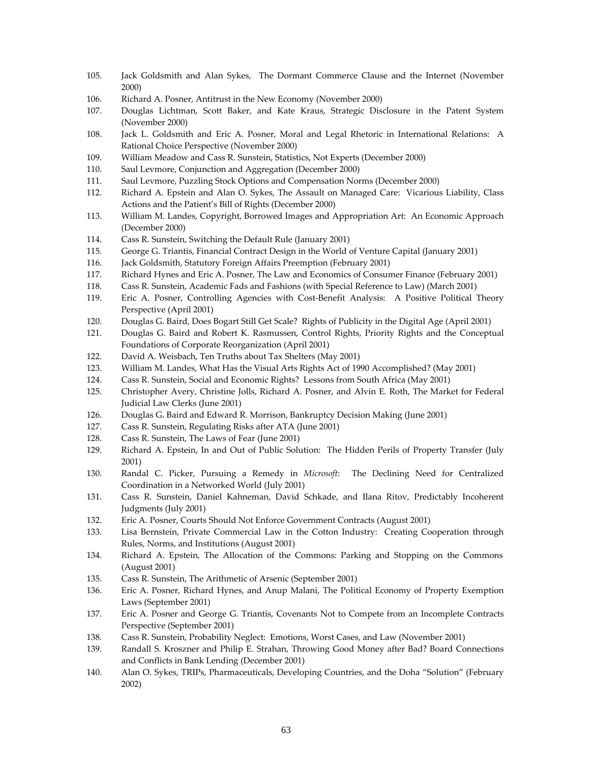- 105. Jack Goldsmith and Alan Sykes, The Dormant Commerce Clause and the Internet (November 2000)
- 106. Richard A. Posner, Antitrust in the New Economy (November 2000)
- 107. Douglas Lichtman, Scott Baker, and Kate Kraus, Strategic Disclosure in the Patent System (November 2000)
- Rational Choice Perspective (November 2000) 108. Jack L. Goldsmith and Eric A. Posner, Moral and Legal Rhetoric in International Relations: A
- 109. William Meadow and Cass R. Sunstein, Statistics, Not Experts (December 2000)
- 110. Saul Levmore, Conjunction and Aggregation (December 2000)
- 111. Saul Levmore, Puzzling Stock Options and Compensation Norms (December 2000)
- Actions and the Patient's Bill of Rights (December 2000) 112. Richard A. Epstein and Alan O. Sykes, The Assault on Managed Care: Vicarious Liability, Class
- 113. William M. Landes, Copyright, Borrowed Images and Appropriation Art: An Economic Approach (December 2000)
- 114. Cass R. Sunstein, Switching the Default Rule (January 2001)
- 115. George G. Triantis, Financial Contract Design in the World of Venture Capital (January 2001)
- 116. Jack Goldsmith, Statutory Foreign Affairs Preemption (February 2001)
- 117. Richard Hynes and Eric A. Posner, The Law and Economics of Consumer Finance (February 2001)
- 118. Cass R. Sunstein, Academic Fads and Fashions (with Special Reference to Law) (March 2001)
- 119. Eric A. Posner, Controlling Agencies with Cost-Benefit Analysis: A Positive Political Theory Perspective (April 2001)
- 120. Douglas G. Baird, Does Bogart Still Get Scale? Rights of Publicity in the Digital Age (April 2001)
- 121. Douglas G. Baird and Robert K. Rasmussen, Control Rights, Priority Rights and the Conceptual Foundations of Corporate Reorganization (April 2001)
- 122. David A. Weisbach, Ten Truths about Tax Shelters (May 2001)
- 123. William M. Landes, What Has the Visual Arts Rights Act of 1990 Accomplished? (May 2001)
- 124. Cass R. Sunstein, Social and Economic Rights? Lessons from South Africa (May 2001)
- 125. Christopher Avery, Christine Jolls, Richard A. Posner, and Alvin E. Roth, The Market for Federal Judicial Law Clerks (June 2001)
- 126. Douglas G. Baird and Edward R. Morrison, Bankruptcy Decision Making (June 2001)
- 127. Cass R. Sunstein, Regulating Risks after ATA (June 2001)
- 128. Cass R. Sunstein, The Laws of Fear (June 2001)
- 129. Richard A. Epstein, In and Out of Public Solution: The Hidden Perils of Property Transfer (July 2001)
- 130. Randal C. Picker, Pursuing a Remedy in *Microsoft*: The Declining Need for Centralized Coordination in a Networked World (July 2001)
- 131. Cass R. Sunstein, Daniel Kahneman, David Schkade, and Ilana Ritov, Predictably Incoherent Judgments (July 2001)
- 132. Eric A. Posner, Courts Should Not Enforce Government Contracts (August 2001)
- 133. Lisa Bernstein, Private Commercial Law in the Cotton Industry: Creating Cooperation through Rules, Norms, and Institutions (August 2001)
- 134. Richard A. Epstein, The Allocation of the Commons: Parking and Stopping on the Commons (August 2001)
- 135. Cass R. Sunstein, The Arithmetic of Arsenic (September 2001)
- 136. Eric A. Posner, Richard Hynes, and Anup Malani, The Political Economy of Property Exemption Laws (September 2001)
- 137. Eric A. Posner and George G. Triantis, Covenants Not to Compete from an Incomplete Contracts Perspective (September 2001)
- (November 2001) 138. Cass R. Sunstein, Probability Neglect: Emotions, Worst Cases, and Law
- 139. Randall S. Kroszner and Philip E. Strahan, Throwing Good Money after Bad? Board Connections and Conflicts in Bank Lending (December 2001)
- 140. Alan O. Sykes, TRIPs, Pharmaceuticals, Developing Countries, and the Doha "Solution" (February 2002)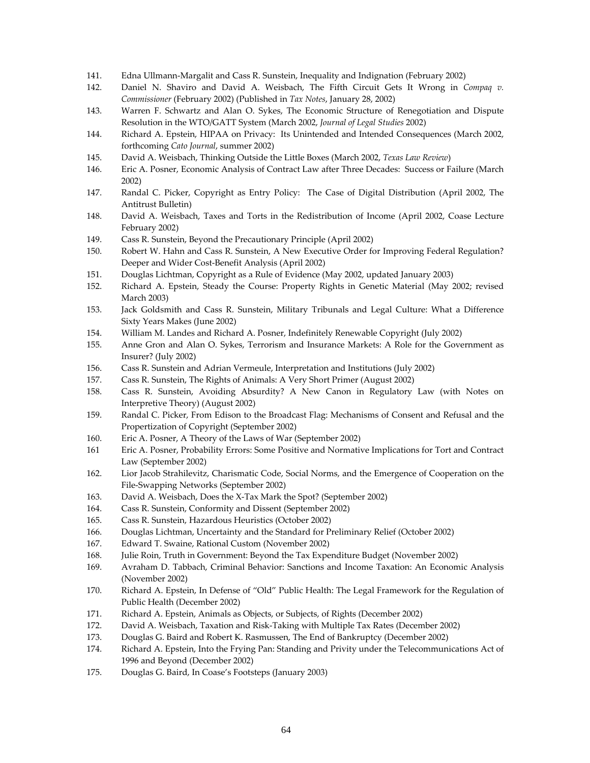- 141. Edna Ullmann-Margalit and Cass R. Sunstein, Inequality and Indignation (February 2002)
- 142. Daniel N. Shaviro and David A. Weisbach, The Fifth Circuit Gets It Wrong in *Compaq v.*  2) *Commissioner* (February 2002) (Published in *Tax Notes*, January 28, 200
- Resolution in the WTO/GATT System (March 2002, *Journal of Legal Studies* 2002) 143. Warren F. Schwartz and Alan O. Sykes, The Economic Structure of Renegotiation and Dispute
- 144. Richard A. Epstein, HIPAA on Privacy: Its Unintended and Intended Consequences (March 2002, forthcoming *Cato Journal*, summer 2002)
- *view*) 145. David A. Weisbach, Thinking Outside the Little Boxes (March 2002, *Texas Law Re*
- 146. Eric A. Posner, Economic Analysis of Contract Law after Three Decades: Success or Failure (March 2002)
- 147. Randal C. Picker, Copyright as Entry Policy: The Case of Digital Distribution (April 2002, The Antitrust Bulletin)
- 148. David A. Weisbach, Taxes and Torts in the Redistribution of Income (April 2002, Coase Lecture February 2002)
- 149. Cass R. Sunstein, Beyond the Precautionary Principle (April 2002)
- 150. Robert W. Hahn and Cass R. Sunstein, A New Executive Order for Improving Federal Regulation? Deeper and Wider Cost-Benefit Analysis (April 2002)
- 151. Douglas Lichtman, Copyright as a Rule of Evidence (May 2002, updated January 2003)
- 152. Richard A. Epstein, Steady the Course: Property Rights in Genetic Material (May 2002; revised March 2003)
- 153. Jack Goldsmith and Cass R. Sunstein, Military Tribunals and Legal Culture: What a Difference Sixty Years Makes (June 2002)
- 154. William M. Landes and Richard A. Posner, Indefinitely Renewable Copyright (July 2002)
- 155. Anne Gron and Alan O. Sykes, Terrorism and Insurance Markets: A Role for the Government as Insurer? (July 2002)
- 156. Cass R. Sunstein and Adrian Vermeule, Interpretation and Institutions (July 2002)
- 157. Cass R. Sunstein, The Rights of Animals: A Very Short Primer (August 2002)
- 2) Interpretive Theory) (August 200 158. Cass R. Sunstein, Avoiding Absurdity? A New Canon in Regulatory Law (with Notes on
- 159. Randal C. Picker, From Edison to the Broadcast Flag: Mechanisms of Consent and Refusal and the Propertization of Copyright (September 2002)
- 160. Eric A. Posner, A Theory of the Laws of War (September 2002)
- Law (September 2002) 161 Eric A. Posner, Probability Errors: Some Positive and Normative Implications for Tort and Contract
- 162. Lior Jacob Strahilevitz, Charismatic Code, Social Norms, and the Emergence of Cooperation on the File-Swapping Networks (September 2002)
- 163. David A. Weisbach, Does the X-Tax Mark the Spot? (September 2002)
- 164. Cass R. Sunstein, Conformity and Dissent (September 2002)
- 165. Cass R. Sunstein, Hazardous Heuristics (October 2002)
- 166. Douglas Lichtman, Uncertainty and the Standard for Preliminary Relief (October 2002)
- 167. Edward T. Swaine, Rational Custom (November 2002)
- 168. Julie Roin, Truth in Government: Beyond the Tax Expenditure Budget (November 2002)
- 169. Avraham D. Tabbach, Criminal Behavior: Sanctions and Income Taxation: An Economic Analysis (November 2002)
- Public Health (December 2002) 170. Richard A. Epstein, In Defense of "Old" Public Health: The Legal Framework for the Regulation of
- 171. Richard A. Epstein, Animals as Objects, or Subjects, of Rights (December 2002)
- 172. David A. Weisbach, Taxation and Risk-Taking with Multiple Tax Rates (December 2002)
- 173. Douglas G. Baird and Robert K. Rasmussen, The End of Bankruptcy (December 2002)
- 174. Richard A. Epstein, Into the Frying Pan: Standing and Privity under the Telecommunications Act of 1996 and Beyond (December 2002)
- 175. Douglas G. Baird, In Coase's Footsteps (January 2003)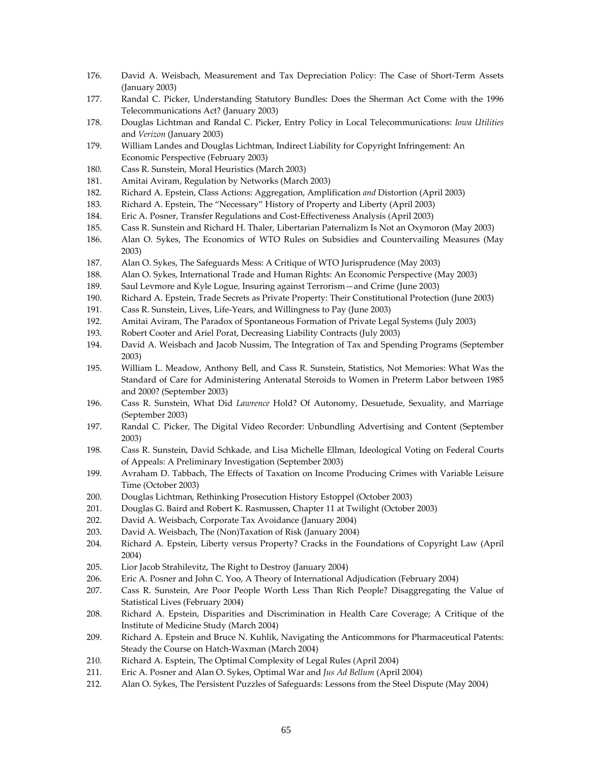- 176. David A. Weisbach, Measurement and Tax Depreciation Policy: The Case of Short-Term Assets (January 2003)
- 177. Randal C. Picker, Understanding Statutory Bundles: Does the Sherman Act Come with the 1996 Telecommunications Act? (January 2003)
- 178. Douglas Lichtman and Randal C. Picker, Entry Policy in Local Telecommunications: *Iowa Utilities* and *Verizon* (January 2003)
- 179. William Landes and Douglas Lichtman, Indirect Liability for Copyright Infringement: An Economic Perspective (February 2003)
- 180. Cass R. Sunstein, Moral Heuristics (March 2003)
- 181. Amitai Aviram, Regulation by Networks (March 2003)
- 182. Richard A. Epstein, Class Actions: Aggregation, Amplification *and* Distortion (April 2003)
- 183. The "Necessary" History of Property and Liberty (April 2003) Richard A. Epstein,
- 184. Eric A. Posner, Transfer Regulations and Cost-Effectiveness Analysis (April 2003)
- 185. and Richard H. Thaler, Libertarian Paternalizm Is Not an Oxymoron (May 2003) Cass R. Sunstein
- 186. Alan O. Sykes, The Economics of WTO Rules on Subsidies and Countervailing Measures (May 2003)
- 187. Alan O. Sykes, The Safeguards Mess: A Critique of WTO Jurisprudence (May 2003)
- 188. Alan O. Sykes, International Trade and Human Rights: An Economic Perspective (May 2003)
- 189. Saul Levmore and Kyle Logue, Insuring against Terrorism—and Crime (June 2003)
- 190. Richard A. Epstein, Trade Secrets as Private Property: Their Constitutional Protection (June 2003)
- 191. Cass R. Sunstein, Lives, Life-Years, and Willingness to Pay (June 2003)
- 192. Amitai Aviram, The Paradox of Spontaneous Formation of Private Legal Systems (July 2003)
- 193. Robert Cooter and Ariel Porat, Decreasing Liability Contracts (July 2003)
- 194. David A. Weisbach and Jacob Nussim, The Integration of Tax and Spending Programs (September 2003)
- 195. William L. Meadow, Anthony Bell, and Cass R. Sunstein, Statistics, Not Memories: What Was the Standard of Care for Administering Antenatal Steroids to Women in Preterm Labor between 1985 and 2000? (September 2003)
- 196. Cass R. Sunstein, What Did *Lawrence* Hold? Of Autonomy, Desuetude, Sexuality, and Marriage (September 2003)
- 197. Randal C. Picker, The Digital Video Recorder: Unbundling Advertising and Content (September 2003)
- of Appeals: A Preliminary Investigation (September 2003) 198. Cass R. Sunstein, David Schkade, and Lisa Michelle Ellman, Ideological Voting on Federal Courts
- 199. Avraham D. Tabbach, The Effects of Taxation on Income Producing Crimes with Variable Leisure Time (October 2003)
- 200. Douglas Lichtman, Rethinking Prosecution History Estoppel (October 2003)
- 201. Douglas G. Baird and Robert K. Rasmussen, Chapter 11 at Twilight (October 2003)
- 202. David A. Weisbach, Corporate Tax Avoidance (January 2004)
- 203. David A. Weisbach, The (Non)Taxation of Risk (January 2004)
- 204. Richard A. Epstein, Liberty versus Property? Cracks in the Foundations of Copyright Law (April 2004)
- 205. Lior Jacob Strahilevitz, The Right to Destroy (January 2004)
- 206. Eric A. Posner and John C. Yoo, A Theory of International Adjudication (February 2004)
- 207. Cass R. Sunstein, Are Poor People Worth Less Than Rich People? Disaggregating the Value of Statistical Lives (February 2004)
- 208. Richard A. Epstein, Disparities and Discrimination in Health Care Coverage; A Critique of the Institute of Medicine Study (March 2004)
- 209. Richard A. Epstein and Bruce N. Kuhlik, Navigating the Anticommons for Pharmaceutical Patents: Steady the Course on Hatch-Waxman (March 2004)
- 210. Richard A. Esptein, The Optimal Complexity of Legal Rules (April 2004)
- *Ad Bellum* (April 2004) 211. Eric A. Posner and Alan O. Sykes, Optimal War and *Jus*
- 212. Alan O. Sykes, The Persistent Puzzles of Safeguards: Lessons from the Steel Dispute (May 2004)